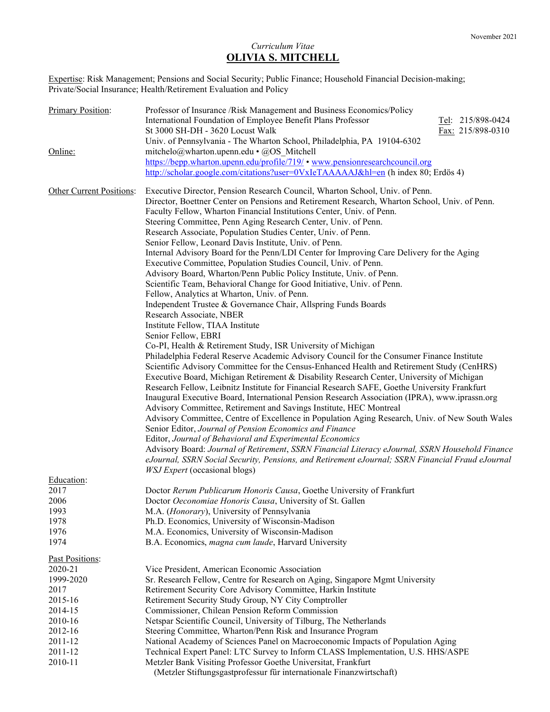# Curriculum Vitae OLIVIA S. MITCHELL

Expertise: Risk Management; Pensions and Social Security; Public Finance; Household Financial Decision-making; Private/Social Insurance; Health/Retirement Evaluation and Policy

| <b>Primary Position:</b> | Professor of Insurance /Risk Management and Business Economics/Policy<br>International Foundation of Employee Benefit Plans Professor<br>Tel: 215/898-0424<br>St 3000 SH-DH - 3620 Locust Walk<br>Fax: 215/898-0310                                                                                                                                                                       |
|--------------------------|-------------------------------------------------------------------------------------------------------------------------------------------------------------------------------------------------------------------------------------------------------------------------------------------------------------------------------------------------------------------------------------------|
|                          | Univ. of Pennsylvania - The Wharton School, Philadelphia, PA 19104-6302                                                                                                                                                                                                                                                                                                                   |
| Online:                  | mitchelo@wharton.upenn.edu • @OS_Mitchell                                                                                                                                                                                                                                                                                                                                                 |
|                          | https://bepp.wharton.upenn.edu/profile/719/ • www.pensionresearchcouncil.org                                                                                                                                                                                                                                                                                                              |
|                          | http://scholar.google.com/citations?user= $0VxIeTAAAAJ&hI=en$ (h index 80; Erdös 4)                                                                                                                                                                                                                                                                                                       |
| Other Current Positions: | Executive Director, Pension Research Council, Wharton School, Univ. of Penn.<br>Director, Boettner Center on Pensions and Retirement Research, Wharton School, Univ. of Penn.<br>Faculty Fellow, Wharton Financial Institutions Center, Univ. of Penn.<br>Steering Committee, Penn Aging Research Center, Univ. of Penn.<br>Research Associate, Population Studies Center, Univ. of Penn. |
|                          | Senior Fellow, Leonard Davis Institute, Univ. of Penn.                                                                                                                                                                                                                                                                                                                                    |
|                          | Internal Advisory Board for the Penn/LDI Center for Improving Care Delivery for the Aging<br>Executive Committee, Population Studies Council, Univ. of Penn.<br>Advisory Board, Wharton/Penn Public Policy Institute, Univ. of Penn.                                                                                                                                                      |
|                          | Scientific Team, Behavioral Change for Good Initiative, Univ. of Penn.                                                                                                                                                                                                                                                                                                                    |
|                          | Fellow, Analytics at Wharton, Univ. of Penn.                                                                                                                                                                                                                                                                                                                                              |
|                          | Independent Trustee & Governance Chair, Allspring Funds Boards                                                                                                                                                                                                                                                                                                                            |
|                          | Research Associate, NBER<br>Institute Fellow, TIAA Institute                                                                                                                                                                                                                                                                                                                              |
|                          | Senior Fellow, EBRI                                                                                                                                                                                                                                                                                                                                                                       |
|                          | Co-PI, Health & Retirement Study, ISR University of Michigan                                                                                                                                                                                                                                                                                                                              |
|                          | Philadelphia Federal Reserve Academic Advisory Council for the Consumer Finance Institute                                                                                                                                                                                                                                                                                                 |
|                          | Scientific Advisory Committee for the Census-Enhanced Health and Retirement Study (CenHRS)                                                                                                                                                                                                                                                                                                |
|                          | Executive Board, Michigan Retirement & Disability Research Center, University of Michigan                                                                                                                                                                                                                                                                                                 |
|                          | Research Fellow, Leibnitz Institute for Financial Research SAFE, Goethe University Frankfurt                                                                                                                                                                                                                                                                                              |
|                          | Inaugural Executive Board, International Pension Research Association (IPRA), www.iprassn.org<br>Advisory Committee, Retirement and Savings Institute, HEC Montreal                                                                                                                                                                                                                       |
|                          | Advisory Committee, Centre of Excellence in Population Aging Research, Univ. of New South Wales                                                                                                                                                                                                                                                                                           |
|                          | Senior Editor, Journal of Pension Economics and Finance                                                                                                                                                                                                                                                                                                                                   |
|                          | Editor, Journal of Behavioral and Experimental Economics                                                                                                                                                                                                                                                                                                                                  |
|                          | Advisory Board: Journal of Retirement, SSRN Financial Literacy eJournal, SSRN Household Finance                                                                                                                                                                                                                                                                                           |
|                          | eJournal, SSRN Social Security, Pensions, and Retirement eJournal; SSRN Financial Fraud eJournal<br><i>WSJ Expert</i> (occasional blogs)                                                                                                                                                                                                                                                  |
| Education:               |                                                                                                                                                                                                                                                                                                                                                                                           |
| 2017                     | Doctor Rerum Publicarum Honoris Causa, Goethe University of Frankfurt                                                                                                                                                                                                                                                                                                                     |
| 2006                     | Doctor Oeconomiae Honoris Causa, University of St. Gallen                                                                                                                                                                                                                                                                                                                                 |
| 1993<br>1978             | M.A. (Honorary), University of Pennsylvania<br>Ph.D. Economics, University of Wisconsin-Madison                                                                                                                                                                                                                                                                                           |
| 1976                     | M.A. Economics, University of Wisconsin-Madison                                                                                                                                                                                                                                                                                                                                           |
| 1974                     | B.A. Economics, magna cum laude, Harvard University                                                                                                                                                                                                                                                                                                                                       |
| Past Positions:          |                                                                                                                                                                                                                                                                                                                                                                                           |
| 2020-21                  | Vice President, American Economic Association                                                                                                                                                                                                                                                                                                                                             |
| 1999-2020                | Sr. Research Fellow, Centre for Research on Aging, Singapore Mgmt University                                                                                                                                                                                                                                                                                                              |
| 2017                     | Retirement Security Core Advisory Committee, Harkin Institute                                                                                                                                                                                                                                                                                                                             |
| 2015-16                  | Retirement Security Study Group, NY City Comptroller                                                                                                                                                                                                                                                                                                                                      |
| 2014-15                  | Commissioner, Chilean Pension Reform Commission                                                                                                                                                                                                                                                                                                                                           |
| 2010-16<br>2012-16       | Netspar Scientific Council, University of Tilburg, The Netherlands<br>Steering Committee, Wharton/Penn Risk and Insurance Program                                                                                                                                                                                                                                                         |
| 2011-12                  | National Academy of Sciences Panel on Macroeconomic Impacts of Population Aging                                                                                                                                                                                                                                                                                                           |
| 2011-12                  | Technical Expert Panel: LTC Survey to Inform CLASS Implementation, U.S. HHS/ASPE                                                                                                                                                                                                                                                                                                          |
| 2010-11                  | Metzler Bank Visiting Professor Goethe Universitat, Frankfurt                                                                                                                                                                                                                                                                                                                             |
|                          | (Metzler Stiftungsgastprofessur für internationale Finanzwirtschaft)                                                                                                                                                                                                                                                                                                                      |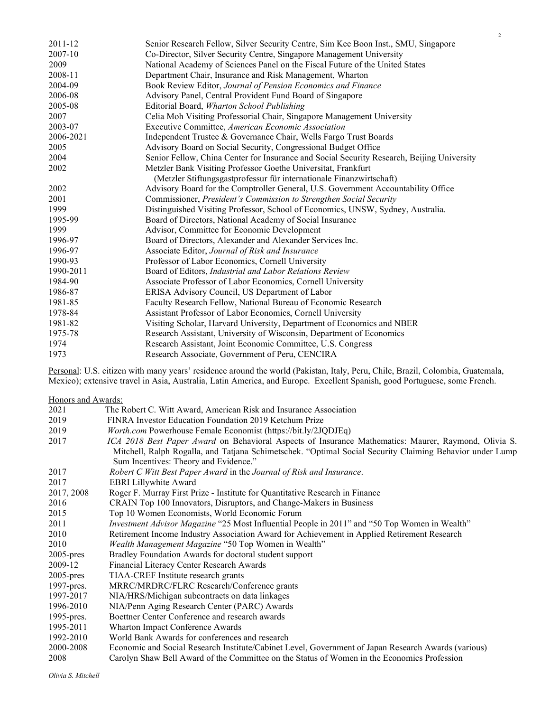| 2011-12   | Senior Research Fellow, Silver Security Centre, Sim Kee Boon Inst., SMU, Singapore         |
|-----------|--------------------------------------------------------------------------------------------|
| 2007-10   | Co-Director, Silver Security Centre, Singapore Management University                       |
| 2009      | National Academy of Sciences Panel on the Fiscal Future of the United States               |
| 2008-11   | Department Chair, Insurance and Risk Management, Wharton                                   |
| 2004-09   | Book Review Editor, Journal of Pension Economics and Finance                               |
| 2006-08   | Advisory Panel, Central Provident Fund Board of Singapore                                  |
| 2005-08   | Editorial Board, Wharton School Publishing                                                 |
| 2007      | Celia Moh Visiting Professorial Chair, Singapore Management University                     |
| 2003-07   | Executive Committee, American Economic Association                                         |
| 2006-2021 | Independent Trustee & Governance Chair, Wells Fargo Trust Boards                           |
| 2005      | Advisory Board on Social Security, Congressional Budget Office                             |
| 2004      | Senior Fellow, China Center for Insurance and Social Security Research, Beijing University |
| 2002      | Metzler Bank Visiting Professor Goethe Universitat, Frankfurt                              |
|           | (Metzler Stiftungsgastprofessur für internationale Finanzwirtschaft)                       |
| 2002      | Advisory Board for the Comptroller General, U.S. Government Accountability Office          |
| 2001      | Commissioner, President's Commission to Strengthen Social Security                         |
| 1999      | Distinguished Visiting Professor, School of Economics, UNSW, Sydney, Australia.            |
| 1995-99   | Board of Directors, National Academy of Social Insurance                                   |
| 1999      | Advisor, Committee for Economic Development                                                |
| 1996-97   | Board of Directors, Alexander and Alexander Services Inc.                                  |
| 1996-97   | Associate Editor, Journal of Risk and Insurance                                            |
| 1990-93   | Professor of Labor Economics, Cornell University                                           |
| 1990-2011 | Board of Editors, Industrial and Labor Relations Review                                    |
| 1984-90   | Associate Professor of Labor Economics, Cornell University                                 |
| 1986-87   | ERISA Advisory Council, US Department of Labor                                             |
| 1981-85   | Faculty Research Fellow, National Bureau of Economic Research                              |
| 1978-84   | Assistant Professor of Labor Economics, Cornell University                                 |
| 1981-82   | Visiting Scholar, Harvard University, Department of Economics and NBER                     |
| 1975-78   | Research Assistant, University of Wisconsin, Department of Economics                       |
| 1974      | Research Assistant, Joint Economic Committee, U.S. Congress                                |
| 1973      | Research Associate, Government of Peru, CENCIRA                                            |
|           |                                                                                            |

Personal: U.S. citizen with many years' residence around the world (Pakistan, Italy, Peru, Chile, Brazil, Colombia, Guatemala, Mexico); extensive travel in Asia, Australia, Latin America, and Europe. Excellent Spanish, good Portuguese, some French.

Honors and Awards: 2021 The Robert C. Witt Award, American Risk and Insurance Association 2019 FINRA Investor Education Foundation 2019 Ketchum Prize 2019 Worth.com Powerhouse Female Economist (https://bit.ly/2JQDJEq) 2017 ICA 2018 Best Paper Award on Behavioral Aspects of Insurance Mathematics: Maurer, Raymond, Olivia S. Mitchell, Ralph Rogalla, and Tatjana Schimetschek. "Optimal Social Security Claiming Behavior under Lump Sum Incentives: Theory and Evidence." 2017 Robert C Witt Best Paper Award in the Journal of Risk and Insurance. 2017 EBRI Lillywhite Award 2017, 2008 Roger F. Murray First Prize - Institute for Quantitative Research in Finance 2016 CRAIN Top 100 Innovators, Disruptors, and Change-Makers in Business 2015 Top 10 Women Economists, World Economic Forum 2011 Investment Advisor Magazine "25 Most Influential People in 2011" and "50 Top Women in Wealth" 2010 Retirement Income Industry Association Award for Achievement in Applied Retirement Research 2010 Wealth Management Magazine "50 Top Women in Wealth" 2005-pres Bradley Foundation Awards for doctoral student support 2009-12 Financial Literacy Center Research Awards 2005-pres TIAA-CREF Institute research grants 1997-pres. MRRC/MRDRC/FLRC Research/Conference grants 1997-2017 NIA/HRS/Michigan subcontracts on data linkages 1996-2010 NIA/Penn Aging Research Center (PARC) Awards 1995-pres. Boettner Center Conference and research awards 1995-2011 Wharton Impact Conference Awards 1992-2010 World Bank Awards for conferences and research 2000-2008 Economic and Social Research Institute/Cabinet Level, Government of Japan Research Awards (various) 2008 Carolyn Shaw Bell Award of the Committee on the Status of Women in the Economics Profession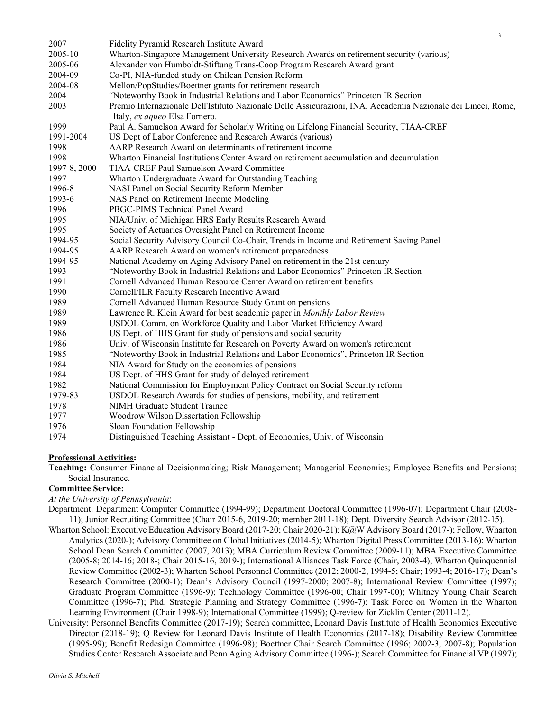| 2007         | Fidelity Pyramid Research Institute Award                                                                     |
|--------------|---------------------------------------------------------------------------------------------------------------|
| 2005-10      | Wharton-Singapore Management University Research Awards on retirement security (various)                      |
| 2005-06      | Alexander von Humboldt-Stiftung Trans-Coop Program Research Award grant                                       |
| 2004-09      | Co-PI, NIA-funded study on Chilean Pension Reform                                                             |
| 2004-08      | Mellon/PopStudies/Boettner grants for retirement research                                                     |
| 2004         | "Noteworthy Book in Industrial Relations and Labor Economics" Princeton IR Section                            |
| 2003         | Premio Internazionale Dell'Istituto Nazionale Delle Assicurazioni, INA, Accademia Nazionale dei Lincei, Rome, |
|              | Italy, ex aqueo Elsa Fornero.                                                                                 |
| 1999         | Paul A. Samuelson Award for Scholarly Writing on Lifelong Financial Security, TIAA-CREF                       |
| 1991-2004    | US Dept of Labor Conference and Research Awards (various)                                                     |
| 1998         | AARP Research Award on determinants of retirement income                                                      |
| 1998         | Wharton Financial Institutions Center Award on retirement accumulation and decumulation                       |
| 1997-8, 2000 | TIAA-CREF Paul Samuelson Award Committee                                                                      |
| 1997         | Wharton Undergraduate Award for Outstanding Teaching                                                          |
| 1996-8       | NASI Panel on Social Security Reform Member                                                                   |
| 1993-6       | NAS Panel on Retirement Income Modeling                                                                       |
| 1996         | PBGC-PIMS Technical Panel Award                                                                               |
| 1995         | NIA/Univ. of Michigan HRS Early Results Research Award                                                        |
| 1995         | Society of Actuaries Oversight Panel on Retirement Income                                                     |
| 1994-95      | Social Security Advisory Council Co-Chair, Trends in Income and Retirement Saving Panel                       |
| 1994-95      | AARP Research Award on women's retirement preparedness                                                        |
| 1994-95      | National Academy on Aging Advisory Panel on retirement in the 21st century                                    |
| 1993         | "Noteworthy Book in Industrial Relations and Labor Economics" Princeton IR Section                            |
| 1991         | Cornell Advanced Human Resource Center Award on retirement benefits                                           |
| 1990         | Cornell/ILR Faculty Research Incentive Award                                                                  |
| 1989         | Cornell Advanced Human Resource Study Grant on pensions                                                       |
| 1989         | Lawrence R. Klein Award for best academic paper in Monthly Labor Review                                       |
| 1989         | USDOL Comm. on Workforce Quality and Labor Market Efficiency Award                                            |
| 1986         | US Dept. of HHS Grant for study of pensions and social security                                               |
| 1986         | Univ. of Wisconsin Institute for Research on Poverty Award on women's retirement                              |
| 1985         | "Noteworthy Book in Industrial Relations and Labor Economics", Princeton IR Section                           |
| 1984         | NIA Award for Study on the economics of pensions                                                              |
| 1984         | US Dept. of HHS Grant for study of delayed retirement                                                         |
| 1982         | National Commission for Employment Policy Contract on Social Security reform                                  |
| 1979-83      | USDOL Research Awards for studies of pensions, mobility, and retirement                                       |
| 1978         | NIMH Graduate Student Trainee                                                                                 |
| 1977         | Woodrow Wilson Dissertation Fellowship                                                                        |
| 1976         | Sloan Foundation Fellowship                                                                                   |
| 1974         | Distinguished Teaching Assistant - Dept. of Economics, Univ. of Wisconsin                                     |

### Professional Activities:

Teaching: Consumer Financial Decisionmaking; Risk Management; Managerial Economics; Employee Benefits and Pensions; Social Insurance.

## Committee Service:

At the University of Pennsylvania:

- Department: Department Computer Committee (1994-99); Department Doctoral Committee (1996-07); Department Chair (2008- 11); Junior Recruiting Committee (Chair 2015-6, 2019-20; member 2011-18); Dept. Diversity Search Advisor (2012-15).
- Wharton School: Executive Education Advisory Board (2017-20; Chair 2020-21); K@W Advisory Board (2017-); Fellow, Wharton Analytics (2020-); Advisory Committee on Global Initiatives (2014-5); Wharton Digital Press Committee (2013-16); Wharton School Dean Search Committee (2007, 2013); MBA Curriculum Review Committee (2009-11); MBA Executive Committee (2005-8; 2014-16; 2018-; Chair 2015-16, 2019-); International Alliances Task Force (Chair, 2003-4); Wharton Quinquennial Review Committee (2002-3); Wharton School Personnel Committee (2012; 2000-2, 1994-5; Chair; 1993-4; 2016-17); Dean's Research Committee (2000-1); Dean's Advisory Council (1997-2000; 2007-8); International Review Committee (1997); Graduate Program Committee (1996-9); Technology Committee (1996-00; Chair 1997-00); Whitney Young Chair Search Committee (1996-7); Phd. Strategic Planning and Strategy Committee (1996-7); Task Force on Women in the Wharton Learning Environment (Chair 1998-9); International Committee (1999); Q-review for Zicklin Center (2011-12).
- University: Personnel Benefits Committee (2017-19); Search committee, Leonard Davis Institute of Health Economics Executive Director (2018-19); Q Review for Leonard Davis Institute of Health Economics (2017-18); Disability Review Committee (1995-99); Benefit Redesign Committee (1996-98); Boettner Chair Search Committee (1996; 2002-3, 2007-8); Population Studies Center Research Associate and Penn Aging Advisory Committee (1996-); Search Committee for Financial VP (1997);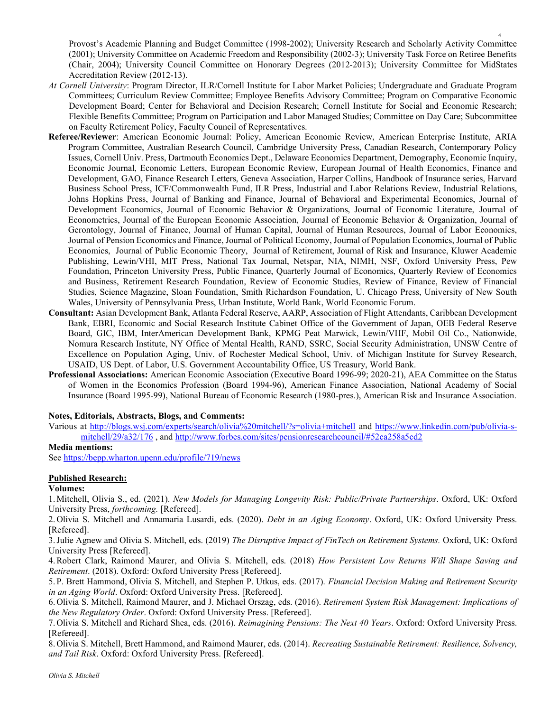Provost's Academic Planning and Budget Committee (1998-2002); University Research and Scholarly Activity Committee (2001); University Committee on Academic Freedom and Responsibility (2002-3); University Task Force on Retiree Benefits (Chair, 2004); University Council Committee on Honorary Degrees (2012-2013); University Committee for MidStates Accreditation Review (2012-13).

- At Cornell University: Program Director, ILR/Cornell Institute for Labor Market Policies; Undergraduate and Graduate Program Committees; Curriculum Review Committee; Employee Benefits Advisory Committee; Program on Comparative Economic Development Board; Center for Behavioral and Decision Research; Cornell Institute for Social and Economic Research; Flexible Benefits Committee; Program on Participation and Labor Managed Studies; Committee on Day Care; Subcommittee on Faculty Retirement Policy, Faculty Council of Representatives.
- Referee/Reviewer: American Economic Journal: Policy, American Economic Review, American Enterprise Institute, ARIA Program Committee, Australian Research Council, Cambridge University Press, Canadian Research, Contemporary Policy Issues, Cornell Univ. Press, Dartmouth Economics Dept., Delaware Economics Department, Demography, Economic Inquiry, Economic Journal, Economic Letters, European Economic Review, European Journal of Health Economics, Finance and Development, GAO, Finance Research Letters, Geneva Association, Harper Collins, Handbook of Insurance series, Harvard Business School Press, ICF/Commonwealth Fund, ILR Press, Industrial and Labor Relations Review, Industrial Relations, Johns Hopkins Press, Journal of Banking and Finance, Journal of Behavioral and Experimental Economics, Journal of Development Economics, Journal of Economic Behavior & Organizations, Journal of Economic Literature, Journal of Econometrics, Journal of the European Economic Association, Journal of Economic Behavior & Organization, Journal of Gerontology, Journal of Finance, Journal of Human Capital, Journal of Human Resources, Journal of Labor Economics, Journal of Pension Economics and Finance, Journal of Political Economy, Journal of Population Economics, Journal of Public Economics, Journal of Public Economic Theory, Journal of Retirement, Journal of Risk and Insurance, Kluwer Academic Publishing, Lewin/VHI, MIT Press, National Tax Journal, Netspar, NIA, NIMH, NSF, Oxford University Press, Pew Foundation, Princeton University Press, Public Finance, Quarterly Journal of Economics, Quarterly Review of Economics and Business, Retirement Research Foundation, Review of Economic Studies, Review of Finance, Review of Financial Studies, Science Magazine, Sloan Foundation, Smith Richardson Foundation, U. Chicago Press, University of New South Wales, University of Pennsylvania Press, Urban Institute, World Bank, World Economic Forum.
- Consultant: Asian Development Bank, Atlanta Federal Reserve, AARP, Association of Flight Attendants, Caribbean Development Bank, EBRI, Economic and Social Research Institute Cabinet Office of the Government of Japan, OEB Federal Reserve Board, GIC, IBM, InterAmerican Development Bank, KPMG Peat Marwick, Lewin/VHF, Mobil Oil Co., Nationwide, Nomura Research Institute, NY Office of Mental Health, RAND, SSRC, Social Security Administration, UNSW Centre of Excellence on Population Aging, Univ. of Rochester Medical School, Univ. of Michigan Institute for Survey Research, USAID, US Dept. of Labor, U.S. Government Accountability Office, US Treasury, World Bank.
- Professional Associations: American Economic Association (Executive Board 1996-99; 2020-21), AEA Committee on the Status of Women in the Economics Profession (Board 1994-96), American Finance Association, National Academy of Social Insurance (Board 1995-99), National Bureau of Economic Research (1980-pres.), American Risk and Insurance Association.

## Notes, Editorials, Abstracts, Blogs, and Comments:

Various at http://blogs.wsj.com/experts/search/olivia%20mitchell/?s=olivia+mitchell and https://www.linkedin.com/pub/olivia-smitchell/29/a32/176 , and http://www.forbes.com/sites/pensionresearchcouncil/#52ca258a5cd2

## Media mentions:

See https://bepp.wharton.upenn.edu/profile/719/news

## Published Research:

## Volumes:

1.Mitchell, Olivia S., ed. (2021). New Models for Managing Longevity Risk: Public/Private Partnerships. Oxford, UK: Oxford University Press, forthcoming. [Refereed].

2. Olivia S. Mitchell and Annamaria Lusardi, eds. (2020). Debt in an Aging Economy. Oxford, UK: Oxford University Press. [Refereed].

3.Julie Agnew and Olivia S. Mitchell, eds. (2019) The Disruptive Impact of FinTech on Retirement Systems. Oxford, UK: Oxford University Press [Refereed].

4. Robert Clark, Raimond Maurer, and Olivia S. Mitchell, eds. (2018) How Persistent Low Returns Will Shape Saving and Retirement. (2018). Oxford: Oxford University Press [Refereed].

5. P. Brett Hammond, Olivia S. Mitchell, and Stephen P. Utkus, eds. (2017). Financial Decision Making and Retirement Security in an Aging World. Oxford: Oxford University Press. [Refereed].

6. Olivia S. Mitchell, Raimond Maurer, and J. Michael Orszag, eds. (2016). Retirement System Risk Management: Implications of the New Regulatory Order. Oxford: Oxford University Press. [Refereed].

7. Olivia S. Mitchell and Richard Shea, eds. (2016). Reimagining Pensions: The Next 40 Years. Oxford: Oxford University Press. [Refereed].

8. Olivia S. Mitchell, Brett Hammond, and Raimond Maurer, eds. (2014). Recreating Sustainable Retirement: Resilience, Solvency, and Tail Risk. Oxford: Oxford University Press. [Refereed].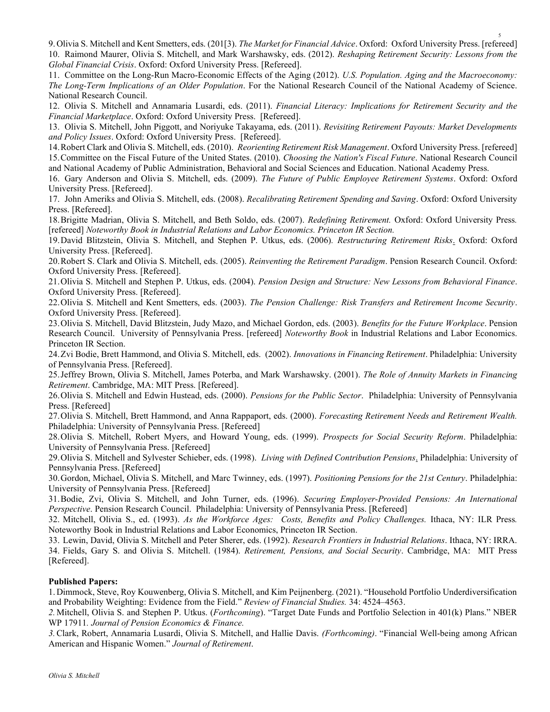9. Olivia S. Mitchell and Kent Smetters, eds. (201[3). The Market for Financial Advice. Oxford: Oxford University Press. [refereed] 10. Raimond Maurer, Olivia S. Mitchell, and Mark Warshawsky, eds. (2012). Reshaping Retirement Security: Lessons from the Global Financial Crisis. Oxford: Oxford University Press. [Refereed].

11. Committee on the Long-Run Macro-Economic Effects of the Aging (2012). U.S. Population. Aging and the Macroeconomy: The Long-Term Implications of an Older Population. For the National Research Council of the National Academy of Science. National Research Council.

12. Olivia S. Mitchell and Annamaria Lusardi, eds. (2011). Financial Literacy: Implications for Retirement Security and the Financial Marketplace. Oxford: Oxford University Press. [Refereed].

13. Olivia S. Mitchell, John Piggott, and Noriyuke Takayama, eds. (2011). Revisiting Retirement Payouts: Market Developments and Policy Issues. Oxford: Oxford University Press. [Refereed].

14. Robert Clark and Olivia S. Mitchell, eds. (2010). Reorienting Retirement Risk Management. Oxford University Press. [refereed] 15.Committee on the Fiscal Future of the United States. (2010). Choosing the Nation's Fiscal Future. National Research Council and National Academy of Public Administration, Behavioral and Social Sciences and Education. National Academy Press.

16. Gary Anderson and Olivia S. Mitchell, eds. (2009). The Future of Public Employee Retirement Systems. Oxford: Oxford University Press. [Refereed].

17. John Ameriks and Olivia S. Mitchell, eds. (2008). Recalibrating Retirement Spending and Saving. Oxford: Oxford University Press. [Refereed].

18.Brigitte Madrian, Olivia S. Mitchell, and Beth Soldo, eds. (2007). Redefining Retirement. Oxford: Oxford University Press. [refereed] Noteworthy Book in Industrial Relations and Labor Economics. Princeton IR Section.

19.David Blitzstein, Olivia S. Mitchell, and Stephen P. Utkus, eds. (2006). Restructuring Retirement Risks. Oxford: Oxford University Press. [Refereed].

20.Robert S. Clark and Olivia S. Mitchell, eds. (2005). Reinventing the Retirement Paradigm. Pension Research Council. Oxford: Oxford University Press. [Refereed].

21.Olivia S. Mitchell and Stephen P. Utkus, eds. (2004). Pension Design and Structure: New Lessons from Behavioral Finance. Oxford University Press. [Refereed].

22.Olivia S. Mitchell and Kent Smetters, eds. (2003). The Pension Challenge: Risk Transfers and Retirement Income Security. Oxford University Press. [Refereed].

23. Olivia S. Mitchell, David Blitzstein, Judy Mazo, and Michael Gordon, eds. (2003). Benefits for the Future Workplace. Pension Research Council. University of Pennsylvania Press. [refereed] Noteworthy Book in Industrial Relations and Labor Economics. Princeton IR Section.

24.Zvi Bodie, Brett Hammond, and Olivia S. Mitchell, eds. (2002). Innovations in Financing Retirement. Philadelphia: University of Pennsylvania Press. [Refereed].

25.Jeffrey Brown, Olivia S. Mitchell, James Poterba, and Mark Warshawsky. (2001). The Role of Annuity Markets in Financing Retirement. Cambridge, MA: MIT Press. [Refereed].

26. Olivia S. Mitchell and Edwin Hustead, eds. (2000). Pensions for the Public Sector. Philadelphia: University of Pennsylvania Press. [Refereed]

27. Olivia S. Mitchell, Brett Hammond, and Anna Rappaport, eds. (2000). Forecasting Retirement Needs and Retirement Wealth. Philadelphia: University of Pennsylvania Press. [Refereed]

28. Olivia S. Mitchell, Robert Myers, and Howard Young, eds. (1999). Prospects for Social Security Reform. Philadelphia: University of Pennsylvania Press. [Refereed]

29. Olivia S. Mitchell and Sylvester Schieber, eds. (1998). Living with Defined Contribution Pensions. Philadelphia: University of Pennsylvania Press. [Refereed]

30.Gordon, Michael, Olivia S. Mitchell, and Marc Twinney, eds. (1997). Positioning Pensions for the 21st Century. Philadelphia: University of Pennsylvania Press. [Refereed]

31.Bodie, Zvi, Olivia S. Mitchell, and John Turner, eds. (1996). Securing Employer-Provided Pensions: An International Perspective. Pension Research Council. Philadelphia: University of Pennsylvania Press. [Refereed]

32. Mitchell, Olivia S., ed. (1993). As the Workforce Ages: Costs, Benefits and Policy Challenges. Ithaca, NY: ILR Press. Noteworthy Book in Industrial Relations and Labor Economics, Princeton IR Section.

33. Lewin, David, Olivia S. Mitchell and Peter Sherer, eds. (1992). Research Frontiers in Industrial Relations. Ithaca, NY: IRRA. 34. Fields, Gary S. and Olivia S. Mitchell. (1984). Retirement, Pensions, and Social Security. Cambridge, MA: MIT Press [Refereed].

## Published Papers:

1. Dimmock, Steve, Roy Kouwenberg, Olivia S. Mitchell, and Kim Peijnenberg. (2021). "Household Portfolio Underdiversification and Probability Weighting: Evidence from the Field." Review of Financial Studies. 34: 4524–4563.

2.Mitchell, Olivia S. and Stephen P. Utkus. (Forthcoming). "Target Date Funds and Portfolio Selection in 401(k) Plans." NBER WP 17911. Journal of Pension Economics & Finance.

3. Clark, Robert, Annamaria Lusardi, Olivia S. Mitchell, and Hallie Davis. (Forthcoming). "Financial Well-being among African American and Hispanic Women." Journal of Retirement.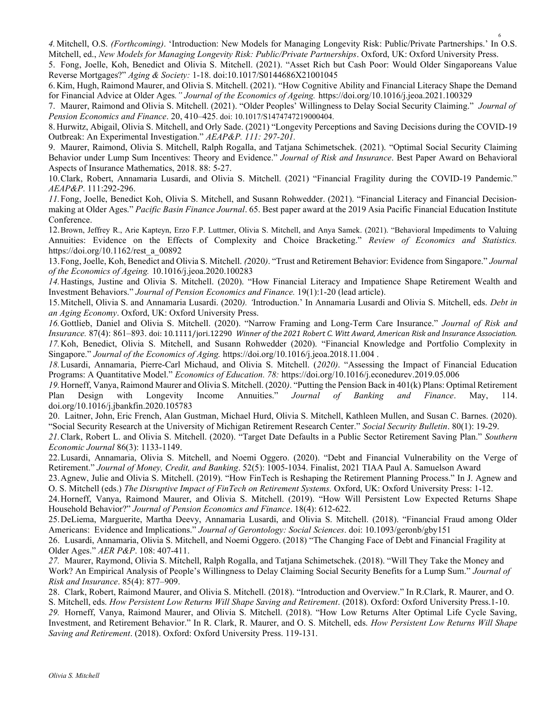4.Mitchell, O.S. (Forthcoming). 'Introduction: New Models for Managing Longevity Risk: Public/Private Partnerships.' In O.S. Mitchell, ed., New Models for Managing Longevity Risk: Public/Private Partnerships. Oxford, UK: Oxford University Press.

5. Fong, Joelle, Koh, Benedict and Olivia S. Mitchell. (2021). "Asset Rich but Cash Poor: Would Older Singaporeans Value Reverse Mortgages?" Aging & Society: 1-18. doi:10.1017/S0144686X21001045

6. Kim, Hugh, Raimond Maurer, and Olivia S. Mitchell. (2021). "How Cognitive Ability and Financial Literacy Shape the Demand for Financial Advice at Older Ages." Journal of the Economics of Ageing. https://doi.org/10.1016/j.jeoa.2021.100329

7. Maurer, Raimond and Olivia S. Mitchell. (2021). "Older Peoples' Willingness to Delay Social Security Claiming." Journal of Pension Economics and Finance. 20, 410–425. doi: 10.1017/S1474747219000404.

8. Hurwitz, Abigail, Olivia S. Mitchell, and Orly Sade. (2021) "Longevity Perceptions and Saving Decisions during the COVID-19 Outbreak: An Experimental Investigation." AEAP&P. 111: 297-201.

9. Maurer, Raimond, Olivia S. Mitchell, Ralph Rogalla, and Tatjana Schimetschek. (2021). "Optimal Social Security Claiming Behavior under Lump Sum Incentives: Theory and Evidence." Journal of Risk and Insurance. Best Paper Award on Behavioral Aspects of Insurance Mathematics, 2018. 88: 5-27.

10.Clark, Robert, Annamaria Lusardi, and Olivia S. Mitchell. (2021) "Financial Fragility during the COVID-19 Pandemic." AEAP&P. 111:292-296.

11.Fong, Joelle, Benedict Koh, Olivia S. Mitchell, and Susann Rohwedder. (2021). "Financial Literacy and Financial Decisionmaking at Older Ages." Pacific Basin Finance Journal. 65. Best paper award at the 2019 Asia Pacific Financial Education Institute Conference.

12.Brown, Jeffrey R., Arie Kapteyn, Erzo F.P. Luttmer, Olivia S. Mitchell, and Anya Samek. (2021). "Behavioral Impediments to Valuing Annuities: Evidence on the Effects of Complexity and Choice Bracketing." Review of Economics and Statistics. https://doi.org/10.1162/rest\_a\_00892

13. Fong, Joelle, Koh, Benedict and Olivia S. Mitchell. (2020). "Trust and Retirement Behavior: Evidence from Singapore." Journal of the Economics of Ageing. 10.1016/j.jeoa.2020.100283

14.Hastings, Justine and Olivia S. Mitchell. (2020). "How Financial Literacy and Impatience Shape Retirement Wealth and Investment Behaviors." Journal of Pension Economics and Finance. 19(1):1-20 (lead article).

15.Mitchell, Olivia S. and Annamaria Lusardi. (2020). 'Introduction.' In Annamaria Lusardi and Olivia S. Mitchell, eds. Debt in an Aging Economy. Oxford, UK: Oxford University Press.

16. Gottlieb, Daniel and Olivia S. Mitchell. (2020). "Narrow Framing and Long-Term Care Insurance." Journal of Risk and Insurance. 87(4): 861–893. doi: 10.1111/jori.12290 Winner of the 2021 Robert C. Witt Award, American Risk and Insurance Association. 17.Koh, Benedict, Olivia S. Mitchell, and Susann Rohwedder (2020). "Financial Knowledge and Portfolio Complexity in Singapore." Journal of the Economics of Aging. https://doi.org/10.1016/j.jeoa.2018.11.004 .

18.Lusardi, Annamaria, Pierre-Carl Michaud, and Olivia S. Mitchell. (2020). "Assessing the Impact of Financial Education Programs: A Quantitative Model." Economics of Education. 78: https://doi.org/10.1016/j.econedurev.2019.05.006

19.Horneff, Vanya, Raimond Maurer and Olivia S. Mitchell. (2020). "Putting the Pension Back in 401(k) Plans: Optimal Retirement Plan Design with Longevity Income Annuities." Journal of Banking and Finance. May, 114. doi.org/10.1016/j.jbankfin.2020.105783

20. Laitner, John, Eric French, Alan Gustman, Michael Hurd, Olivia S. Mitchell, Kathleen Mullen, and Susan C. Barnes. (2020). "Social Security Research at the University of Michigan Retirement Research Center." Social Security Bulletin. 80(1): 19-29.

21.Clark, Robert L. and Olivia S. Mitchell. (2020). "Target Date Defaults in a Public Sector Retirement Saving Plan." Southern Economic Journal 86(3): 1133-1149.

22.Lusardi, Annamaria, Olivia S. Mitchell, and Noemi Oggero. (2020). "Debt and Financial Vulnerability on the Verge of Retirement." Journal of Money, Credit, and Banking. 52(5): 1005-1034. Finalist, 2021 TIAA Paul A. Samuelson Award

23.Agnew, Julie and Olivia S. Mitchell. (2019). "How FinTech is Reshaping the Retirement Planning Process." In J. Agnew and O. S. Mitchell (eds.) The Disruptive Impact of FinTech on Retirement Systems. Oxford, UK: Oxford University Press: 1-12.

24.Horneff, Vanya, Raimond Maurer, and Olivia S. Mitchell. (2019). "How Will Persistent Low Expected Returns Shape Household Behavior?" Journal of Pension Economics and Finance. 18(4): 612-622.

25.DeLiema, Marguerite, Martha Deevy, Annamaria Lusardi, and Olivia S. Mitchell. (2018). "Financial Fraud among Older Americans: Evidence and Implications." Journal of Gerontology: Social Sciences. doi: 10.1093/geronb/gby151

26. Lusardi, Annamaria, Olivia S. Mitchell, and Noemi Oggero. (2018) "The Changing Face of Debt and Financial Fragility at Older Ages." AER P&P. 108: 407-411.

27. Maurer, Raymond, Olivia S. Mitchell, Ralph Rogalla, and Tatjana Schimetschek. (2018). "Will They Take the Money and Work? An Empirical Analysis of People's Willingness to Delay Claiming Social Security Benefits for a Lump Sum." Journal of Risk and Insurance. 85(4): 877–909.

28. Clark, Robert, Raimond Maurer, and Olivia S. Mitchell. (2018). "Introduction and Overview." In R.Clark, R. Maurer, and O. S. Mitchell, eds. How Persistent Low Returns Will Shape Saving and Retirement. (2018). Oxford: Oxford University Press.1-10. 29. Horneff, Vanya, Raimond Maurer, and Olivia S. Mitchell. (2018). "How Low Returns Alter Optimal Life Cycle Saving, Investment, and Retirement Behavior." In R. Clark, R. Maurer, and O. S. Mitchell, eds. How Persistent Low Returns Will Shape Saving and Retirement. (2018). Oxford: Oxford University Press. 119-131.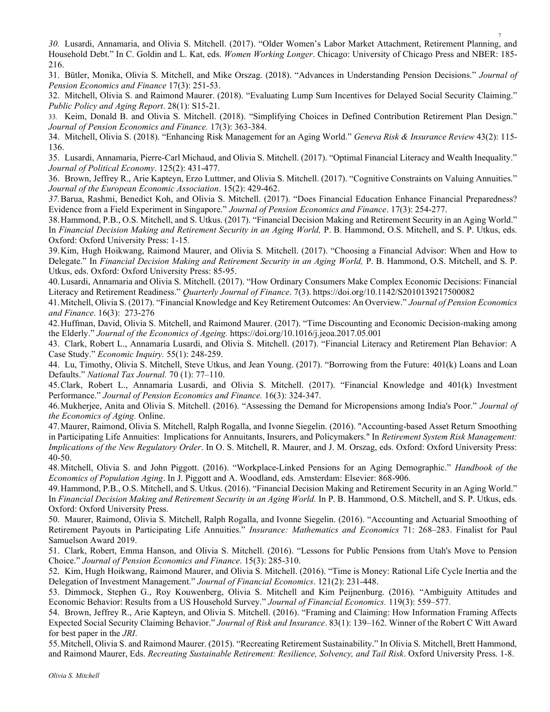30. Lusardi, Annamaria, and Olivia S. Mitchell. (2017). "Older Women's Labor Market Attachment, Retirement Planning, and Household Debt." In C. Goldin and L. Kat, eds. Women Working Longer. Chicago: University of Chicago Press and NBER: 185-216.

31. Bütler, Monika, Olivia S. Mitchell, and Mike Orszag. (2018). "Advances in Understanding Pension Decisions." Journal of Pension Economics and Finance 17(3): 251-53.

32. Mitchell, Olivia S. and Raimond Maurer. (2018). "Evaluating Lump Sum Incentives for Delayed Social Security Claiming." Public Policy and Aging Report. 28(1): S15-21.

33. Keim, Donald B. and Olivia S. Mitchell. (2018). "Simplifying Choices in Defined Contribution Retirement Plan Design." Journal of Pension Economics and Finance. 17(3): 363-384.

34. Mitchell, Olivia S. (2018). "Enhancing Risk Management for an Aging World." Geneva Risk & Insurance Review 43(2): 115- 136.

35. Lusardi, Annamaria, Pierre-Carl Michaud, and Olivia S. Mitchell. (2017). "Optimal Financial Literacy and Wealth Inequality." Journal of Political Economy. 125(2): 431-477.

36. Brown, Jeffrey R., Arie Kapteyn, Erzo Luttmer, and Olivia S. Mitchell. (2017). "Cognitive Constraints on Valuing Annuities." Journal of the European Economic Association. 15(2): 429-462.

37.Barua, Rashmi, Benedict Koh, and Olivia S. Mitchell. (2017). "Does Financial Education Enhance Financial Preparedness? Evidence from a Field Experiment in Singapore." Journal of Pension Economics and Finance. 17(3): 254-277.

38.Hammond, P.B., O.S. Mitchell, and S. Utkus. (2017). "Financial Decision Making and Retirement Security in an Aging World." In Financial Decision Making and Retirement Security in an Aging World, P. B. Hammond, O.S. Mitchell, and S. P. Utkus, eds. Oxford: Oxford University Press: 1-15.

39.Kim, Hugh Hoikwang, Raimond Maurer, and Olivia S. Mitchell. (2017). "Choosing a Financial Advisor: When and How to Delegate." In Financial Decision Making and Retirement Security in an Aging World, P. B. Hammond, O.S. Mitchell, and S. P. Utkus, eds. Oxford: Oxford University Press: 85-95.

40.Lusardi, Annamaria and Olivia S. Mitchell. (2017). "How Ordinary Consumers Make Complex Economic Decisions: Financial Literacy and Retirement Readiness." Quarterly Journal of Finance. 7(3). https://doi.org/10.1142/S2010139217500082

41.Mitchell, Olivia S. (2017). "Financial Knowledge and Key Retirement Outcomes: An Overview." Journal of Pension Economics and Finance. 16(3): 273-276

42.Huffman, David, Olivia S. Mitchell, and Raimond Maurer. (2017). "Time Discounting and Economic Decision-making among the Elderly." Journal of the Economics of Ageing. https://doi.org/10.1016/j.jeoa.2017.05.001

43. Clark, Robert L., Annamaria Lusardi, and Olivia S. Mitchell. (2017). "Financial Literacy and Retirement Plan Behavior: A Case Study." Economic Inquiry. 55(1): 248-259.

44. Lu, Timothy, Olivia S. Mitchell, Steve Utkus, and Jean Young. (2017). "Borrowing from the Future: 401(k) Loans and Loan Defaults." National Tax Journal. 70 (1): 77–110.

45.Clark, Robert L., Annamaria Lusardi, and Olivia S. Mitchell. (2017). "Financial Knowledge and 401(k) Investment Performance." Journal of Pension Economics and Finance. 16(3): 324-347.

46.Mukherjee, Anita and Olivia S. Mitchell. (2016). "Assessing the Demand for Micropensions among India's Poor." Journal of the Economics of Aging. Online.

47.Maurer, Raimond, Olivia S. Mitchell, Ralph Rogalla, and Ivonne Siegelin. (2016). "Accounting-based Asset Return Smoothing in Participating Life Annuities: Implications for Annuitants, Insurers, and Policymakers." In Retirement System Risk Management: Implications of the New Regulatory Order. In O. S. Mitchell, R. Maurer, and J. M. Orszag, eds. Oxford: Oxford University Press: 40-50.

48. Mitchell, Olivia S. and John Piggott. (2016). "Workplace-Linked Pensions for an Aging Demographic." Handbook of the Economics of Population Aging. In J. Piggott and A. Woodland, eds. Amsterdam: Elsevier: 868-906.

49.Hammond, P.B., O.S. Mitchell, and S. Utkus. (2016). "Financial Decision Making and Retirement Security in an Aging World." In Financial Decision Making and Retirement Security in an Aging World. In P. B. Hammond, O.S. Mitchell, and S. P. Utkus, eds. Oxford: Oxford University Press.

50. Maurer, Raimond, Olivia S. Mitchell, Ralph Rogalla, and Ivonne Siegelin. (2016). "Accounting and Actuarial Smoothing of Retirement Payouts in Participating Life Annuities." Insurance: Mathematics and Economics 71: 268–283. Finalist for Paul Samuelson Award 2019.

51. Clark, Robert, Emma Hanson, and Olivia S. Mitchell. (2016). "Lessons for Public Pensions from Utah's Move to Pension Choice." Journal of Pension Economics and Finance. 15(3): 285-310.

52. Kim, Hugh Hoikwang, Raimond Maurer, and Olivia S. Mitchell. (2016). "Time is Money: Rational Life Cycle Inertia and the Delegation of Investment Management." Journal of Financial Economics. 121(2): 231-448.

53. Dimmock, Stephen G., Roy Kouwenberg, Olivia S. Mitchell and Kim Peijnenburg. (2016). "Ambiguity Attitudes and Economic Behavior: Results from a US Household Survey." Journal of Financial Economics. 119(3): 559–577.

54. Brown, Jeffrey R., Arie Kapteyn, and Olivia S. Mitchell. (2016). "Framing and Claiming: How Information Framing Affects Expected Social Security Claiming Behavior." Journal of Risk and Insurance. 83(1): 139–162. Winner of the Robert C Witt Award for best paper in the JRI.

55.Mitchell, Olivia S. and Raimond Maurer. (2015). "Recreating Retirement Sustainability." In Olivia S. Mitchell, Brett Hammond, and Raimond Maurer, Eds. Recreating Sustainable Retirement: Resilience, Solvency, and Tail Risk. Oxford University Press. 1-8.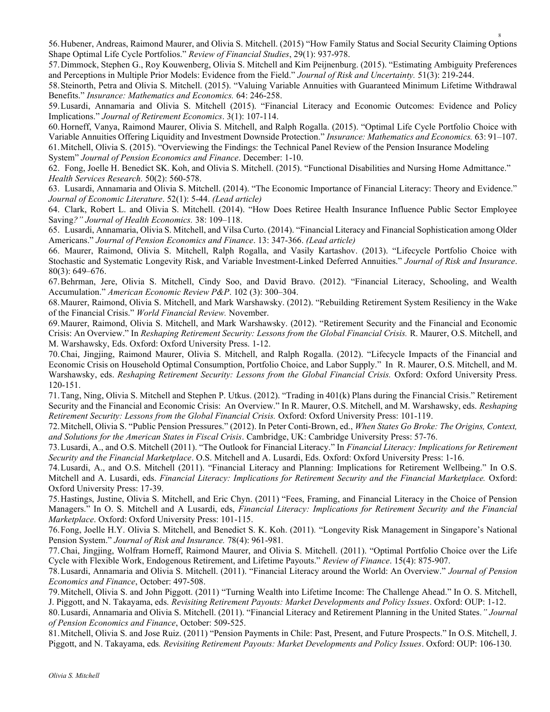56.Hubener, Andreas, Raimond Maurer, and Olivia S. Mitchell. (2015) "How Family Status and Social Security Claiming Options Shape Optimal Life Cycle Portfolios." Review of Financial Studies, 29(1): 937-978.

57.Dimmock, Stephen G., Roy Kouwenberg, Olivia S. Mitchell and Kim Peijnenburg. (2015). "Estimating Ambiguity Preferences and Perceptions in Multiple Prior Models: Evidence from the Field." Journal of Risk and Uncertainty. 51(3): 219-244.

58.Steinorth, Petra and Olivia S. Mitchell. (2015). "Valuing Variable Annuities with Guaranteed Minimum Lifetime Withdrawal Benefits." Insurance: Mathematics and Economics. 64: 246-258.

59.Lusardi, Annamaria and Olivia S. Mitchell (2015). "Financial Literacy and Economic Outcomes: Evidence and Policy Implications." Journal of Retirement Economics. 3(1): 107-114.

60.Horneff, Vanya, Raimond Maurer, Olivia S. Mitchell, and Ralph Rogalla. (2015). "Optimal Life Cycle Portfolio Choice with Variable Annuities Offering Liquidity and Investment Downside Protection." Insurance: Mathematics and Economics. 63: 91–107. 61.Mitchell, Olivia S. (2015). "Overviewing the Findings: the Technical Panel Review of the Pension Insurance Modeling System" Journal of Pension Economics and Finance. December: 1-10.

62. Fong, Joelle H. Benedict SK. Koh, and Olivia S. Mitchell. (2015). "Functional Disabilities and Nursing Home Admittance." Health Services Research. 50(2): 560-578.

63. Lusardi, Annamaria and Olivia S. Mitchell. (2014). "The Economic Importance of Financial Literacy: Theory and Evidence." Journal of Economic Literature. 52(1): 5-44. (Lead article)

64. Clark, Robert L. and Olivia S. Mitchell. (2014). "How Does Retiree Health Insurance Influence Public Sector Employee Saving?" Journal of Health Economics. 38: 109–118.

65. Lusardi, Annamaria, Olivia S. Mitchell, and Vilsa Curto. (2014). "Financial Literacy and Financial Sophistication among Older Americans." Journal of Pension Economics and Finance. 13: 347-366. (Lead article)

66. Maurer, Raimond, Olivia S. Mitchell, Ralph Rogalla, and Vasily Kartashov. (2013). "Lifecycle Portfolio Choice with Stochastic and Systematic Longevity Risk, and Variable Investment-Linked Deferred Annuities." Journal of Risk and Insurance. 80(3): 649–676.

67.Behrman, Jere, Olivia S. Mitchell, Cindy Soo, and David Bravo. (2012). "Financial Literacy, Schooling, and Wealth Accumulation." American Economic Review P&P. 102 (3): 300–304.

68.Maurer, Raimond, Olivia S. Mitchell, and Mark Warshawsky. (2012). "Rebuilding Retirement System Resiliency in the Wake of the Financial Crisis." World Financial Review. November.

69.Maurer, Raimond, Olivia S. Mitchell, and Mark Warshawsky. (2012). "Retirement Security and the Financial and Economic Crisis: An Overview." In Reshaping Retirement Security: Lessons from the Global Financial Crisis. R. Maurer, O.S. Mitchell, and M. Warshawsky, Eds. Oxford: Oxford University Press. 1-12.

70.Chai, Jingjing, Raimond Maurer, Olivia S. Mitchell, and Ralph Rogalla. (2012). "Lifecycle Impacts of the Financial and Economic Crisis on Household Optimal Consumption, Portfolio Choice, and Labor Supply." In R. Maurer, O.S. Mitchell, and M. Warshawsky, eds. Reshaping Retirement Security: Lessons from the Global Financial Crisis. Oxford: Oxford University Press. 120-151.

71.Tang, Ning, Olivia S. Mitchell and Stephen P. Utkus. (2012). "Trading in 401(k) Plans during the Financial Crisis." Retirement Security and the Financial and Economic Crisis: An Overview." In R. Maurer, O.S. Mitchell, and M. Warshawsky, eds. Reshaping Retirement Security: Lessons from the Global Financial Crisis. Oxford: Oxford University Press: 101-119.

72.Mitchell, Olivia S. "Public Pension Pressures." (2012). In Peter Conti-Brown, ed., When States Go Broke: The Origins, Context, and Solutions for the American States in Fiscal Crisis. Cambridge, UK: Cambridge University Press: 57-76.

73.Lusardi, A., and O.S. Mitchell (2011). "The Outlook for Financial Literacy." In Financial Literacy: Implications for Retirement Security and the Financial Marketplace. O.S. Mitchell and A. Lusardi, Eds. Oxford: Oxford University Press: 1-16.

74.Lusardi, A., and O.S. Mitchell (2011). "Financial Literacy and Planning: Implications for Retirement Wellbeing." In O.S. Mitchell and A. Lusardi, eds. Financial Literacy: Implications for Retirement Security and the Financial Marketplace. Oxford: Oxford University Press: 17-39.

75.Hastings, Justine, Olivia S. Mitchell, and Eric Chyn. (2011) "Fees, Framing, and Financial Literacy in the Choice of Pension Managers." In O. S. Mitchell and A Lusardi, eds, Financial Literacy: Implications for Retirement Security and the Financial Marketplace. Oxford: Oxford University Press: 101-115.

76.Fong, Joelle H.Y. Olivia S. Mitchell, and Benedict S. K. Koh. (2011). "Longevity Risk Management in Singapore's National Pension System." Journal of Risk and Insurance. 78(4): 961-981.

77.Chai, Jingjing, Wolfram Horneff, Raimond Maurer, and Olivia S. Mitchell. (2011). "Optimal Portfolio Choice over the Life Cycle with Flexible Work, Endogenous Retirement, and Lifetime Payouts." Review of Finance. 15(4): 875-907.

78.Lusardi, Annamaria and Olivia S. Mitchell. (2011). "Financial Literacy around the World: An Overview." Journal of Pension Economics and Finance, October: 497-508.

79.Mitchell, Olivia S. and John Piggott. (2011) "Turning Wealth into Lifetime Income: The Challenge Ahead." In O. S. Mitchell, J. Piggott, and N. Takayama, eds. Revisiting Retirement Payouts: Market Developments and Policy Issues. Oxford: OUP: 1-12.

80.Lusardi, Annamaria and Olivia S. Mitchell. (2011). "Financial Literacy and Retirement Planning in the United States." Journal of Pension Economics and Finance, October: 509-525.

81.Mitchell, Olivia S. and Jose Ruiz. (2011) "Pension Payments in Chile: Past, Present, and Future Prospects." In O.S. Mitchell, J. Piggott, and N. Takayama, eds. Revisiting Retirement Payouts: Market Developments and Policy Issues. Oxford: OUP: 106-130.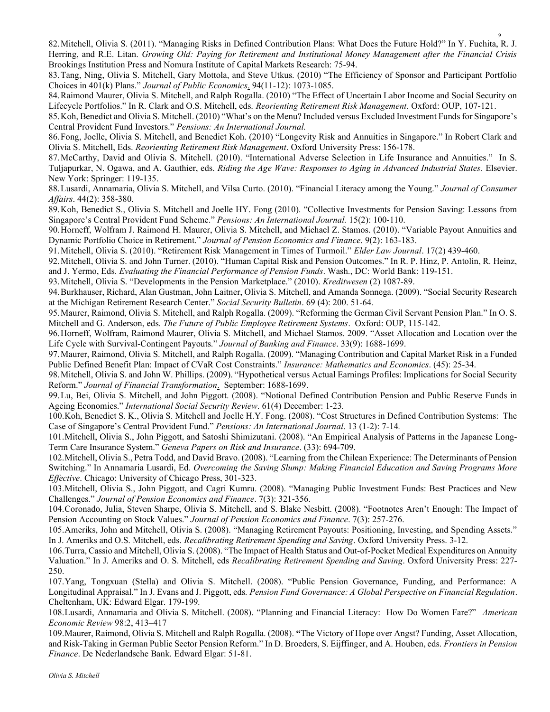82.Mitchell, Olivia S. (2011). "Managing Risks in Defined Contribution Plans: What Does the Future Hold?" In Y. Fuchita, R. J. Herring, and R.E. Litan. Growing Old: Paying for Retirement and Institutional Money Management after the Financial Crisis Brookings Institution Press and Nomura Institute of Capital Markets Research: 75-94.

9

83.Tang, Ning, Olivia S. Mitchell, Gary Mottola, and Steve Utkus. (2010) "The Efficiency of Sponsor and Participant Portfolio Choices in 401(k) Plans." Journal of Public Economics. 94(11-12): 1073-1085.

84.Raimond Maurer, Olivia S. Mitchell, and Ralph Rogalla. (2010) "The Effect of Uncertain Labor Income and Social Security on Lifecycle Portfolios." In R. Clark and O.S. Mitchell, eds. Reorienting Retirement Risk Management. Oxford: OUP, 107-121.

85.Koh, Benedict and Olivia S. Mitchell. (2010) "What's on the Menu? Included versus Excluded Investment Funds for Singapore's Central Provident Fund Investors." Pensions: An International Journal.

86.Fong, Joelle, Olivia S. Mitchell, and Benedict Koh. (2010) "Longevity Risk and Annuities in Singapore." In Robert Clark and Olivia S. Mitchell, Eds. Reorienting Retirement Risk Management. Oxford University Press: 156-178.

87.McCarthy, David and Olivia S. Mitchell. (2010). "International Adverse Selection in Life Insurance and Annuities." In S. Tuljapurkar, N. Ogawa, and A. Gauthier, eds. Riding the Age Wave: Responses to Aging in Advanced Industrial States. Elsevier. New York: Springer: 119-135.

88.Lusardi, Annamaria, Olivia S. Mitchell, and Vilsa Curto. (2010). "Financial Literacy among the Young." Journal of Consumer Affairs. 44(2): 358-380.

89.Koh, Benedict S., Olivia S. Mitchell and Joelle HY. Fong (2010). "Collective Investments for Pension Saving: Lessons from Singapore's Central Provident Fund Scheme." Pensions: An International Journal. 15(2): 100-110.

90.Horneff, Wolfram J. Raimond H. Maurer, Olivia S. Mitchell, and Michael Z. Stamos. (2010). "Variable Payout Annuities and Dynamic Portfolio Choice in Retirement." Journal of Pension Economics and Finance. 9(2): 163-183.

91. Mitchell, Olivia S. (2010). "Retirement Risk Management in Times of Turmoil." Elder Law Journal. 17(2) 439-460.

92.Mitchell, Olivia S. and John Turner. (2010). "Human Capital Risk and Pension Outcomes." In R. P. Hinz, P. Antolín, R. Heinz, and J. Yermo, Eds. Evaluating the Financial Performance of Pension Funds. Wash., DC: World Bank: 119-151.

93.Mitchell, Olivia S. "Developments in the Pension Marketplace." (2010). Kreditwesen (2) 1087-89.

94.Burkhauser, Richard, Alan Gustman, John Laitner, Olivia S. Mitchell, and Amanda Sonnega. (2009). "Social Security Research at the Michigan Retirement Research Center." Social Security Bulletin. 69 (4): 200. 51-64.

95.Maurer, Raimond, Olivia S. Mitchell, and Ralph Rogalla. (2009). "Reforming the German Civil Servant Pension Plan." In O. S. Mitchell and G. Anderson, eds. The Future of Public Employee Retirement Systems. Oxford: OUP, 115-142.

96.Horneff, Wolfram, Raimond Maurer, Olivia S. Mitchell, and Michael Stamos. 2009. "Asset Allocation and Location over the Life Cycle with Survival-Contingent Payouts." Journal of Banking and Finance. 33(9): 1688-1699.

97.Maurer, Raimond, Olivia S. Mitchell, and Ralph Rogalla. (2009). "Managing Contribution and Capital Market Risk in a Funded Public Defined Benefit Plan: Impact of CVaR Cost Constraints." Insurance: Mathematics and Economics. (45): 25-34.

98.Mitchell, Olivia S. and John W. Phillips. (2009). "Hypothetical versus Actual Earnings Profiles: Implications for Social Security Reform." Journal of Financial Transformation. September: 1688-1699.

99.Lu, Bei, Olivia S. Mitchell, and John Piggott. (2008). "Notional Defined Contribution Pension and Public Reserve Funds in Ageing Economies." International Social Security Review. 61(4) December: 1-23.

100.Koh, Benedict S. K., Olivia S. Mitchell and Joelle H.Y. Fong. (2008). "Cost Structures in Defined Contribution Systems: The Case of Singapore's Central Provident Fund." Pensions: An International Journal. 13 (1-2): 7-14.

101.Mitchell, Olivia S., John Piggott, and Satoshi Shimizutani. (2008). "An Empirical Analysis of Patterns in the Japanese Long-Term Care Insurance System." Geneva Papers on Risk and Insurance. (33): 694-709.

102.Mitchell, Olivia S., Petra Todd, and David Bravo. (2008). "Learning from the Chilean Experience: The Determinants of Pension Switching." In Annamaria Lusardi, Ed. Overcoming the Saving Slump: Making Financial Education and Saving Programs More Effective. Chicago: University of Chicago Press, 301-323.

103.Mitchell, Olivia S., John Piggott, and Cagri Kumru. (2008). "Managing Public Investment Funds: Best Practices and New Challenges." Journal of Pension Economics and Finance. 7(3): 321-356.

104.Coronado, Julia, Steven Sharpe, Olivia S. Mitchell, and S. Blake Nesbitt. (2008). "Footnotes Aren't Enough: The Impact of Pension Accounting on Stock Values." Journal of Pension Economics and Finance. 7(3): 257-276.

105.Ameriks, John and Mitchell, Olivia S. (2008). "Managing Retirement Payouts: Positioning, Investing, and Spending Assets." In J. Ameriks and O.S. Mitchell, eds. Recalibrating Retirement Spending and Saving. Oxford University Press. 3-12.

106.Turra, Cassio and Mitchell, Olivia S. (2008). "The Impact of Health Status and Out-of-Pocket Medical Expenditures on Annuity Valuation." In J. Ameriks and O. S. Mitchell, eds Recalibrating Retirement Spending and Saving. Oxford University Press: 227- 250.

107.Yang, Tongxuan (Stella) and Olivia S. Mitchell. (2008). "Public Pension Governance, Funding, and Performance: A Longitudinal Appraisal." In J. Evans and J. Piggott, eds. Pension Fund Governance: A Global Perspective on Financial Regulation. Cheltenham, UK: Edward Elgar. 179-199.

108.Lusardi, Annamaria and Olivia S. Mitchell. (2008). "Planning and Financial Literacy: How Do Women Fare?" American Economic Review 98:2, 413–417

109.Maurer, Raimond, Olivia S. Mitchell and Ralph Rogalla. (2008). "The Victory of Hope over Angst? Funding, Asset Allocation, and Risk-Taking in German Public Sector Pension Reform." In D. Broeders, S. Eijffinger, and A. Houben, eds. Frontiers in Pension Finance. De Nederlandsche Bank. Edward Elgar: 51-81.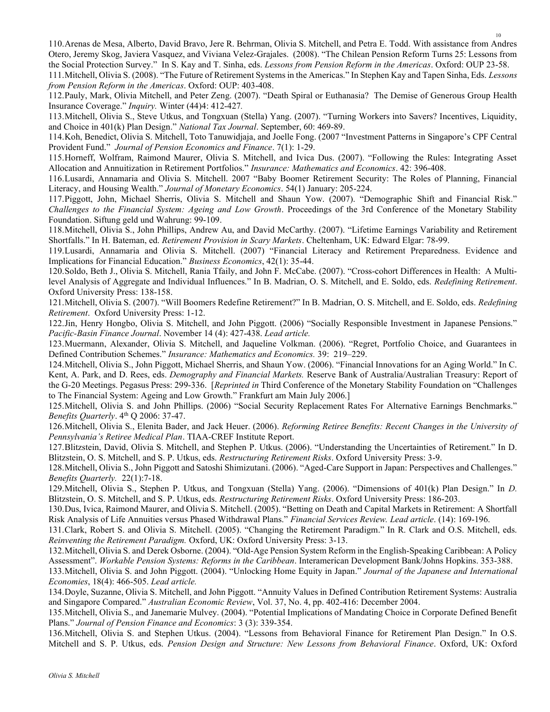110.Arenas de Mesa, Alberto, David Bravo, Jere R. Behrman, Olivia S. Mitchell, and Petra E. Todd. With assistance from Andres Otero, Jeremy Skog, Javiera Vasquez, and Viviana Velez-Grajales. (2008). "The Chilean Pension Reform Turns 25: Lessons from the Social Protection Survey." In S. Kay and T. Sinha, eds. Lessons from Pension Reform in the Americas. Oxford: OUP 23-58.

111.Mitchell, Olivia S. (2008). "The Future of Retirement Systems in the Americas." In Stephen Kay and Tapen Sinha, Eds. Lessons from Pension Reform in the Americas. Oxford: OUP: 403-408.

112.Pauly, Mark, Olivia Mitchell, and Peter Zeng. (2007). "Death Spiral or Euthanasia? The Demise of Generous Group Health Insurance Coverage." Inquiry. Winter (44)4: 412-427.

113.Mitchell, Olivia S., Steve Utkus, and Tongxuan (Stella) Yang. (2007). "Turning Workers into Savers? Incentives, Liquidity, and Choice in 401(k) Plan Design." National Tax Journal. September, 60: 469-89.

114.Koh, Benedict, Olivia S. Mitchell, Toto Tanuwidjaja, and Joelle Fong. (2007 "Investment Patterns in Singapore's CPF Central Provident Fund." Journal of Pension Economics and Finance. 7(1): 1-29.

115.Horneff, Wolfram, Raimond Maurer, Olivia S. Mitchell, and Ivica Dus. (2007). "Following the Rules: Integrating Asset Allocation and Annuitization in Retirement Portfolios." Insurance: Mathematics and Economics. 42: 396-408.

116.Lusardi, Annamaria and Olivia S. Mitchell. 2007 "Baby Boomer Retirement Security: The Roles of Planning, Financial Literacy, and Housing Wealth." Journal of Monetary Economics. 54(1) January: 205-224.

117.Piggott, John, Michael Sherris, Olivia S. Mitchell and Shaun Yow. (2007). "Demographic Shift and Financial Risk." Challenges to the Financial System: Ageing and Low Growth. Proceedings of the 3rd Conference of the Monetary Stability Foundation. Siftung geld und Wahrung: 99-109.

118.Mitchell, Olivia S., John Phillips, Andrew Au, and David McCarthy. (2007). "Lifetime Earnings Variability and Retirement Shortfalls." In H. Bateman, ed. Retirement Provision in Scary Markets. Cheltenham, UK: Edward Elgar: 78-99.

119.Lusardi, Annamaria and Olivia S. Mitchell. (2007) "Financial Literacy and Retirement Preparedness. Evidence and Implications for Financial Education." Business Economics, 42(1): 35-44.

120.Soldo, Beth J., Olivia S. Mitchell, Rania Tfaily, and John F. McCabe. (2007). "Cross-cohort Differences in Health: A Multilevel Analysis of Aggregate and Individual Influences." In B. Madrian, O. S. Mitchell, and E. Soldo, eds. Redefining Retirement. Oxford University Press: 138-158.

121. Mitchell, Olivia S. (2007). "Will Boomers Redefine Retirement?" In B. Madrian, O. S. Mitchell, and E. Soldo, eds. Redefining Retirement. Oxford University Press: 1-12.

122.Jin, Henry Hongbo, Olivia S. Mitchell, and John Piggott. (2006) "Socially Responsible Investment in Japanese Pensions." Pacific-Basin Finance Journal. November 14 (4): 427-438. Lead article.

123.Muermann, Alexander, Olivia S. Mitchell, and Jaqueline Volkman. (2006). "Regret, Portfolio Choice, and Guarantees in Defined Contribution Schemes." Insurance: Mathematics and Economics. 39: 219–229.

124.Mitchell, Olivia S., John Piggott, Michael Sherris, and Shaun Yow. (2006). "Financial Innovations for an Aging World." In C. Kent, A. Park, and D. Rees, eds. *Demography and Financial Markets*. Reserve Bank of Australia/Australian Treasury: Report of the G-20 Meetings. Pegasus Press: 299-336. [Reprinted in Third Conference of the Monetary Stability Foundation on "Challenges to The Financial System: Ageing and Low Growth." Frankfurt am Main July 2006.]

125.Mitchell, Olivia S. and John Phillips. (2006) "Social Security Replacement Rates For Alternative Earnings Benchmarks." Benefits Quarterly. 4<sup>th</sup> Q 2006: 37-47.

126. Mitchell, Olivia S., Elenita Bader, and Jack Heuer. (2006). Reforming Retiree Benefits: Recent Changes in the University of Pennsylvania's Retiree Medical Plan. TIAA-CREF Institute Report.

127.Blitzstein, David, Olivia S. Mitchell, and Stephen P. Utkus. (2006). "Understanding the Uncertainties of Retirement." In D. Blitzstein, O. S. Mitchell, and S. P. Utkus, eds. Restructuring Retirement Risks. Oxford University Press: 3-9.

128.Mitchell, Olivia S., John Piggott and Satoshi Shimizutani. (2006). "Aged-Care Support in Japan: Perspectives and Challenges." Benefits Quarterly. 22(1):7-18.

129.Mitchell, Olivia S., Stephen P. Utkus, and Tongxuan (Stella) Yang. (2006). "Dimensions of 401(k) Plan Design." In D. Blitzstein, O. S. Mitchell, and S. P. Utkus, eds. Restructuring Retirement Risks. Oxford University Press: 186-203.

130.Dus, Ivica, Raimond Maurer, and Olivia S. Mitchell. (2005). "Betting on Death and Capital Markets in Retirement: A Shortfall Risk Analysis of Life Annuities versus Phased Withdrawal Plans." Financial Services Review. Lead article. (14): 169-196.

131.Clark, Robert S. and Olivia S. Mitchell. (2005). "Changing the Retirement Paradigm." In R. Clark and O.S. Mitchell, eds. Reinventing the Retirement Paradigm. Oxford, UK: Oxford University Press: 3-13.

132.Mitchell, Olivia S. and Derek Osborne. (2004). "Old-Age Pension System Reform in the English-Speaking Caribbean: A Policy Assessment". Workable Pension Systems: Reforms in the Caribbean. Interamerican Development Bank/Johns Hopkins. 353-388. 133.Mitchell, Olivia S. and John Piggott. (2004). "Unlocking Home Equity in Japan." Journal of the Japanese and International Economies, 18(4): 466-505. Lead article.

134.Doyle, Suzanne, Olivia S. Mitchell, and John Piggott. "Annuity Values in Defined Contribution Retirement Systems: Australia and Singapore Compared." Australian Economic Review, Vol. 37, No. 4, pp. 402-416: December 2004.

135.Mitchell, Olivia S., and Janemarie Mulvey. (2004). "Potential Implications of Mandating Choice in Corporate Defined Benefit Plans." Journal of Pension Finance and Economics: 3 (3): 339-354.

136.Mitchell, Olivia S. and Stephen Utkus. (2004). "Lessons from Behavioral Finance for Retirement Plan Design." In O.S. Mitchell and S. P. Utkus, eds. Pension Design and Structure: New Lessons from Behavioral Finance. Oxford, UK: Oxford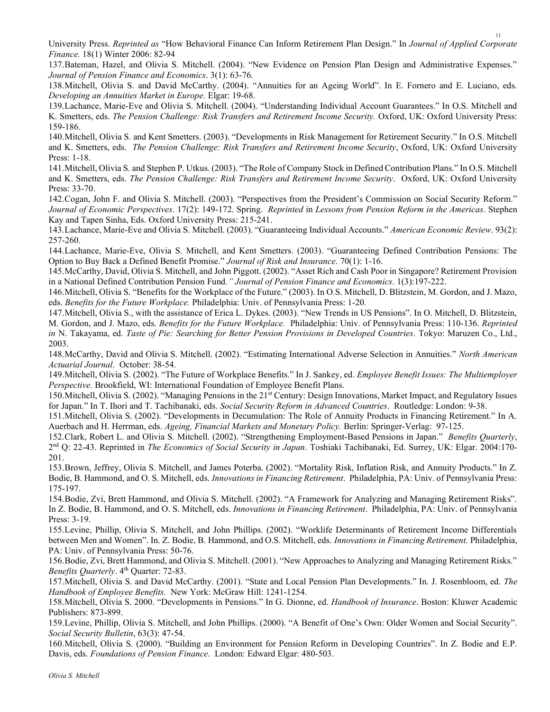University Press. Reprinted as "How Behavioral Finance Can Inform Retirement Plan Design." In Journal of Applied Corporate Finance. 18(1) Winter 2006: 82-94

137.Bateman, Hazel, and Olivia S. Mitchell. (2004). "New Evidence on Pension Plan Design and Administrative Expenses." Journal of Pension Finance and Economics. 3(1): 63-76.

138.Mitchell, Olivia S. and David McCarthy. (2004). "Annuities for an Ageing World". In E. Fornero and E. Luciano, eds. Developing an Annuities Market in Europe. Elgar: 19-68.

139.Lachance, Marie-Eve and Olivia S. Mitchell. (2004). "Understanding Individual Account Guarantees." In O.S. Mitchell and K. Smetters, eds. The Pension Challenge: Risk Transfers and Retirement Income Security. Oxford, UK: Oxford University Press: 159-186.

140.Mitchell, Olivia S. and Kent Smetters. (2003). "Developments in Risk Management for Retirement Security." In O.S. Mitchell and K. Smetters, eds. The Pension Challenge: Risk Transfers and Retirement Income Security, Oxford, UK: Oxford University Press: 1-18.

141.Mitchell, Olivia S. and Stephen P. Utkus. (2003). "The Role of Company Stock in Defined Contribution Plans." In O.S. Mitchell and K. Smetters, eds. The Pension Challenge: Risk Transfers and Retirement Income Security. Oxford, UK: Oxford University Press: 33-70.

142.Cogan, John F. and Olivia S. Mitchell. (2003). "Perspectives from the President's Commission on Social Security Reform." Journal of Economic Perspectives. 17(2): 149-172. Spring. Reprinted in Lessons from Pension Reform in the Americas. Stephen Kay and Tapen Sinha, Eds. Oxford University Press: 215-241.

143.Lachance, Marie-Eve and Olivia S. Mitchell. (2003). "Guaranteeing Individual Accounts." American Economic Review. 93(2): 257-260.

144.Lachance, Marie-Eve, Olivia S. Mitchell, and Kent Smetters. (2003). "Guaranteeing Defined Contribution Pensions: The Option to Buy Back a Defined Benefit Promise." Journal of Risk and Insurance. 70(1): 1-16.

145.McCarthy, David, Olivia S. Mitchell, and John Piggott. (2002). "Asset Rich and Cash Poor in Singapore? Retirement Provision in a National Defined Contribution Pension Fund." Journal of Pension Finance and Economics. 1(3):197-222.

146.Mitchell, Olivia S. "Benefits for the Workplace of the Future." (2003). In O.S. Mitchell, D. Blitzstein, M. Gordon, and J. Mazo, eds. Benefits for the Future Workplace. Philadelphia: Univ. of Pennsylvania Press: 1-20.

147.Mitchell, Olivia S., with the assistance of Erica L. Dykes. (2003). "New Trends in US Pensions". In O. Mitchell, D. Blitzstein, M. Gordon, and J. Mazo, eds. Benefits for the Future Workplace. Philadelphia: Univ. of Pennsylvania Press: 110-136. Reprinted in N. Takayama, ed. Taste of Pie: Searching for Better Pension Provisions in Developed Countries. Tokyo: Maruzen Co., Ltd., 2003.

148.McCarthy, David and Olivia S. Mitchell. (2002). "Estimating International Adverse Selection in Annuities." North American Actuarial Journal. October: 38-54.

149.Mitchell, Olivia S. (2002). "The Future of Workplace Benefits." In J. Sankey, ed. Employee Benefit Issues: The Multiemployer Perspective. Brookfield, WI: International Foundation of Employee Benefit Plans.

150.Mitchell, Olivia S. (2002). "Managing Pensions in the 21st Century: Design Innovations, Market Impact, and Regulatory Issues for Japan." In T. Ihori and T. Tachibanaki, eds. Social Security Reform in Advanced Countries. Routledge: London: 9-38.

151.Mitchell, Olivia S. (2002). "Developments in Decumulation: The Role of Annuity Products in Financing Retirement." In A. Auerbach and H. Herrman, eds. Ageing, Financial Markets and Monetary Policy. Berlin: Springer-Verlag: 97-125.

152.Clark, Robert L. and Olivia S. Mitchell. (2002). "Strengthening Employment-Based Pensions in Japan." Benefits Quarterly, 2<sup>nd</sup> Q: 22-43. Reprinted in *The Economics of Social Security in Japan*. Toshiaki Tachibanaki, Ed. Surrey, UK: Elgar. 2004:170-201.

153.Brown, Jeffrey, Olivia S. Mitchell, and James Poterba. (2002). "Mortality Risk, Inflation Risk, and Annuity Products." In Z. Bodie, B. Hammond, and O. S. Mitchell, eds. Innovations in Financing Retirement. Philadelphia, PA: Univ. of Pennsylvania Press: 175-197.

154.Bodie, Zvi, Brett Hammond, and Olivia S. Mitchell. (2002). "A Framework for Analyzing and Managing Retirement Risks". In Z. Bodie, B. Hammond, and O. S. Mitchell, eds. Innovations in Financing Retirement. Philadelphia, PA: Univ. of Pennsylvania Press: 3-19.

155.Levine, Phillip, Olivia S. Mitchell, and John Phillips. (2002). "Worklife Determinants of Retirement Income Differentials between Men and Women". In. Z. Bodie, B. Hammond, and O.S. Mitchell, eds. Innovations in Financing Retirement. Philadelphia, PA: Univ. of Pennsylvania Press: 50-76.

156.Bodie, Zvi, Brett Hammond, and Olivia S. Mitchell. (2001). "New Approaches to Analyzing and Managing Retirement Risks." Benefits Quarterly. 4<sup>th</sup> Quarter: 72-83.

157.Mitchell, Olivia S. and David McCarthy. (2001). "State and Local Pension Plan Developments." In. J. Rosenbloom, ed. The Handbook of Employee Benefits. New York: McGraw Hill: 1241-1254.

158.Mitchell, Olivia S. 2000. "Developments in Pensions." In G. Dionne, ed. Handbook of Insurance. Boston: Kluwer Academic Publishers: 873-899.

159.Levine, Phillip, Olivia S. Mitchell, and John Phillips. (2000). "A Benefit of One's Own: Older Women and Social Security". Social Security Bulletin, 63(3): 47-54.

160.Mitchell, Olivia S. (2000). "Building an Environment for Pension Reform in Developing Countries". In Z. Bodie and E.P. Davis, eds. Foundations of Pension Finance. London: Edward Elgar: 480-503.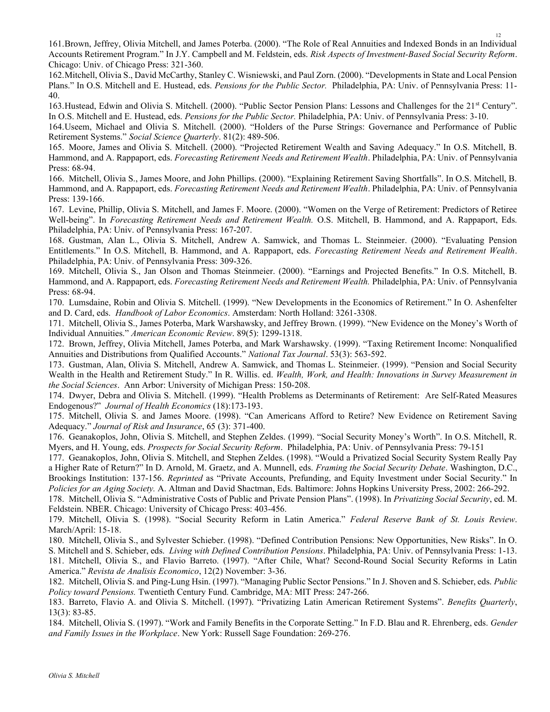161.Brown, Jeffrey, Olivia Mitchell, and James Poterba. (2000). "The Role of Real Annuities and Indexed Bonds in an Individual Accounts Retirement Program." In J.Y. Campbell and M. Feldstein, eds. Risk Aspects of Investment-Based Social Security Reform. Chicago: Univ. of Chicago Press: 321-360.

162.Mitchell, Olivia S., David McCarthy, Stanley C. Wisniewski, and Paul Zorn. (2000). "Developments in State and Local Pension Plans." In O.S. Mitchell and E. Hustead, eds. Pensions for the Public Sector. Philadelphia, PA: Univ. of Pennsylvania Press: 11- 40.

163. Hustead, Edwin and Olivia S. Mitchell. (2000). "Public Sector Pension Plans: Lessons and Challenges for the 21<sup>st</sup> Century". In O.S. Mitchell and E. Hustead, eds. Pensions for the Public Sector. Philadelphia, PA: Univ. of Pennsylvania Press: 3-10.

164.Useem, Michael and Olivia S. Mitchell. (2000). "Holders of the Purse Strings: Governance and Performance of Public Retirement Systems." Social Science Quarterly. 81(2): 489-506.

165. Moore, James and Olivia S. Mitchell. (2000). "Projected Retirement Wealth and Saving Adequacy." In O.S. Mitchell, B. Hammond, and A. Rappaport, eds. Forecasting Retirement Needs and Retirement Wealth. Philadelphia, PA: Univ. of Pennsylvania Press: 68-94.

166. Mitchell, Olivia S., James Moore, and John Phillips. (2000). "Explaining Retirement Saving Shortfalls". In O.S. Mitchell, B. Hammond, and A. Rappaport, eds. Forecasting Retirement Needs and Retirement Wealth. Philadelphia, PA: Univ. of Pennsylvania Press: 139-166.

167. Levine, Phillip, Olivia S. Mitchell, and James F. Moore. (2000). "Women on the Verge of Retirement: Predictors of Retiree Well-being". In Forecasting Retirement Needs and Retirement Wealth. O.S. Mitchell, B. Hammond, and A. Rappaport, Eds. Philadelphia, PA: Univ. of Pennsylvania Press: 167-207.

168. Gustman, Alan L., Olivia S. Mitchell, Andrew A. Samwick, and Thomas L. Steinmeier. (2000). "Evaluating Pension Entitlements." In O.S. Mitchell, B. Hammond, and A. Rappaport, eds. Forecasting Retirement Needs and Retirement Wealth. Philadelphia, PA: Univ. of Pennsylvania Press: 309-326.

169. Mitchell, Olivia S., Jan Olson and Thomas Steinmeier. (2000). "Earnings and Projected Benefits." In O.S. Mitchell, B. Hammond, and A. Rappaport, eds. Forecasting Retirement Needs and Retirement Wealth. Philadelphia, PA: Univ. of Pennsylvania Press: 68-94.

170. Lumsdaine, Robin and Olivia S. Mitchell. (1999). "New Developments in the Economics of Retirement." In O. Ashenfelter and D. Card, eds. Handbook of Labor Economics. Amsterdam: North Holland: 3261-3308.

171. Mitchell, Olivia S., James Poterba, Mark Warshawsky, and Jeffrey Brown. (1999). "New Evidence on the Money's Worth of Individual Annuities." American Economic Review. 89(5): 1299-1318.

172. Brown, Jeffrey, Olivia Mitchell, James Poterba, and Mark Warshawsky. (1999). "Taxing Retirement Income: Nonqualified Annuities and Distributions from Qualified Accounts." National Tax Journal. 53(3): 563-592.

173. Gustman, Alan, Olivia S. Mitchell, Andrew A. Samwick, and Thomas L. Steinmeier. (1999). "Pension and Social Security Wealth in the Health and Retirement Study." In R. Willis. ed. Wealth, Work, and Health: Innovations in Survey Measurement in the Social Sciences. Ann Arbor: University of Michigan Press: 150-208.

174. Dwyer, Debra and Olivia S. Mitchell. (1999). "Health Problems as Determinants of Retirement: Are Self-Rated Measures Endogenous?" Journal of Health Economics (18):173-193.

175. Mitchell, Olivia S. and James Moore. (1998). "Can Americans Afford to Retire? New Evidence on Retirement Saving Adequacy." Journal of Risk and Insurance, 65 (3): 371-400.

176. Geanakoplos, John, Olivia S. Mitchell, and Stephen Zeldes. (1999). "Social Security Money's Worth". In O.S. Mitchell, R. Myers, and H. Young, eds. Prospects for Social Security Reform. Philadelphia, PA: Univ. of Pennsylvania Press: 79-151

177. Geanakoplos, John, Olivia S. Mitchell, and Stephen Zeldes. (1998). "Would a Privatized Social Security System Really Pay a Higher Rate of Return?" In D. Arnold, M. Graetz, and A. Munnell, eds. Framing the Social Security Debate. Washington, D.C., Brookings Institution: 137-156. Reprinted as "Private Accounts, Prefunding, and Equity Investment under Social Security." In Policies for an Aging Society. A. Altman and David Shactman, Eds. Baltimore: Johns Hopkins University Press, 2002: 266-292.

178. Mitchell, Olivia S. "Administrative Costs of Public and Private Pension Plans". (1998). In Privatizing Social Security, ed. M. Feldstein. NBER. Chicago: University of Chicago Press: 403-456.

179. Mitchell, Olivia S. (1998). "Social Security Reform in Latin America." Federal Reserve Bank of St. Louis Review. March/April: 15-18.

180. Mitchell, Olivia S., and Sylvester Schieber. (1998). "Defined Contribution Pensions: New Opportunities, New Risks". In O. S. Mitchell and S. Schieber, eds. Living with Defined Contribution Pensions. Philadelphia, PA: Univ. of Pennsylvania Press: 1-13. 181. Mitchell, Olivia S., and Flavio Barreto. (1997). "After Chile, What? Second-Round Social Security Reforms in Latin America." Revista de Analisis Economico, 12(2) November: 3-36.

182. Mitchell, Olivia S. and Ping-Lung Hsin. (1997). "Managing Public Sector Pensions." In J. Shoven and S. Schieber, eds. Public Policy toward Pensions. Twentieth Century Fund. Cambridge, MA: MIT Press: 247-266.

183. Barreto, Flavio A. and Olivia S. Mitchell. (1997). "Privatizing Latin American Retirement Systems". Benefits Quarterly, 13(3): 83-85.

184. Mitchell, Olivia S. (1997). "Work and Family Benefits in the Corporate Setting." In F.D. Blau and R. Ehrenberg, eds. Gender and Family Issues in the Workplace. New York: Russell Sage Foundation: 269-276.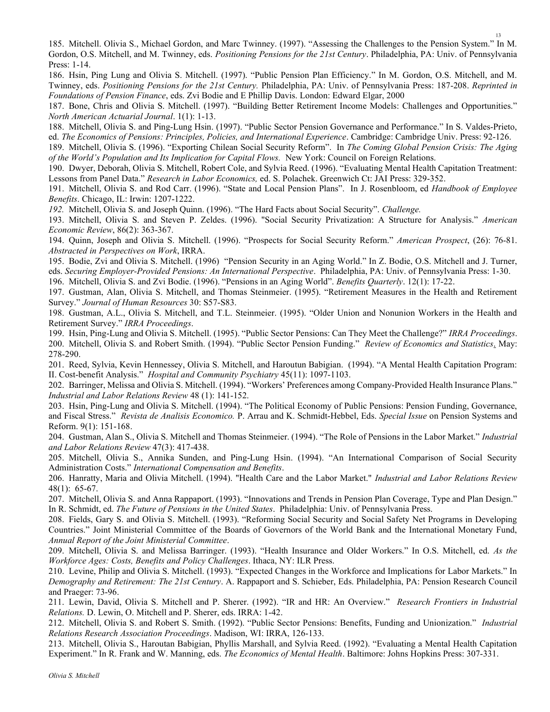185. Mitchell. Olivia S., Michael Gordon, and Marc Twinney. (1997). "Assessing the Challenges to the Pension System." In M. Gordon, O.S. Mitchell, and M. Twinney, eds. Positioning Pensions for the 21st Century. Philadelphia, PA: Univ. of Pennsylvania Press: 1-14.

186. Hsin, Ping Lung and Olivia S. Mitchell. (1997). "Public Pension Plan Efficiency." In M. Gordon, O.S. Mitchell, and M. Twinney, eds. Positioning Pensions for the 21st Century. Philadelphia, PA: Univ. of Pennsylvania Press: 187-208. Reprinted in Foundations of Pension Finance, eds. Zvi Bodie and E Phillip Davis. London: Edward Elgar, 2000

187. Bone, Chris and Olivia S. Mitchell. (1997). "Building Better Retirement Income Models: Challenges and Opportunities." North American Actuarial Journal. 1(1): 1-13.

188. Mitchell, Olivia S. and Ping-Lung Hsin. (1997). "Public Sector Pension Governance and Performance." In S. Valdes-Prieto, ed. The Economics of Pensions: Principles, Policies, and International Experience. Cambridge: Cambridge Univ. Press: 92-126.

189. Mitchell, Olivia S. (1996). "Exporting Chilean Social Security Reform". In The Coming Global Pension Crisis: The Aging of the World's Population and Its Implication for Capital Flows. New York: Council on Foreign Relations.

190. Dwyer, Deborah, Olivia S. Mitchell, Robert Cole, and Sylvia Reed. (1996). "Evaluating Mental Health Capitation Treatment: Lessons from Panel Data." Research in Labor Economics, ed. S. Polachek. Greenwich Ct: JAI Press: 329-352.

191. Mitchell, Olivia S. and Rod Carr. (1996). "State and Local Pension Plans". In J. Rosenbloom, ed Handbook of Employee Benefits. Chicago, IL: Irwin: 1207-1222.

192. Mitchell, Olivia S. and Joseph Quinn. (1996). "The Hard Facts about Social Security". Challenge.

193. Mitchell, Olivia S. and Steven P. Zeldes. (1996). "Social Security Privatization: A Structure for Analysis." American Economic Review, 86(2): 363-367.

194. Quinn, Joseph and Olivia S. Mitchell. (1996). "Prospects for Social Security Reform." American Prospect, (26): 76-81. Abstracted in Perspectives on Work, IRRA.

195. Bodie, Zvi and Olivia S. Mitchell. (1996) "Pension Security in an Aging World." In Z. Bodie, O.S. Mitchell and J. Turner, eds. Securing Employer-Provided Pensions: An International Perspective. Philadelphia, PA: Univ. of Pennsylvania Press: 1-30.

196. Mitchell, Olivia S. and Zvi Bodie. (1996). "Pensions in an Aging World". Benefits Quarterly. 12(1): 17-22.

197. Gustman, Alan, Olivia S. Mitchell, and Thomas Steinmeier. (1995). "Retirement Measures in the Health and Retirement Survey." Journal of Human Resources 30: S57-S83.

198. Gustman, A.L., Olivia S. Mitchell, and T.L. Steinmeier. (1995). "Older Union and Nonunion Workers in the Health and Retirement Survey." IRRA Proceedings.

199. Hsin, Ping-Lung and Olivia S. Mitchell. (1995). "Public Sector Pensions: Can They Meet the Challenge?" IRRA Proceedings. 200. Mitchell, Olivia S. and Robert Smith. (1994). "Public Sector Pension Funding." Review of Economics and Statistics. May: 278-290.

201. Reed, Sylvia, Kevin Hennessey, Olivia S. Mitchell, and Haroutun Babigian. (1994). "A Mental Health Capitation Program: II. Cost-benefit Analysis." Hospital and Community Psychiatry 45(11): 1097-1103.

202. Barringer, Melissa and Olivia S. Mitchell. (1994). "Workers' Preferences among Company-Provided Health Insurance Plans." Industrial and Labor Relations Review 48 (1): 141-152.

203. Hsin, Ping-Lung and Olivia S. Mitchell. (1994). "The Political Economy of Public Pensions: Pension Funding, Governance, and Fiscal Stress." Revista de Analisis Economico. P. Arrau and K. Schmidt-Hebbel, Eds. Special Issue on Pension Systems and Reform. 9(1): 151-168.

204. Gustman, Alan S., Olivia S. Mitchell and Thomas Steinmeier. (1994). "The Role of Pensions in the Labor Market." Industrial and Labor Relations Review 47(3): 417-438.

205. Mitchell, Olivia S., Annika Sunden, and Ping-Lung Hsin. (1994). "An International Comparison of Social Security Administration Costs." International Compensation and Benefits.

206. Hanratty, Maria and Olivia Mitchell. (1994). "Health Care and the Labor Market." Industrial and Labor Relations Review 48(1): 65-67.

207. Mitchell, Olivia S. and Anna Rappaport. (1993). "Innovations and Trends in Pension Plan Coverage, Type and Plan Design." In R. Schmidt, ed. The Future of Pensions in the United States. Philadelphia: Univ. of Pennsylvania Press.

208. Fields, Gary S. and Olivia S. Mitchell. (1993). "Reforming Social Security and Social Safety Net Programs in Developing Countries." Joint Ministerial Committee of the Boards of Governors of the World Bank and the International Monetary Fund, Annual Report of the Joint Ministerial Committee.

209. Mitchell, Olivia S. and Melissa Barringer. (1993). "Health Insurance and Older Workers." In O.S. Mitchell, ed. As the Workforce Ages: Costs, Benefits and Policy Challenges. Ithaca, NY: ILR Press.

210. Levine, Philip and Olivia S. Mitchell. (1993). "Expected Changes in the Workforce and Implications for Labor Markets." In Demography and Retirement: The 21st Century. A. Rappaport and S. Schieber, Eds. Philadelphia, PA: Pension Research Council and Praeger: 73-96.

211. Lewin, David, Olivia S. Mitchell and P. Sherer. (1992). "IR and HR: An Overview." Research Frontiers in Industrial Relations. D. Lewin, O. Mitchell and P. Sherer, eds. IRRA: 1-42.

212. Mitchell, Olivia S. and Robert S. Smith. (1992). "Public Sector Pensions: Benefits, Funding and Unionization." Industrial Relations Research Association Proceedings. Madison, WI: IRRA, 126-133.

213. Mitchell, Olivia S., Haroutan Babigian, Phyllis Marshall, and Sylvia Reed. (1992). "Evaluating a Mental Health Capitation Experiment." In R. Frank and W. Manning, eds. The Economics of Mental Health. Baltimore: Johns Hopkins Press: 307-331.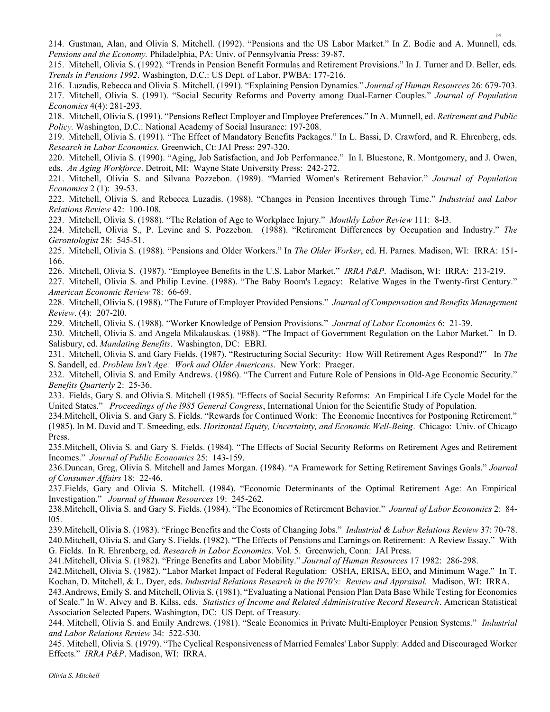214. Gustman, Alan, and Olivia S. Mitchell. (1992). "Pensions and the US Labor Market." In Z. Bodie and A. Munnell, eds. Pensions and the Economy. Philadelphia, PA: Univ. of Pennsylvania Press: 39-87.

215. Mitchell, Olivia S. (1992). "Trends in Pension Benefit Formulas and Retirement Provisions." In J. Turner and D. Beller, eds. Trends in Pensions 1992. Washington, D.C.: US Dept. of Labor, PWBA: 177-216.

216. Luzadis, Rebecca and Olivia S. Mitchell. (1991). "Explaining Pension Dynamics." Journal of Human Resources 26: 679-703.

217. Mitchell, Olivia S. (1991). "Social Security Reforms and Poverty among Dual-Earner Couples." Journal of Population Economics 4(4): 281-293.

218. Mitchell, Olivia S. (1991). "Pensions Reflect Employer and Employee Preferences." In A. Munnell, ed. Retirement and Public Policy. Washington, D.C.: National Academy of Social Insurance: 197-208.

219. Mitchell, Olivia S. (1991). "The Effect of Mandatory Benefits Packages." In L. Bassi, D. Crawford, and R. Ehrenberg, eds. Research in Labor Economics. Greenwich, Ct: JAI Press: 297-320.

220. Mitchell, Olivia S. (1990). "Aging, Job Satisfaction, and Job Performance." In I. Bluestone, R. Montgomery, and J. Owen, eds. An Aging Workforce. Detroit, MI: Wayne State University Press: 242-272.

221. Mitchell, Olivia S. and Silvana Pozzebon. (1989). "Married Women's Retirement Behavior." Journal of Population Economics 2 (1): 39-53.

222. Mitchell, Olivia S. and Rebecca Luzadis. (1988). "Changes in Pension Incentives through Time." Industrial and Labor Relations Review 42: 100-108.

223. Mitchell, Olivia S. (1988). "The Relation of Age to Workplace Injury." Monthly Labor Review 111: 8-l3.

224. Mitchell, Olivia S., P. Levine and S. Pozzebon. (1988). "Retirement Differences by Occupation and Industry." The Gerontologist 28: 545-51.

225. Mitchell, Olivia S. (1988). "Pensions and Older Workers." In The Older Worker, ed. H. Parnes. Madison, WI: IRRA: 151-166.

226. Mitchell, Olivia S. (1987). "Employee Benefits in the U.S. Labor Market." IRRA P&P. Madison, WI: IRRA: 213-219.

227. Mitchell, Olivia S. and Philip Levine. (1988). "The Baby Boom's Legacy: Relative Wages in the Twenty-first Century." American Economic Review 78: 66-69.

228. Mitchell, Olivia S. (1988). "The Future of Employer Provided Pensions." Journal of Compensation and Benefits Management Review. (4): 207-2l0.

229. Mitchell, Olivia S. (1988). "Worker Knowledge of Pension Provisions." Journal of Labor Economics 6: 21-39.

230. Mitchell, Olivia S. and Angela Mikalauskas. (1988). "The Impact of Government Regulation on the Labor Market." In D. Salisbury, ed. Mandating Benefits. Washington, DC: EBRI.

231. Mitchell, Olivia S. and Gary Fields. (1987). "Restructuring Social Security: How Will Retirement Ages Respond?" In The S. Sandell, ed. Problem Isn't Age: Work and Older Americans. New York: Praeger.

232. Mitchell, Olivia S. and Emily Andrews. (1986). "The Current and Future Role of Pensions in Old-Age Economic Security." Benefits Quarterly 2: 25-36.

233. Fields, Gary S. and Olivia S. Mitchell (1985). "Effects of Social Security Reforms: An Empirical Life Cycle Model for the United States." Proceedings of the 1985 General Congress, International Union for the Scientific Study of Population.

234.Mitchell, Olivia S. and Gary S. Fields. "Rewards for Continued Work: The Economic Incentives for Postponing Retirement." (1985). In M. David and T. Smeeding, eds. Horizontal Equity, Uncertainty, and Economic Well-Being. Chicago: Univ. of Chicago Press.

235.Mitchell, Olivia S. and Gary S. Fields. (1984). "The Effects of Social Security Reforms on Retirement Ages and Retirement Incomes." Journal of Public Economics 25: 143-159.

236.Duncan, Greg, Olivia S. Mitchell and James Morgan. (1984). "A Framework for Setting Retirement Savings Goals." Journal of Consumer Affairs 18: 22-46.

237.Fields, Gary and Olivia S. Mitchell. (1984). "Economic Determinants of the Optimal Retirement Age: An Empirical Investigation." Journal of Human Resources 19: 245-262.

238. Mitchell, Olivia S. and Gary S. Fields. (1984). "The Economics of Retirement Behavior." Journal of Labor Economics 2: 84l05.

239.Mitchell, Olivia S. (1983). "Fringe Benefits and the Costs of Changing Jobs." Industrial & Labor Relations Review 37: 70-78. 240.Mitchell, Olivia S. and Gary S. Fields. (1982). "The Effects of Pensions and Earnings on Retirement: A Review Essay." With G. Fields. In R. Ehrenberg, ed. Research in Labor Economics. Vol. 5. Greenwich, Conn: JAI Press.

241.Mitchell, Olivia S. (1982). "Fringe Benefits and Labor Mobility." Journal of Human Resources 17 1982: 286-298.

242.Mitchell, Olivia S. (1982). "Labor Market Impact of Federal Regulation: OSHA, ERISA, EEO, and Minimum Wage." In T. Kochan, D. Mitchell, & L. Dyer, eds. Industrial Relations Research in the l970's: Review and Appraisal. Madison, WI: IRRA.

243.Andrews, Emily S. and Mitchell, Olivia S. (1981). "Evaluating a National Pension Plan Data Base While Testing for Economies of Scale." In W. Alvey and B. Kilss, eds. Statistics of Income and Related Administrative Record Research. American Statistical Association Selected Papers. Washington, DC: US Dept. of Treasury.

244. Mitchell, Olivia S. and Emily Andrews. (1981). "Scale Economies in Private Multi-Employer Pension Systems." Industrial and Labor Relations Review 34: 522-530.

245. Mitchell, Olivia S. (1979). "The Cyclical Responsiveness of Married Females' Labor Supply: Added and Discouraged Worker Effects." IRRA P&P. Madison, WI: IRRA.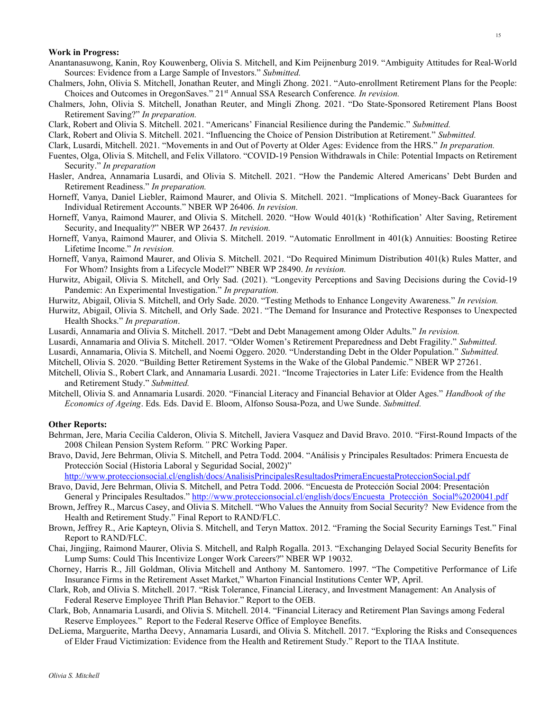#### Work in Progress:

- Anantanasuwong, Kanin, Roy Kouwenberg, Olivia S. Mitchell, and Kim Peijnenburg 2019. "Ambiguity Attitudes for Real-World Sources: Evidence from a Large Sample of Investors." Submitted.
- Chalmers, John, Olivia S. Mitchell, Jonathan Reuter, and Mingli Zhong. 2021. "Auto-enrollment Retirement Plans for the People: Choices and Outcomes in OregonSaves." 21<sup>st</sup> Annual SSA Research Conference. In revision.
- Chalmers, John, Olivia S. Mitchell, Jonathan Reuter, and Mingli Zhong. 2021. "Do State-Sponsored Retirement Plans Boost Retirement Saving?" In preparation.
- Clark, Robert and Olivia S. Mitchell. 2021. "Americans' Financial Resilience during the Pandemic." Submitted.
- Clark, Robert and Olivia S. Mitchell. 2021. "Influencing the Choice of Pension Distribution at Retirement." Submitted.
- Clark, Lusardi, Mitchell. 2021. "Movements in and Out of Poverty at Older Ages: Evidence from the HRS." In preparation.
- Fuentes, Olga, Olivia S. Mitchell, and Felix Villatoro. "COVID-19 Pension Withdrawals in Chile: Potential Impacts on Retirement Security." In preparation
- Hasler, Andrea, Annamaria Lusardi, and Olivia S. Mitchell. 2021. "How the Pandemic Altered Americans' Debt Burden and Retirement Readiness." In preparation.
- Horneff, Vanya, Daniel Liebler, Raimond Maurer, and Olivia S. Mitchell. 2021. "Implications of Money-Back Guarantees for Individual Retirement Accounts." NBER WP 26406. In revision.
- Horneff, Vanya, Raimond Maurer, and Olivia S. Mitchell. 2020. "How Would 401(k) 'Rothification' Alter Saving, Retirement Security, and Inequality?" NBER WP 26437. In revision.
- Horneff, Vanya, Raimond Maurer, and Olivia S. Mitchell. 2019. "Automatic Enrollment in 401(k) Annuities: Boosting Retiree Lifetime Income." In revision.
- Horneff, Vanya, Raimond Maurer, and Olivia S. Mitchell. 2021. "Do Required Minimum Distribution 401(k) Rules Matter, and For Whom? Insights from a Lifecycle Model?" NBER WP 28490. In revision.
- Hurwitz, Abigail, Olivia S. Mitchell, and Orly Sad. (2021). "Longevity Perceptions and Saving Decisions during the Covid-19 Pandemic: An Experimental Investigation." In preparation.
- Hurwitz, Abigail, Olivia S. Mitchell, and Orly Sade. 2020. "Testing Methods to Enhance Longevity Awareness." In revision.
- Hurwitz, Abigail, Olivia S. Mitchell, and Orly Sade. 2021. "The Demand for Insurance and Protective Responses to Unexpected Health Shocks." In preparation.
- Lusardi, Annamaria and Olivia S. Mitchell. 2017. "Debt and Debt Management among Older Adults." In revision.
- Lusardi, Annamaria and Olivia S. Mitchell. 2017. "Older Women's Retirement Preparedness and Debt Fragility." Submitted.
- Lusardi, Annamaria, Olivia S. Mitchell, and Noemi Oggero. 2020. "Understanding Debt in the Older Population." Submitted.
- Mitchell, Olivia S. 2020. "Building Better Retirement Systems in the Wake of the Global Pandemic." NBER WP 27261.
- Mitchell, Olivia S., Robert Clark, and Annamaria Lusardi. 2021. "Income Trajectories in Later Life: Evidence from the Health and Retirement Study." Submitted.
- Mitchell, Olivia S. and Annamaria Lusardi. 2020. "Financial Literacy and Financial Behavior at Older Ages." Handbook of the Economics of Ageing. Eds. Eds. David E. Bloom, Alfonso Sousa-Poza, and Uwe Sunde. Submitted.

### Other Reports:

- Behrman, Jere, Maria Cecilia Calderon, Olivia S. Mitchell, Javiera Vasquez and David Bravo. 2010. "First-Round Impacts of the 2008 Chilean Pension System Reform." PRC Working Paper.
- Bravo, David, Jere Behrman, Olivia S. Mitchell, and Petra Todd. 2004. "Análisis y Principales Resultados: Primera Encuesta de Protección Social (Historia Laboral y Seguridad Social, 2002)"

http://www.proteccionsocial.cl/english/docs/AnalisisPrincipalesResultadosPrimeraEncuestaProteccionSocial.pdf

- Bravo, David, Jere Behrman, Olivia S. Mitchell, and Petra Todd. 2006. "Encuesta de Protección Social 2004: Presentación General y Principales Resultados." http://www.proteccionsocial.cl/english/docs/Encuesta\_Protección\_Social%2020041.pdf
- Brown, Jeffrey R., Marcus Casey, and Olivia S. Mitchell. "Who Values the Annuity from Social Security? New Evidence from the Health and Retirement Study." Final Report to RAND/FLC.
- Brown, Jeffrey R., Arie Kapteyn, Olivia S. Mitchell, and Teryn Mattox. 2012. "Framing the Social Security Earnings Test." Final Report to RAND/FLC.
- Chai, Jingjing, Raimond Maurer, Olivia S. Mitchell, and Ralph Rogalla. 2013. "Exchanging Delayed Social Security Benefits for Lump Sums: Could This Incentivize Longer Work Careers?" NBER WP 19032.
- Chorney, Harris R., Jill Goldman, Olivia Mitchell and Anthony M. Santomero. 1997. "The Competitive Performance of Life Insurance Firms in the Retirement Asset Market," Wharton Financial Institutions Center WP, April.
- Clark, Rob, and Olivia S. Mitchell. 2017. "Risk Tolerance, Financial Literacy, and Investment Management: An Analysis of Federal Reserve Employee Thrift Plan Behavior." Report to the OEB.
- Clark, Bob, Annamaria Lusardi, and Olivia S. Mitchell. 2014. "Financial Literacy and Retirement Plan Savings among Federal Reserve Employees." Report to the Federal Reserve Office of Employee Benefits.
- DeLiema, Marguerite, Martha Deevy, Annamaria Lusardi, and Olivia S. Mitchell. 2017. "Exploring the Risks and Consequences of Elder Fraud Victimization: Evidence from the Health and Retirement Study." Report to the TIAA Institute.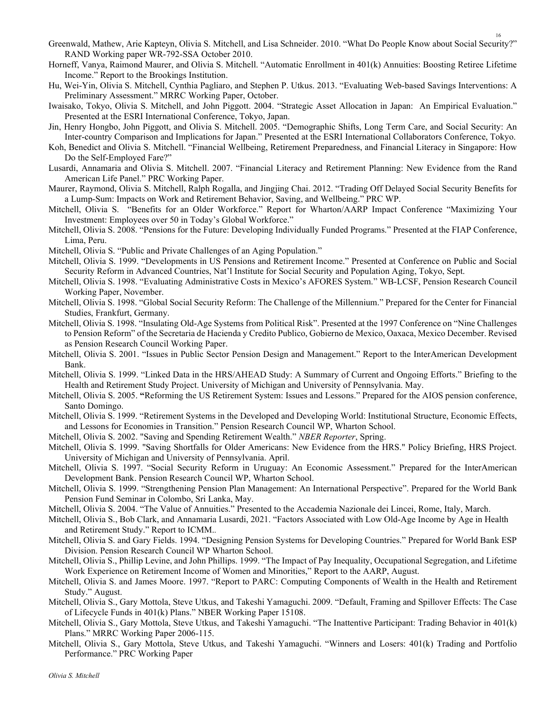- Greenwald, Mathew, Arie Kapteyn, Olivia S. Mitchell, and Lisa Schneider. 2010. "What Do People Know about Social Security?" RAND Working paper WR-792-SSA October 2010.
- Horneff, Vanya, Raimond Maurer, and Olivia S. Mitchell. "Automatic Enrollment in 401(k) Annuities: Boosting Retiree Lifetime Income." Report to the Brookings Institution.
- Hu, Wei-Yin, Olivia S. Mitchell, Cynthia Pagliaro, and Stephen P. Utkus. 2013. "Evaluating Web-based Savings Interventions: A Preliminary Assessment." MRRC Working Paper, October.
- Iwaisako, Tokyo, Olivia S. Mitchell, and John Piggott. 2004. "Strategic Asset Allocation in Japan: An Empirical Evaluation." Presented at the ESRI International Conference, Tokyo, Japan.
- Jin, Henry Hongbo, John Piggott, and Olivia S. Mitchell. 2005. "Demographic Shifts, Long Term Care, and Social Security: An Inter-country Comparison and Implications for Japan." Presented at the ESRI International Collaborators Conference, Tokyo.
- Koh, Benedict and Olivia S. Mitchell. "Financial Wellbeing, Retirement Preparedness, and Financial Literacy in Singapore: How Do the Self-Employed Fare?"
- Lusardi, Annamaria and Olivia S. Mitchell. 2007. "Financial Literacy and Retirement Planning: New Evidence from the Rand American Life Panel." PRC Working Paper.
- Maurer, Raymond, Olivia S. Mitchell, Ralph Rogalla, and Jingjing Chai. 2012. "Trading Off Delayed Social Security Benefits for a Lump-Sum: Impacts on Work and Retirement Behavior, Saving, and Wellbeing." PRC WP.
- Mitchell, Olivia S. "Benefits for an Older Workforce." Report for Wharton/AARP Impact Conference "Maximizing Your Investment: Employees over 50 in Today's Global Workforce."
- Mitchell, Olivia S. 2008. "Pensions for the Future: Developing Individually Funded Programs." Presented at the FIAP Conference, Lima, Peru.
- Mitchell, Olivia S. "Public and Private Challenges of an Aging Population."
- Mitchell, Olivia S. 1999. "Developments in US Pensions and Retirement Income." Presented at Conference on Public and Social Security Reform in Advanced Countries, Nat'l Institute for Social Security and Population Aging, Tokyo, Sept.
- Mitchell, Olivia S. 1998. "Evaluating Administrative Costs in Mexico's AFORES System." WB-LCSF, Pension Research Council Working Paper, November.
- Mitchell, Olivia S. 1998. "Global Social Security Reform: The Challenge of the Millennium." Prepared for the Center for Financial Studies, Frankfurt, Germany.
- Mitchell, Olivia S. 1998. "Insulating Old-Age Systems from Political Risk". Presented at the 1997 Conference on "Nine Challenges to Pension Reform" of the Secretaria de Hacienda y Credito Publico, Gobierno de Mexico, Oaxaca, Mexico December. Revised as Pension Research Council Working Paper.
- Mitchell, Olivia S. 2001. "Issues in Public Sector Pension Design and Management." Report to the InterAmerican Development Bank.
- Mitchell, Olivia S. 1999. "Linked Data in the HRS/AHEAD Study: A Summary of Current and Ongoing Efforts." Briefing to the Health and Retirement Study Project. University of Michigan and University of Pennsylvania. May.
- Mitchell, Olivia S. 2005. "Reforming the US Retirement System: Issues and Lessons." Prepared for the AIOS pension conference, Santo Domingo.
- Mitchell, Olivia S. 1999. "Retirement Systems in the Developed and Developing World: Institutional Structure, Economic Effects, and Lessons for Economies in Transition." Pension Research Council WP, Wharton School.
- Mitchell, Olivia S. 2002. "Saving and Spending Retirement Wealth." NBER Reporter, Spring.
- Mitchell, Olivia S. 1999. "Saving Shortfalls for Older Americans: New Evidence from the HRS." Policy Briefing, HRS Project. University of Michigan and University of Pennsylvania. April.
- Mitchell, Olivia S. 1997. "Social Security Reform in Uruguay: An Economic Assessment." Prepared for the InterAmerican Development Bank. Pension Research Council WP, Wharton School.
- Mitchell, Olivia S. 1999. "Strengthening Pension Plan Management: An International Perspective". Prepared for the World Bank Pension Fund Seminar in Colombo, Sri Lanka, May.
- Mitchell, Olivia S. 2004. "The Value of Annuities." Presented to the Accademia Nazionale dei Lincei, Rome, Italy, March.
- Mitchell, Olivia S., Bob Clark, and Annamaria Lusardi, 2021. "Factors Associated with Low Old-Age Income by Age in Health and Retirement Study." Report to ICMM..
- Mitchell, Olivia S. and Gary Fields. 1994. "Designing Pension Systems for Developing Countries." Prepared for World Bank ESP Division. Pension Research Council WP Wharton School.
- Mitchell, Olivia S., Phillip Levine, and John Phillips. 1999. "The Impact of Pay Inequality, Occupational Segregation, and Lifetime Work Experience on Retirement Income of Women and Minorities," Report to the AARP, August.
- Mitchell, Olivia S. and James Moore. 1997. "Report to PARC: Computing Components of Wealth in the Health and Retirement Study." August.
- Mitchell, Olivia S., Gary Mottola, Steve Utkus, and Takeshi Yamaguchi. 2009. "Default, Framing and Spillover Effects: The Case of Lifecycle Funds in 401(k) Plans." NBER Working Paper 15108.
- Mitchell, Olivia S., Gary Mottola, Steve Utkus, and Takeshi Yamaguchi. "The Inattentive Participant: Trading Behavior in 401(k) Plans." MRRC Working Paper 2006-115.
- Mitchell, Olivia S., Gary Mottola, Steve Utkus, and Takeshi Yamaguchi. "Winners and Losers: 401(k) Trading and Portfolio Performance." PRC Working Paper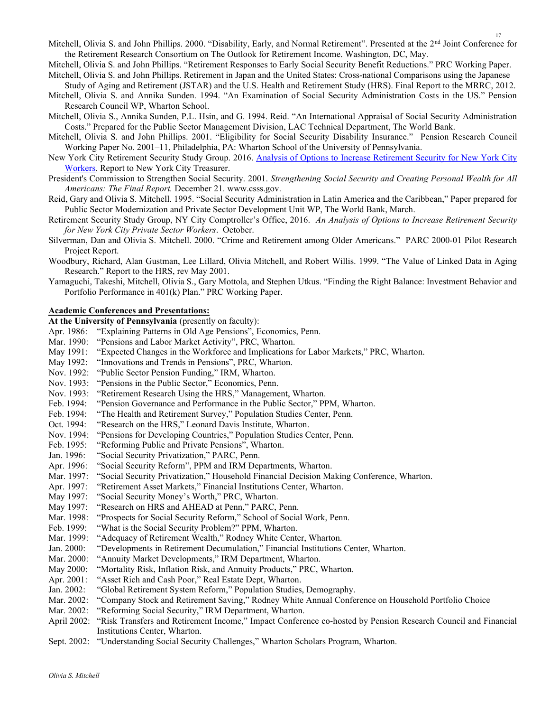Mitchell, Olivia S. and John Phillips. 2000. "Disability, Early, and Normal Retirement". Presented at the 2<sup>nd</sup> Joint Conference for the Retirement Research Consortium on The Outlook for Retirement Income. Washington, DC, May.

Mitchell, Olivia S. and John Phillips. "Retirement Responses to Early Social Security Benefit Reductions." PRC Working Paper. Mitchell, Olivia S. and John Phillips. Retirement in Japan and the United States: Cross-national Comparisons using the Japanese

Study of Aging and Retirement (JSTAR) and the U.S. Health and Retirement Study (HRS). Final Report to the MRRC, 2012.

- Mitchell, Olivia S. and Annika Sunden. 1994. "An Examination of Social Security Administration Costs in the US." Pension Research Council WP, Wharton School.
- Mitchell, Olivia S., Annika Sunden, P.L. Hsin, and G. 1994. Reid. "An International Appraisal of Social Security Administration Costs." Prepared for the Public Sector Management Division, LAC Technical Department, The World Bank.
- Mitchell, Olivia S. and John Phillips. 2001. "Eligibility for Social Security Disability Insurance." Pension Research Council Working Paper No. 2001–11, Philadelphia, PA: Wharton School of the University of Pennsylvania.
- New York City Retirement Security Study Group. 2016. Analysis of Options to Increase Retirement Security for New York City Workers. Report to New York City Treasurer.
- President's Commission to Strengthen Social Security. 2001. Strengthening Social Security and Creating Personal Wealth for All Americans: The Final Report. December 21. www.csss.gov.
- Reid, Gary and Olivia S. Mitchell. 1995. "Social Security Administration in Latin America and the Caribbean," Paper prepared for Public Sector Modernization and Private Sector Development Unit WP, The World Bank, March.
- Retirement Security Study Group, NY City Comptroller's Office, 2016. An Analysis of Options to Increase Retirement Security for New York City Private Sector Workers. October.
- Silverman, Dan and Olivia S. Mitchell. 2000. "Crime and Retirement among Older Americans." PARC 2000-01 Pilot Research Project Report.
- Woodbury, Richard, Alan Gustman, Lee Lillard, Olivia Mitchell, and Robert Willis. 1999. "The Value of Linked Data in Aging Research." Report to the HRS, rev May 2001.
- Yamaguchi, Takeshi, Mitchell, Olivia S., Gary Mottola, and Stephen Utkus. "Finding the Right Balance: Investment Behavior and Portfolio Performance in 401(k) Plan." PRC Working Paper.

### Academic Conferences and Presentations:

At the University of Pennsylvania (presently on faculty):

- Apr. 1986: "Explaining Patterns in Old Age Pensions", Economics, Penn.
- Mar. 1990: "Pensions and Labor Market Activity", PRC, Wharton.
- May 1991: "Expected Changes in the Workforce and Implications for Labor Markets," PRC, Wharton.
- May 1992: "Innovations and Trends in Pensions", PRC, Wharton.
- Nov. 1992: "Public Sector Pension Funding," IRM, Wharton.
- Nov. 1993: "Pensions in the Public Sector," Economics, Penn.
- Nov. 1993: "Retirement Research Using the HRS," Management, Wharton.
- Feb. 1994: "Pension Governance and Performance in the Public Sector," PPM, Wharton.
- Feb. 1994: "The Health and Retirement Survey," Population Studies Center, Penn.
- Oct. 1994: "Research on the HRS," Leonard Davis Institute, Wharton.
- Nov. 1994: "Pensions for Developing Countries," Population Studies Center, Penn.
- Feb. 1995: "Reforming Public and Private Pensions", Wharton.
- Jan. 1996: "Social Security Privatization," PARC, Penn.
- Apr. 1996: "Social Security Reform", PPM and IRM Departments, Wharton.
- Mar. 1997: "Social Security Privatization," Household Financial Decision Making Conference, Wharton.
- Apr. 1997: "Retirement Asset Markets," Financial Institutions Center, Wharton.
- May 1997: "Social Security Money's Worth," PRC, Wharton.
- May 1997: "Research on HRS and AHEAD at Penn," PARC, Penn.
- Mar. 1998: "Prospects for Social Security Reform," School of Social Work, Penn.
- Feb. 1999: "What is the Social Security Problem?" PPM, Wharton.
- Mar. 1999: "Adequacy of Retirement Wealth," Rodney White Center, Wharton.
- Jan. 2000: "Developments in Retirement Decumulation," Financial Institutions Center, Wharton.
- Mar. 2000: "Annuity Market Developments," IRM Department, Wharton.
- May 2000: "Mortality Risk, Inflation Risk, and Annuity Products," PRC, Wharton.
- Apr. 2001: "Asset Rich and Cash Poor," Real Estate Dept, Wharton.
- Jan. 2002: "Global Retirement System Reform," Population Studies, Demography.
- Mar. 2002: "Company Stock and Retirement Saving," Rodney White Annual Conference on Household Portfolio Choice
- Mar. 2002: "Reforming Social Security," IRM Department, Wharton.
- April 2002: "Risk Transfers and Retirement Income," Impact Conference co-hosted by Pension Research Council and Financial Institutions Center, Wharton.
- Sept. 2002: "Understanding Social Security Challenges," Wharton Scholars Program, Wharton.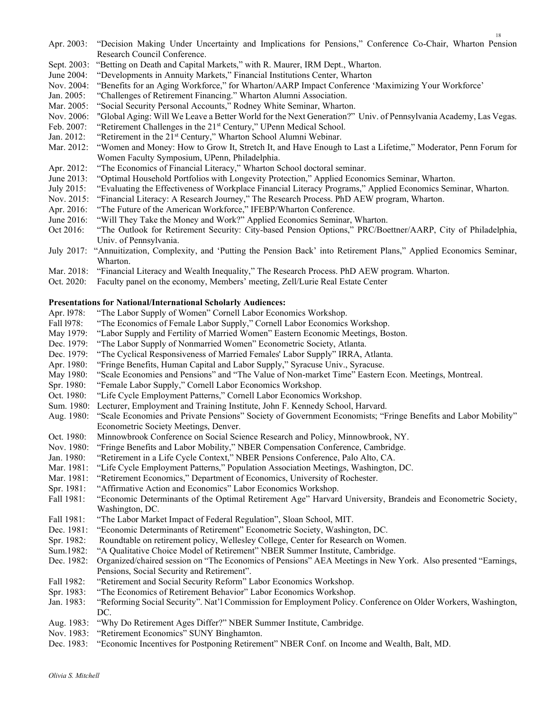- Apr. 2003: "Decision Making Under Uncertainty and Implications for Pensions," Conference Co-Chair, Wharton Pension Research Council Conference.
- Sept. 2003: "Betting on Death and Capital Markets," with R. Maurer, IRM Dept., Wharton.
- June 2004: "Developments in Annuity Markets," Financial Institutions Center, Wharton
- Nov. 2004: "Benefits for an Aging Workforce," for Wharton/AARP Impact Conference 'Maximizing Your Workforce'
- Jan. 2005: "Challenges of Retirement Financing." Wharton Alumni Association.
- Mar. 2005: "Social Security Personal Accounts," Rodney White Seminar, Wharton.
- Nov. 2006: "Global Aging: Will We Leave a Better World for the Next Generation?" Univ. of Pennsylvania Academy, Las Vegas.
- Feb. 2007: "Retirement Challenges in the 21<sup>st</sup> Century," UPenn Medical School.
- Jan. 2012: "Retirement in the 21<sup>st</sup> Century," Wharton School Alumni Webinar.
- Mar. 2012: "Women and Money: How to Grow It, Stretch It, and Have Enough to Last a Lifetime," Moderator, Penn Forum for Women Faculty Symposium, UPenn, Philadelphia.
- Apr. 2012: "The Economics of Financial Literacy," Wharton School doctoral seminar.
- June 2013: "Optimal Household Portfolios with Longevity Protection," Applied Economics Seminar, Wharton.
- July 2015: "Evaluating the Effectiveness of Workplace Financial Literacy Programs," Applied Economics Seminar, Wharton.
- Nov. 2015: "Financial Literacy: A Research Journey," The Research Process. PhD AEW program, Wharton.
- Apr. 2016: "The Future of the American Workforce," IFEBP/Wharton Conference.
- June 2016: "Will They Take the Money and Work?" Applied Economics Seminar, Wharton.
- Oct 2016: "The Outlook for Retirement Security: City-based Pension Options," PRC/Boettner/AARP, City of Philadelphia, Univ. of Pennsylvania.
- July 2017: "Annuitization, Complexity, and 'Putting the Pension Back' into Retirement Plans," Applied Economics Seminar, Wharton.
- Mar. 2018: "Financial Literacy and Wealth Inequality," The Research Process. PhD AEW program. Wharton.
- Oct. 2020: Faculty panel on the economy, Members' meeting, Zell/Lurie Real Estate Center

## Presentations for National/International Scholarly Audiences:

- Apr. 1978: "The Labor Supply of Women" Cornell Labor Economics Workshop.
- Fall l978: "The Economics of Female Labor Supply," Cornell Labor Economics Workshop.
- May 1979: "Labor Supply and Fertility of Married Women" Eastern Economic Meetings, Boston.
- Dec. 1979: "The Labor Supply of Nonmarried Women" Econometric Society, Atlanta.
- Dec. 1979: "The Cyclical Responsiveness of Married Females' Labor Supply" IRRA, Atlanta.
- Apr. 1980: "Fringe Benefits, Human Capital and Labor Supply," Syracuse Univ., Syracuse.
- May 1980: "Scale Economies and Pensions" and "The Value of Non-market Time" Eastern Econ. Meetings, Montreal.
- Spr. 1980: "Female Labor Supply," Cornell Labor Economics Workshop.
- Oct. 1980: "Life Cycle Employment Patterns," Cornell Labor Economics Workshop.
- Sum. 1980: Lecturer, Employment and Training Institute, John F. Kennedy School, Harvard.
- Aug. 1980: "Scale Economies and Private Pensions" Society of Government Economists; "Fringe Benefits and Labor Mobility" Econometric Society Meetings, Denver.
- Oct. 1980: Minnowbrook Conference on Social Science Research and Policy, Minnowbrook, NY.
- Nov. 1980: "Fringe Benefits and Labor Mobility," NBER Compensation Conference, Cambridge.
- Jan. 1980: "Retirement in a Life Cycle Context," NBER Pensions Conference, Palo Alto, CA.
- Mar. 1981: "Life Cycle Employment Patterns," Population Association Meetings, Washington, DC.
- Mar. 1981: "Retirement Economics," Department of Economics, University of Rochester.
- Spr. 1981: "Affirmative Action and Economics" Labor Economics Workshop.
- Fall 1981: "Economic Determinants of the Optimal Retirement Age" Harvard University, Brandeis and Econometric Society, Washington, DC.
- Fall 1981: "The Labor Market Impact of Federal Regulation", Sloan School, MIT.
- Dec. 1981: "Economic Determinants of Retirement" Econometric Society, Washington, DC.
- Spr. 1982: Roundtable on retirement policy, Wellesley College, Center for Research on Women.
- Sum.1982: "A Qualitative Choice Model of Retirement" NBER Summer Institute, Cambridge.
- Dec. 1982: Organized/chaired session on "The Economics of Pensions" AEA Meetings in New York. Also presented "Earnings, Pensions, Social Security and Retirement".
- Fall 1982: "Retirement and Social Security Reform" Labor Economics Workshop.
- Spr. 1983: "The Economics of Retirement Behavior" Labor Economics Workshop.
- Jan. 1983: "Reforming Social Security". Nat'l Commission for Employment Policy. Conference on Older Workers, Washington, DC.
- Aug. 1983: "Why Do Retirement Ages Differ?" NBER Summer Institute, Cambridge.
- Nov. 1983: "Retirement Economics" SUNY Binghamton.
- Dec. 1983: "Economic Incentives for Postponing Retirement" NBER Conf. on Income and Wealth, Balt, MD.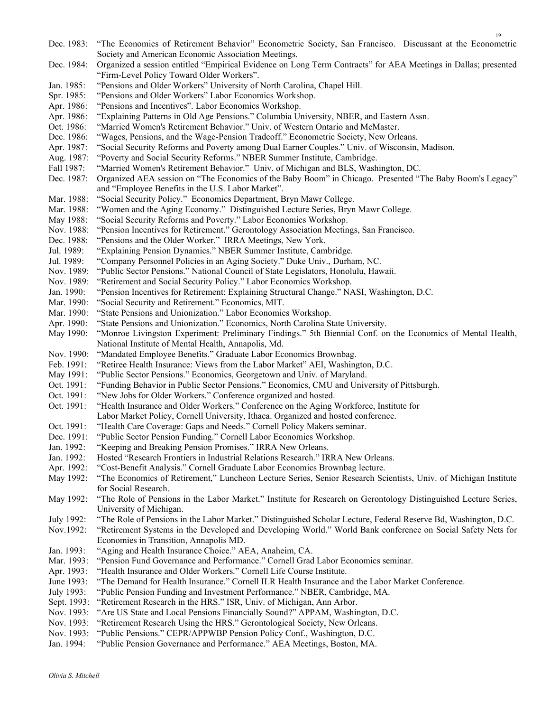| Dec. 1983:  | "The Economics of Retirement Behavior" Econometric Society, San Francisco. Discussant at the Econometric        |
|-------------|-----------------------------------------------------------------------------------------------------------------|
|             | Society and American Economic Association Meetings.                                                             |
| Dec. 1984:  | Organized a session entitled "Empirical Evidence on Long Term Contracts" for AEA Meetings in Dallas; presented  |
|             | "Firm-Level Policy Toward Older Workers".                                                                       |
| Jan. 1985:  | "Pensions and Older Workers" University of North Carolina, Chapel Hill.                                         |
| Spr. 1985:  | "Pensions and Older Workers" Labor Economics Workshop.                                                          |
| Apr. 1986:  | "Pensions and Incentives". Labor Economics Workshop.                                                            |
| Apr. 1986:  | "Explaining Patterns in Old Age Pensions." Columbia University, NBER, and Eastern Assn.                         |
| Oct. 1986:  | "Married Women's Retirement Behavior." Univ. of Western Ontario and McMaster.                                   |
| Dec. 1986:  | "Wages, Pensions, and the Wage-Pension Tradeoff." Econometric Society, New Orleans.                             |
| Apr. 1987:  | "Social Security Reforms and Poverty among Dual Earner Couples." Univ. of Wisconsin, Madison.                   |
|             | "Poverty and Social Security Reforms." NBER Summer Institute, Cambridge.                                        |
| Aug. 1987:  |                                                                                                                 |
| Fall 1987:  | "Married Women's Retirement Behavior." Univ. of Michigan and BLS, Washington, DC.                               |
| Dec. 1987:  | Organized AEA session on "The Economics of the Baby Boom" in Chicago. Presented "The Baby Boom's Legacy"        |
|             | and "Employee Benefits in the U.S. Labor Market".                                                               |
| Mar. 1988:  | "Social Security Policy." Economics Department, Bryn Mawr College.                                              |
| Mar. 1988:  | "Women and the Aging Economy." Distinguished Lecture Series, Bryn Mawr College.                                 |
| May 1988:   | "Social Security Reforms and Poverty." Labor Economics Workshop.                                                |
| Nov. 1988:  | "Pension Incentives for Retirement." Gerontology Association Meetings, San Francisco.                           |
| Dec. 1988:  | "Pensions and the Older Worker." IRRA Meetings, New York.                                                       |
| Jul. 1989:  | "Explaining Pension Dynamics." NBER Summer Institute, Cambridge.                                                |
| Jul. 1989:  | "Company Personnel Policies in an Aging Society." Duke Univ., Durham, NC.                                       |
| Nov. 1989:  | "Public Sector Pensions." National Council of State Legislators, Honolulu, Hawaii.                              |
| Nov. 1989:  | "Retirement and Social Security Policy." Labor Economics Workshop.                                              |
| Jan. 1990:  | "Pension Incentives for Retirement: Explaining Structural Change." NASI, Washington, D.C.                       |
| Mar. 1990:  | "Social Security and Retirement." Economics, MIT.                                                               |
| Mar. 1990:  | "State Pensions and Unionization." Labor Economics Workshop.                                                    |
| Apr. 1990:  | "State Pensions and Unionization." Economics, North Carolina State University.                                  |
| May 1990:   | "Monroe Livingston Experiment: Preliminary Findings." 5th Biennial Conf. on the Economics of Mental Health,     |
|             | National Institute of Mental Health, Annapolis, Md.                                                             |
| Nov. 1990:  | "Mandated Employee Benefits." Graduate Labor Economics Brownbag.                                                |
| Feb. 1991:  | "Retiree Health Insurance: Views from the Labor Market" AEI, Washington, D.C.                                   |
| May 1991:   | "Public Sector Pensions." Economics, Georgetown and Univ. of Maryland.                                          |
| Oct. 1991:  | "Funding Behavior in Public Sector Pensions." Economics, CMU and University of Pittsburgh.                      |
| Oct. 1991:  | "New Jobs for Older Workers." Conference organized and hosted.                                                  |
| Oct. 1991:  | "Health Insurance and Older Workers." Conference on the Aging Workforce, Institute for                          |
|             | Labor Market Policy, Cornell University, Ithaca. Organized and hosted conference.                               |
| Oct. 1991:  | "Health Care Coverage: Gaps and Needs." Cornell Policy Makers seminar.                                          |
| Dec. 1991:  | "Public Sector Pension Funding." Cornell Labor Economics Workshop.                                              |
| Jan. 1992:  | "Keeping and Breaking Pension Promises." IRRA New Orleans.                                                      |
| Jan. 1992:  | Hosted "Research Frontiers in Industrial Relations Research." IRRA New Orleans.                                 |
| Apr. 1992:  | "Cost-Benefit Analysis." Cornell Graduate Labor Economics Brownbag lecture.                                     |
| May 1992:   | "The Economics of Retirement," Luncheon Lecture Series, Senior Research Scientists, Univ. of Michigan Institute |
|             | for Social Research.                                                                                            |
|             |                                                                                                                 |
| May 1992:   | "The Role of Pensions in the Labor Market." Institute for Research on Gerontology Distinguished Lecture Series, |
|             | University of Michigan.                                                                                         |
| July 1992:  | "The Role of Pensions in the Labor Market." Distinguished Scholar Lecture, Federal Reserve Bd, Washington, D.C. |
| Nov.1992:   | "Retirement Systems in the Developed and Developing World." World Bank conference on Social Safety Nets for     |
|             | Economies in Transition, Annapolis MD.                                                                          |
| Jan. 1993:  | "Aging and Health Insurance Choice." AEA, Anaheim, CA.                                                          |
| Mar. 1993:  | "Pension Fund Governance and Performance." Cornell Grad Labor Economics seminar.                                |
| Apr. 1993:  | "Health Insurance and Older Workers." Cornell Life Course Institute.                                            |
| June 1993:  | "The Demand for Health Insurance." Cornell ILR Health Insurance and the Labor Market Conference.                |
| July 1993:  | "Public Pension Funding and Investment Performance." NBER, Cambridge, MA.                                       |
| Sept. 1993: | "Retirement Research in the HRS." ISR, Univ. of Michigan, Ann Arbor.                                            |
| Nov. 1993:  | "Are US State and Local Pensions Financially Sound?" APPAM, Washington, D.C.                                    |
| Nov. 1993:  | "Retirement Research Using the HRS." Gerontological Society, New Orleans.                                       |
| Nov. 1993:  | "Public Pensions." CEPR/APPWBP Pension Policy Conf., Washington, D.C.                                           |
| Jan. 1994:  | "Public Pension Governance and Performance." AEA Meetings, Boston, MA.                                          |
|             |                                                                                                                 |

19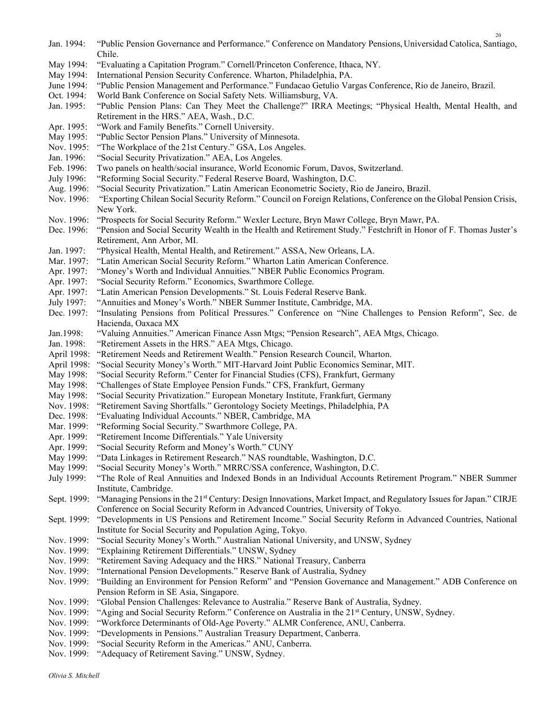| Jan. 1994:             | "Public Pension Governance and Performance." Conference on Mandatory Pensions, Universidad Catolica, Santiago,<br>Chile.                                                           |
|------------------------|------------------------------------------------------------------------------------------------------------------------------------------------------------------------------------|
| May 1994:              | "Evaluating a Capitation Program." Cornell/Princeton Conference, Ithaca, NY.                                                                                                       |
| May 1994:              | International Pension Security Conference. Wharton, Philadelphia, PA.                                                                                                              |
| June 1994:             | "Public Pension Management and Performance." Fundacao Getulio Vargas Conference, Rio de Janeiro, Brazil.                                                                           |
| Oct. 1994:             | World Bank Conference on Social Safety Nets. Williamsburg, VA.                                                                                                                     |
| Jan. 1995:             | "Public Pension Plans: Can They Meet the Challenge?" IRRA Meetings; "Physical Health, Mental Health, and<br>Retirement in the HRS." AEA, Wash., D.C.                               |
| Apr. 1995:             | "Work and Family Benefits." Cornell University.                                                                                                                                    |
| May 1995:              | "Public Sector Pension Plans." University of Minnesota.                                                                                                                            |
| Nov. 1995:             | "The Workplace of the 21st Century." GSA, Los Angeles.                                                                                                                             |
| Jan. 1996:             | "Social Security Privatization." AEA, Los Angeles.                                                                                                                                 |
| Feb. 1996:             | Two panels on health/social insurance, World Economic Forum, Davos, Switzerland.                                                                                                   |
| July 1996:             | "Reforming Social Security." Federal Reserve Board, Washington, D.C.                                                                                                               |
| Aug. 1996:             | "Social Security Privatization." Latin American Econometric Society, Rio de Janeiro, Brazil.                                                                                       |
| Nov. 1996:             | "Exporting Chilean Social Security Reform." Council on Foreign Relations, Conference on the Global Pension Crisis,<br>New York.                                                    |
| Nov. 1996:             | "Prospects for Social Security Reform." Wexler Lecture, Bryn Mawr College, Bryn Mawr, PA.                                                                                          |
| Dec. 1996:             | "Pension and Social Security Wealth in the Health and Retirement Study." Festchrift in Honor of F. Thomas Juster's<br>Retirement, Ann Arbor, MI.                                   |
| Jan. 1997:             | "Physical Health, Mental Health, and Retirement." ASSA, New Orleans, LA.                                                                                                           |
| Mar. 1997:             | "Latin American Social Security Reform." Wharton Latin American Conference.                                                                                                        |
| Apr. 1997:             | "Money's Worth and Individual Annuities." NBER Public Economics Program.                                                                                                           |
| Apr. 1997:             | "Social Security Reform." Economics, Swarthmore College.                                                                                                                           |
| Apr. 1997:             | "Latin American Pension Developments." St. Louis Federal Reserve Bank.                                                                                                             |
| July 1997:             | "Annuities and Money's Worth." NBER Summer Institute, Cambridge, MA.                                                                                                               |
| Dec. 1997:             | "Insulating Pensions from Political Pressures." Conference on "Nine Challenges to Pension Reform", Sec. de<br>Hacienda, Oaxaca MX                                                  |
| Jan.1998:              | "Valuing Annuities." American Finance Assn Mtgs; "Pension Research", AEA Mtgs, Chicago.                                                                                            |
| Jan. 1998:             | "Retirement Assets in the HRS." AEA Mtgs, Chicago.                                                                                                                                 |
| April 1998:            | "Retirement Needs and Retirement Wealth." Pension Research Council, Wharton.                                                                                                       |
| April 1998:            | "Social Security Money's Worth." MIT-Harvard Joint Public Economics Seminar, MIT.                                                                                                  |
| May 1998:              | "Social Security Reform." Center for Financial Studies (CFS), Frankfurt, Germany                                                                                                   |
| May 1998:              | "Challenges of State Employee Pension Funds." CFS, Frankfurt, Germany                                                                                                              |
| May 1998:              | "Social Security Privatization." European Monetary Institute, Frankfurt, Germany                                                                                                   |
| Nov. 1998:             | "Retirement Saving Shortfalls." Gerontology Society Meetings, Philadelphia, PA                                                                                                     |
| Dec. 1998:             | "Evaluating Individual Accounts." NBER, Cambridge, MA                                                                                                                              |
| Mar. 1999:             | "Reforming Social Security." Swarthmore College, PA.                                                                                                                               |
| Apr. 1999:             | "Retirement Income Differentials." Yale University                                                                                                                                 |
| Apr. 1999:             | "Social Security Reform and Money's Worth." CUNY                                                                                                                                   |
| May 1999:<br>May 1999: | "Data Linkages in Retirement Research." NAS roundtable, Washington, D.C.                                                                                                           |
| July 1999:             | "Social Security Money's Worth." MRRC/SSA conference, Washington, D.C.<br>"The Role of Real Annuities and Indexed Bonds in an Individual Accounts Retirement Program." NBER Summer |
|                        | Institute, Cambridge.                                                                                                                                                              |
| Sept. 1999:            | "Managing Pensions in the 21st Century: Design Innovations, Market Impact, and Regulatory Issues for Japan." CIRJE                                                                 |
|                        | Conference on Social Security Reform in Advanced Countries, University of Tokyo.                                                                                                   |
| Sept. 1999:            | "Developments in US Pensions and Retirement Income." Social Security Reform in Advanced Countries, National                                                                        |
|                        | Institute for Social Security and Population Aging, Tokyo.                                                                                                                         |
| Nov. 1999:             | "Social Security Money's Worth." Australian National University, and UNSW, Sydney                                                                                                  |
| Nov. 1999:             | "Explaining Retirement Differentials." UNSW, Sydney                                                                                                                                |
| Nov. 1999:             | "Retirement Saving Adequacy and the HRS." National Treasury, Canberra                                                                                                              |
| Nov. 1999:             | "International Pension Developments." Reserve Bank of Australia, Sydney                                                                                                            |
| Nov. 1999:             | "Building an Environment for Pension Reform" and "Pension Governance and Management." ADB Conference on                                                                            |
|                        | Pension Reform in SE Asia, Singapore.                                                                                                                                              |
| Nov. 1999:             | "Global Pension Challenges: Relevance to Australia." Reserve Bank of Australia, Sydney.                                                                                            |
| Nov. 1999:             |                                                                                                                                                                                    |
|                        | "Aging and Social Security Reform." Conference on Australia in the 21st Century, UNSW, Sydney.                                                                                     |
| Nov. 1999:             | "Workforce Determinants of Old-Age Poverty." ALMR Conference, ANU, Canberra.                                                                                                       |
| Nov. 1999:             | "Developments in Pensions." Australian Treasury Department, Canberra.                                                                                                              |
| Nov. 1999:             | "Social Security Reform in the Americas." ANU, Canberra.                                                                                                                           |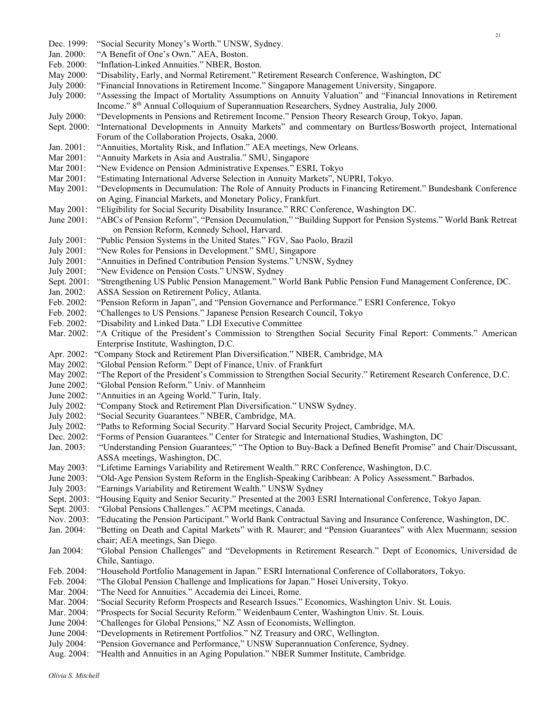Feb. 2000: "Inflation-Linked Annuities." NBER, Boston. May 2000: "Disability, Early, and Normal Retirement." Retirement Research Conference, Washington, DC July 2000: "Financial Innovations in Retirement Income." Singapore Management University, Singapore. July 2000: "Assessing the Impact of Mortality Assumptions on Annuity Valuation" and "Financial Innovations in Retirement Income." 8<sup>th</sup> Annual Colloquium of Superannuation Researchers, Sydney Australia, July 2000. July 2000: "Developments in Pensions and Retirement Income." Pension Theory Research Group, Tokyo, Japan. Sept. 2000: "International Developments in Annuity Markets" and commentary on Burtless/Bosworth project, International Forum of the Collaboration Projects, Osaka, 2000. Jan. 2001: "Annuities, Mortality Risk, and Inflation." AEA meetings, New Orleans. Mar 2001: "Annuity Markets in Asia and Australia." SMU, Singapore Mar 2001: "New Evidence on Pension Administrative Expenses." ESRI, Tokyo Mar 2001: "Estimating International Adverse Selection in Annuity Markets", NUPRI, Tokyo. May 2001: "Developments in Decumulation: The Role of Annuity Products in Financing Retirement." Bundesbank Conference on Aging, Financial Markets, and Monetary Policy, Frankfurt. May 2001: "Eligibility for Social Security Disability Insurance." RRC Conference, Washington DC. June 2001: "ABCs of Pension Reform", "Pension Decumulation," "Building Support for Pension Systems." World Bank Retreat on Pension Reform, Kennedy School, Harvard. July 2001: "Public Pension Systems in the United States." FGV, Sao Paolo, Brazil July 2001: "New Roles for Pensions in Development." SMU, Singapore July 2001: "Annuities in Defined Contribution Pension Systems." UNSW, Sydney July 2001: "New Evidence on Pension Costs." UNSW, Sydney Sept. 2001: "Strengthening US Public Pension Management." World Bank Public Pension Fund Management Conference, DC. Jan. 2002: ASSA Session on Retirement Policy, Atlanta. Feb. 2002: "Pension Reform in Japan", and "Pension Governance and Performance." ESRI Conference, Tokyo Feb. 2002: "Challenges to US Pensions." Japanese Pension Research Council, Tokyo Feb. 2002: "Disability and Linked Data." LDI Executive Committee Mar. 2002: "A Critique of the President's Commission to Strengthen Social Security Final Report: Comments." American Enterprise Institute, Washington, D.C. Apr. 2002: "Company Stock and Retirement Plan Diversification." NBER, Cambridge, MA May 2002: "Global Pension Reform." Dept of Finance, Univ. of Frankfurt May 2002: "The Report of the President's Commission to Strengthen Social Security." Retirement Research Conference, D.C. June 2002: "Global Pension Reform." Univ. of Mannheim June 2002: "Annuities in an Ageing World." Turin, Italy. July 2002: "Company Stock and Retirement Plan Diversification." UNSW Sydney. July 2002: "Social Security Guarantees." NBER, Cambridge, MA. July 2002: "Paths to Reforming Social Security." Harvard Social Security Project, Cambridge, MA. Dec. 2002: "Forms of Pension Guarantees." Center for Strategic and International Studies, Washington, DC Jan. 2003: "Understanding Pension Guarantees;" "The Option to Buy-Back a Defined Benefit Promise" and Chair/Discussant, ASSA meetings, Washington, DC. May 2003: "Lifetime Earnings Variability and Retirement Wealth." RRC Conference, Washington, D.C. June 2003: "Old-Age Pension System Reform in the English-Speaking Caribbean: A Policy Assessment." Barbados. July 2003: "Earnings Variability and Retirement Wealth." UNSW Sydney Sept. 2003: "Housing Equity and Senior Security." Presented at the 2003 ESRI International Conference, Tokyo Japan. Sept. 2003: "Global Pensions Challenges." ACPM meetings, Canada. Nov. 2003: "Educating the Pension Participant." World Bank Contractual Saving and Insurance Conference, Washington, DC. Jan. 2004: "Betting on Death and Capital Markets" with R. Maurer; and "Pension Guarantees" with Alex Muermann; session chair; AEA meetings, San Diego. Jan 2004: "Global Pension Challenges" and "Developments in Retirement Research." Dept of Economics, Universidad de Chile, Santiago. Feb. 2004: "Household Portfolio Management in Japan." ESRI International Conference of Collaborators, Tokyo. Feb. 2004: "The Global Pension Challenge and Implications for Japan." Hosei University, Tokyo. Mar. 2004: "The Need for Annuities." Accademia dei Lincei, Rome. Mar. 2004: "Social Security Reform Prospects and Research Issues." Economics, Washington Univ. St. Louis. Mar. 2004: "Prospects for Social Security Reform." Weidenbaum Center, Washington Univ. St. Louis. June 2004: "Challenges for Global Pensions," NZ Assn of Economists, Wellington. June 2004: "Developments in Retirement Portfolios." NZ Treasury and ORC, Wellington. July 2004: "Pension Governance and Performance," UNSW Superannuation Conference, Sydney.

Dec. 1999: "Social Security Money's Worth." UNSW, Sydney.

Jan. 2000: "A Benefit of One's Own." AEA, Boston.

Aug. 2004: "Health and Annuities in an Aging Population." NBER Summer Institute, Cambridge.

Olivia S. Mitchell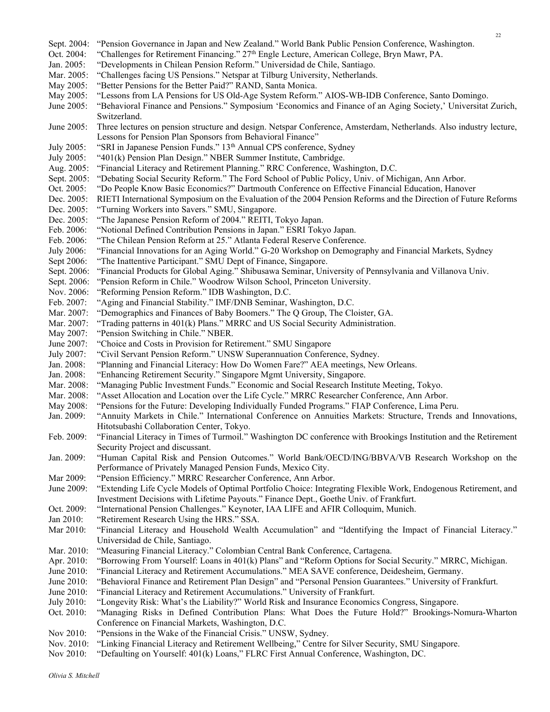Sept. 2004: "Pension Governance in Japan and New Zealand." World Bank Public Pension Conference, Washington. Oct. 2004: "Challenges for Retirement Financing." 27th Engle Lecture, American College, Bryn Mawr, PA. Jan. 2005: "Developments in Chilean Pension Reform." Universidad de Chile, Santiago. Mar. 2005: "Challenges facing US Pensions." Netspar at Tilburg University, Netherlands. May 2005: "Better Pensions for the Better Paid?" RAND, Santa Monica. May 2005: "Lessons from LA Pensions for US Old-Age System Reform." AIOS-WB-IDB Conference, Santo Domingo. June 2005: "Behavioral Finance and Pensions." Symposium 'Economics and Finance of an Aging Society,' Universitat Zurich, Switzerland. June 2005: Three lectures on pension structure and design. Netspar Conference, Amsterdam, Netherlands. Also industry lecture, Lessons for Pension Plan Sponsors from Behavioral Finance" July 2005: "SRI in Japanese Pension Funds." 13<sup>th</sup> Annual CPS conference, Sydney July 2005: "401(k) Pension Plan Design." NBER Summer Institute, Cambridge. Aug. 2005: "Financial Literacy and Retirement Planning." RRC Conference, Washington, D.C. Sept. 2005: "Debating Social Security Reform." The Ford School of Public Policy, Univ. of Michigan, Ann Arbor. Oct. 2005: "Do People Know Basic Economics?" Dartmouth Conference on Effective Financial Education, Hanover Dec. 2005: RIETI International Symposium on the Evaluation of the 2004 Pension Reforms and the Direction of Future Reforms Dec. 2005: "Turning Workers into Savers." SMU, Singapore. Dec. 2005: "The Japanese Pension Reform of 2004." REITI, Tokyo Japan. Feb. 2006: "Notional Defined Contribution Pensions in Japan." ESRI Tokyo Japan. Feb. 2006: "The Chilean Pension Reform at 25." Atlanta Federal Reserve Conference. July 2006: "Financial Innovations for an Aging World." G-20 Workshop on Demography and Financial Markets, Sydney Sept 2006: "The Inattentive Participant." SMU Dept of Finance, Singapore. Sept. 2006: "Financial Products for Global Aging." Shibusawa Seminar, University of Pennsylvania and Villanova Univ. Sept. 2006: "Pension Reform in Chile." Woodrow Wilson School, Princeton University. Nov. 2006: "Reforming Pension Reform." IDB Washington, D.C. Feb. 2007: "Aging and Financial Stability." IMF/DNB Seminar, Washington, D.C. Mar. 2007: "Demographics and Finances of Baby Boomers." The Q Group, The Cloister, GA. Mar. 2007: "Trading patterns in 401(k) Plans." MRRC and US Social Security Administration. May 2007: "Pension Switching in Chile." NBER. June 2007: "Choice and Costs in Provision for Retirement." SMU Singapore July 2007: "Civil Servant Pension Reform." UNSW Superannuation Conference, Sydney. Jan. 2008: "Planning and Financial Literacy: How Do Women Fare?" AEA meetings, New Orleans. Jan. 2008: "Enhancing Retirement Security." Singapore Mgmt University, Singapore. Mar. 2008: "Managing Public Investment Funds." Economic and Social Research Institute Meeting, Tokyo. Mar. 2008: "Asset Allocation and Location over the Life Cycle." MRRC Researcher Conference, Ann Arbor. May 2008: "Pensions for the Future: Developing Individually Funded Programs." FIAP Conference, Lima Peru. Jan. 2009: "Annuity Markets in Chile." International Conference on Annuities Markets: Structure, Trends and Innovations, Hitotsubashi Collaboration Center, Tokyo. Feb. 2009: "Financial Literacy in Times of Turmoil." Washington DC conference with Brookings Institution and the Retirement Security Project and discussant. Jan. 2009: "Human Capital Risk and Pension Outcomes." World Bank/OECD/ING/BBVA/VB Research Workshop on the Performance of Privately Managed Pension Funds, Mexico City. Mar 2009: "Pension Efficiency." MRRC Researcher Conference, Ann Arbor. June 2009: "Extending Life Cycle Models of Optimal Portfolio Choice: Integrating Flexible Work, Endogenous Retirement, and Investment Decisions with Lifetime Payouts." Finance Dept., Goethe Univ. of Frankfurt. Oct. 2009: "International Pension Challenges." Keynoter, IAA LIFE and AFIR Colloquim, Munich. Jan 2010: "Retirement Research Using the HRS." SSA. Mar 2010: "Financial Literacy and Household Wealth Accumulation" and "Identifying the Impact of Financial Literacy." Universidad de Chile, Santiago. Mar. 2010: "Measuring Financial Literacy." Colombian Central Bank Conference, Cartagena. Apr. 2010: "Borrowing From Yourself: Loans in 401(k) Plans" and "Reform Options for Social Security." MRRC, Michigan. June 2010: "Financial Literacy and Retirement Accumulations." MEA SAVE conference, Deidesheim, Germany. June 2010: "Behavioral Finance and Retirement Plan Design" and "Personal Pension Guarantees." University of Frankfurt. June 2010: "Financial Literacy and Retirement Accumulations." University of Frankfurt. July 2010: "Longevity Risk: What's the Liability?" World Risk and Insurance Economics Congress, Singapore. Oct. 2010: "Managing Risks in Defined Contribution Plans: What Does the Future Hold?" Brookings-Nomura-Wharton Conference on Financial Markets, Washington, D.C. Nov 2010: "Pensions in the Wake of the Financial Crisis." UNSW, Sydney. Nov. 2010: "Linking Financial Literacy and Retirement Wellbeing," Centre for Silver Security, SMU Singapore. Nov 2010: "Defaulting on Yourself: 401(k) Loans," FLRC First Annual Conference, Washington, DC.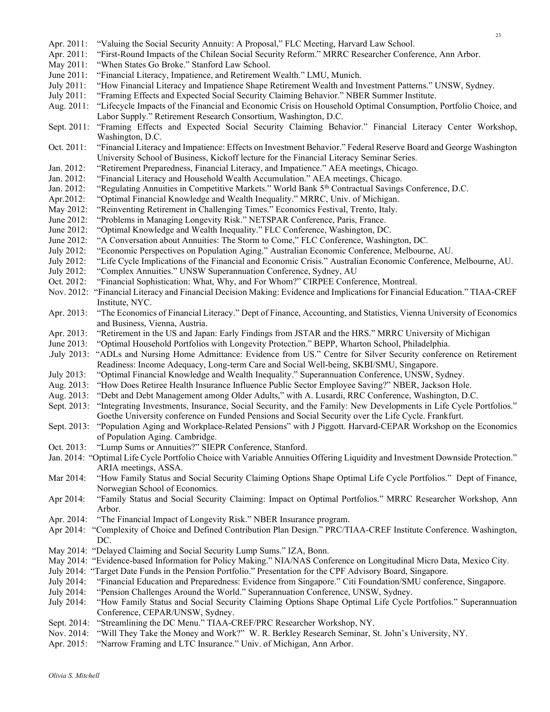- Apr. 2011: "Valuing the Social Security Annuity: A Proposal," FLC Meeting, Harvard Law School.
- Apr. 2011: "First-Round Impacts of the Chilean Social Security Reform." MRRC Researcher Conference, Ann Arbor.
- May 2011: "When States Go Broke." Stanford Law School.
- June 2011: "Financial Literacy, Impatience, and Retirement Wealth." LMU, Munich.
- July 2011: "How Financial Literacy and Impatience Shape Retirement Wealth and Investment Patterns." UNSW, Sydney.
- July 2011: "Framing Effects and Expected Social Security Claiming Behavior." NBER Summer Institute.

Aug. 2011: "Lifecycle Impacts of the Financial and Economic Crisis on Household Optimal Consumption, Portfolio Choice, and Labor Supply." Retirement Research Consortium, Washington, D.C.

Sept. 2011: "Framing Effects and Expected Social Security Claiming Behavior." Financial Literacy Center Workshop, Washington, D.C.

- Oct. 2011: "Financial Literacy and Impatience: Effects on Investment Behavior." Federal Reserve Board and George Washington University School of Business, Kickoff lecture for the Financial Literacy Seminar Series.
- Jan. 2012: "Retirement Preparedness, Financial Literacy, and Impatience." AEA meetings, Chicago.
- Jan. 2012: "Financial Literacy and Household Wealth Accumulation." AEA meetings, Chicago.
- Jan. 2012: "Regulating Annuities in Competitive Markets." World Bank 5<sup>th</sup> Contractual Savings Conference, D.C.
- Apr.2012: "Optimal Financial Knowledge and Wealth Inequality." MRRC, Univ. of Michigan.
- May 2012: "Reinventing Retirement in Challenging Times." Economics Festival, Trento, Italy.
- June 2012: "Problems in Managing Longevity Risk." NETSPAR Conference, Paris, France.
- June 2012: "Optimal Knowledge and Wealth Inequality." FLC Conference, Washington, DC.
- June 2012: "A Conversation about Annuities: The Storm to Come," FLC Conference, Washington, DC.
- July 2012: "Economic Perspectives on Population Aging." Australian Economic Conference, Melbourne, AU.
- July 2012: "Life Cycle Implications of the Financial and Economic Crisis." Australian Economic Conference, Melbourne, AU.
- July 2012: "Complex Annuities." UNSW Superannuation Conference, Sydney, AU
- Oct. 2012: "Financial Sophistication: What, Why, and For Whom?" CIRPEE Conference, Montreal.
- Nov. 2012: "Financial Literacy and Financial Decision Making: Evidence and Implications for Financial Education." TIAA-CREF Institute, NYC.
- Apr. 2013: "The Economics of Financial Literacy." Dept of Finance, Accounting, and Statistics, Vienna University of Economics and Business, Vienna, Austria.
- Apr. 2013: "Retirement in the US and Japan: Early Findings from JSTAR and the HRS." MRRC University of Michigan
- June 2013: "Optimal Household Portfolios with Longevity Protection." BEPP, Wharton School, Philadelphia.

.July 2013: "ADLs and Nursing Home Admittance: Evidence from US." Centre for Silver Security conference on Retirement Readiness: Income Adequacy, Long-term Care and Social Well-being, SKBI/SMU, Singapore.

- July 2013: "Optimal Financial Knowledge and Wealth Inequality." Superannuation Conference, UNSW, Sydney.
- Aug. 2013: "How Does Retiree Health Insurance Influence Public Sector Employee Saving?" NBER, Jackson Hole.
- Aug. 2013: "Debt and Debt Management among Older Adults," with A. Lusardi, RRC Conference, Washington, D.C.
- Sept. 2013: "Integrating Investments, Insurance, Social Security, and the Family: New Developments in Life Cycle Portfolios."
- Goethe University conference on Funded Pensions and Social Security over the Life Cycle. Frankfurt.
- Sept. 2013: "Population Aging and Workplace-Related Pensions" with J Piggott. Harvard-CEPAR Workshop on the Economics of Population Aging. Cambridge.
- Oct. 2013: "Lump Sums or Annuities?" SIEPR Conference, Stanford.
- Jan. 2014: "Optimal Life Cycle Portfolio Choice with Variable Annuities Offering Liquidity and Investment Downside Protection." ARIA meetings, ASSA.
- Mar 2014: "How Family Status and Social Security Claiming Options Shape Optimal Life Cycle Portfolios." Dept of Finance, Norwegian School of Economics.
- Apr 2014: "Family Status and Social Security Claiming: Impact on Optimal Portfolios." MRRC Researcher Workshop, Ann Arbor.
- Apr. 2014: "The Financial Impact of Longevity Risk." NBER Insurance program.
- Apr 2014: "Complexity of Choice and Defined Contribution Plan Design." PRC/TIAA-CREF Institute Conference. Washington, DC.
- May 2014: "Delayed Claiming and Social Security Lump Sums." IZA, Bonn.
- May 2014: "Evidence-based Information for Policy Making." NIA/NAS Conference on Longitudinal Micro Data, Mexico City.
- July 2014: "Target Date Funds in the Pension Portfolio." Presentation for the CPF Advisory Board, Singapore.
- July 2014: "Financial Education and Preparedness: Evidence from Singapore." Citi Foundation/SMU conference, Singapore.
- July 2014: "Pension Challenges Around the World." Superannuation Conference, UNSW, Sydney.
- July 2014: "How Family Status and Social Security Claiming Options Shape Optimal Life Cycle Portfolios." Superannuation Conference, CEPAR/UNSW, Sydney.
- Sept. 2014: "Streamlining the DC Menu." TIAA-CREF/PRC Researcher Workshop, NY.
- Nov. 2014: "Will They Take the Money and Work?" W. R. Berkley Research Seminar, St. John's University, NY.
- Apr. 2015: "Narrow Framing and LTC Insurance." Univ. of Michigan, Ann Arbor.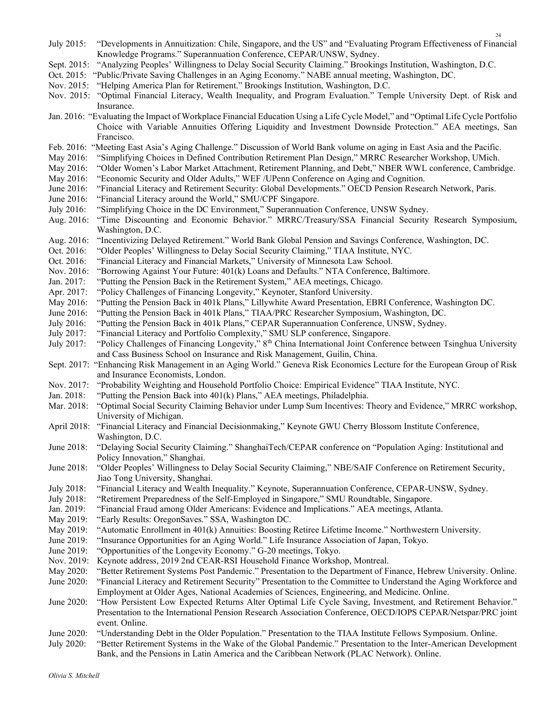- July 2015: "Developments in Annuitization: Chile, Singapore, and the US" and "Evaluating Program Effectiveness of Financial Knowledge Programs." Superannuation Conference, CEPAR/UNSW, Sydney.
- Sept. 2015: "Analyzing Peoples' Willingness to Delay Social Security Claiming." Brookings Institution, Washington, D.C.
- Oct. 2015: "Public/Private Saving Challenges in an Aging Economy." NABE annual meeting, Washington, DC.
- Nov. 2015: "Helping America Plan for Retirement." Brookings Institution, Washington, D.C.
- Nov. 2015: "Optimal Financial Literacy, Wealth Inequality, and Program Evaluation." Temple University Dept. of Risk and Insurance.
- Jan. 2016: "Evaluating the Impact of Workplace Financial Education Using a Life Cycle Model," and "Optimal Life Cycle Portfolio Choice with Variable Annuities Offering Liquidity and Investment Downside Protection." AEA meetings, San Francisco.
- Feb. 2016: "Meeting East Asia's Aging Challenge." Discussion of World Bank volume on aging in East Asia and the Pacific.
- May 2016: "Simplifying Choices in Defined Contribution Retirement Plan Design," MRRC Researcher Workshop, UMich.
- May 2016: "Older Women's Labor Market Attachment, Retirement Planning, and Debt," NBER WWL conference, Cambridge.
- May 2016: "Economic Security and Older Adults," WEF /UPenn Conference on Aging and Cognition.
- June 2016: "Financial Literacy and Retirement Security: Global Developments." OECD Pension Research Network, Paris.
- June 2016: "Financial Literacy around the World," SMU/CPF Singapore.
- July 2016: "Simplifying Choice in the DC Environment," Superannuation Conference, UNSW Sydney.
- Aug. 2016: "Time Discounting and Economic Behavior." MRRC/Treasury/SSA Financial Security Research Symposium, Washington, D.C.
- Aug. 2016: "Incentivizing Delayed Retirement." World Bank Global Pension and Savings Conference, Washington, DC.
- Oct. 2016: "Older Peoples' Willingness to Delay Social Security Claiming," TIAA Institute, NYC.
- Oct. 2016: "Financial Literacy and Financial Markets," University of Minnesota Law School.
- Nov. 2016: "Borrowing Against Your Future: 401(k) Loans and Defaults." NTA Conference, Baltimore.
- Jan. 2017: "Putting the Pension Back in the Retirement System," AEA meetings, Chicago.
- Apr. 2017: "Policy Challenges of Financing Longevity," Keynoter, Stanford University.<br>Mav 2016: "Putting the Pension Back in 401k Plans," Lillywhite Award Presentation, EF
- "Putting the Pension Back in 401k Plans," Lillywhite Award Presentation, EBRI Conference, Washington DC.
- June 2016: "Putting the Pension Back in 401k Plans," TIAA/PRC Researcher Symposium, Washington, DC.
- July 2016: "Putting the Pension Back in 401k Plans," CEPAR Superannuation Conference, UNSW, Sydney.
- July 2017: "Financial Literacy and Portfolio Complexity," SMU SLP conference, Singapore.
- July 2017: "Policy Challenges of Financing Longevity," 8<sup>th</sup> China International Joint Conference between Tsinghua University and Cass Business School on Insurance and Risk Management, Guilin, China.
- Sept. 2017: "Enhancing Risk Management in an Aging World." Geneva Risk Economics Lecture for the European Group of Risk and Insurance Economists, London.
- Nov. 2017: "Probability Weighting and Household Portfolio Choice: Empirical Evidence" TIAA Institute, NYC.
- Jan. 2018: "Putting the Pension Back into 401(k) Plans," AEA meetings, Philadelphia.
- Mar. 2018: "Optimal Social Security Claiming Behavior under Lump Sum Incentives: Theory and Evidence," MRRC workshop, University of Michigan.
- April 2018: "Financial Literacy and Financial Decisionmaking," Keynote GWU Cherry Blossom Institute Conference, Washington, D.C.
- June 2018: "Delaying Social Security Claiming." ShanghaiTech/CEPAR conference on "Population Aging: Institutional and Policy Innovation," Shanghai.
- June 2018: "Older Peoples' Willingness to Delay Social Security Claiming," NBE/SAIF Conference on Retirement Security, Jiao Tong University, Shanghai.
- July 2018: "Financial Literacy and Wealth Inequality." Keynote, Superannuation Conference, CEPAR-UNSW, Sydney.<br>July 2018: "Retirement Preparedness of the Self-Employed in Singapore," SMU Roundtable, Singapore.
- "Retirement Preparedness of the Self-Employed in Singapore," SMU Roundtable, Singapore.
- Jan. 2019: "Financial Fraud among Older Americans: Evidence and Implications." AEA meetings, Atlanta.
- May 2019: "Early Results: OregonSaves." SSA, Washington DC.
- May 2019: "Automatic Enrollment in 401(k) Annuities: Boosting Retiree Lifetime Income." Northwestern University.
- June 2019: "Insurance Opportunities for an Aging World." Life Insurance Association of Japan, Tokyo.
- June 2019: "Opportunities of the Longevity Economy." G-20 meetings, Tokyo.
- Nov. 2019: Keynote address, 2019 2nd CEAR-RSI Household Finance Workshop, Montreal.
- May 2020: "Better Retirement Systems Post Pandemic." Presentation to the Department of Finance, Hebrew University. Online. June 2020: "Financial Literacy and Retirement Security" Presentation to the Committee to Understand the Aging Workforce and Employment at Older Ages, National Academies of Sciences, Engineering, and Medicine. Online.
- June 2020: "How Persistent Low Expected Returns Alter Optimal Life Cycle Saving, Investment, and Retirement Behavior." Presentation to the International Pension Research Association Conference, OECD/IOPS CEPAR/Netspar/PRC joint event. Online.
- June 2020: "Understanding Debt in the Older Population." Presentation to the TIAA Institute Fellows Symposium. Online.
- July 2020: "Better Retirement Systems in the Wake of the Global Pandemic." Presentation to the Inter-American Development Bank, and the Pensions in Latin America and the Caribbean Network (PLAC Network). Online.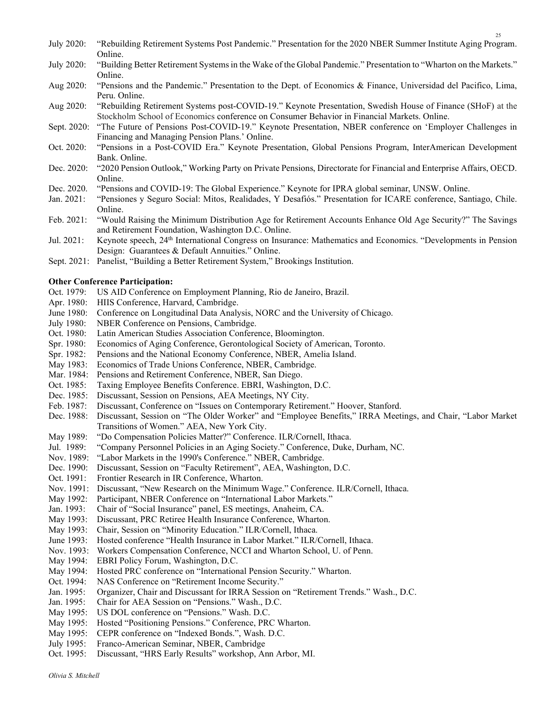- July 2020: "Rebuilding Retirement Systems Post Pandemic." Presentation for the 2020 NBER Summer Institute Aging Program. Online.
- July 2020: "Building Better Retirement Systems in the Wake of the Global Pandemic." Presentation to "Wharton on the Markets." Online.
- Aug 2020: "Pensions and the Pandemic." Presentation to the Dept. of Economics & Finance, Universidad del Pacifico, Lima, Peru. Online.
- Aug 2020: "Rebuilding Retirement Systems post-COVID-19." Keynote Presentation, Swedish House of Finance (SHoF) at the Stockholm School of Economics conference on Consumer Behavior in Financial Markets. Online.
- Sept. 2020: "The Future of Pensions Post-COVID-19." Keynote Presentation, NBER conference on 'Employer Challenges in Financing and Managing Pension Plans.' Online.
- Oct. 2020: "Pensions in a Post-COVID Era." Keynote Presentation, Global Pensions Program, InterAmerican Development Bank. Online.
- Dec. 2020: "2020 Pension Outlook," Working Party on Private Pensions, Directorate for Financial and Enterprise Affairs, OECD. Online.
- Dec. 2020. "Pensions and COVID-19: The Global Experience." Keynote for IPRA global seminar, UNSW. Online.
- Jan. 2021: "Pensiones y Seguro Social: Mitos, Realidades, Y Desafiós." Presentation for ICARE conference, Santiago, Chile. Online.
- Feb. 2021: "Would Raising the Minimum Distribution Age for Retirement Accounts Enhance Old Age Security?" The Savings and Retirement Foundation, Washington D.C. Online.
- Jul. 2021: Keynote speech, 24<sup>th</sup> International Congress on Insurance: Mathematics and Economics. "Developments in Pension Design: Guarantees & Default Annuities." Online.
- Sept. 2021: Panelist, "Building a Better Retirement System," Brookings Institution.

### Other Conference Participation:

- Oct. 1979: US AID Conference on Employment Planning, Rio de Janeiro, Brazil.
- Apr. 1980: HIIS Conference, Harvard, Cambridge.
- June 1980: Conference on Longitudinal Data Analysis, NORC and the University of Chicago.
- July 1980: NBER Conference on Pensions, Cambridge.
- Oct. 1980: Latin American Studies Association Conference, Bloomington.
- Spr. 1980: Economics of Aging Conference, Gerontological Society of American, Toronto.
- Spr. 1982: Pensions and the National Economy Conference, NBER, Amelia Island.
- May 1983: Economics of Trade Unions Conference, NBER, Cambridge.
- Mar. 1984: Pensions and Retirement Conference, NBER, San Diego.
- Oct. 1985: Taxing Employee Benefits Conference. EBRI, Washington, D.C.
- Dec. 1985: Discussant, Session on Pensions, AEA Meetings, NY City.
- Feb. 1987: Discussant, Conference on "Issues on Contemporary Retirement." Hoover, Stanford.
- Dec. 1988: Discussant, Session on "The Older Worker" and "Employee Benefits," IRRA Meetings, and Chair, "Labor Market Transitions of Women." AEA, New York City.
- May 1989: "Do Compensation Policies Matter?" Conference. ILR/Cornell, Ithaca.
- Jul. 1989: "Company Personnel Policies in an Aging Society." Conference, Duke, Durham, NC.
- Nov. 1989: "Labor Markets in the 1990's Conference." NBER, Cambridge.
- Dec. 1990: Discussant, Session on "Faculty Retirement", AEA, Washington, D.C.
- Oct. 1991: Frontier Research in IR Conference, Wharton.
- Nov. 1991: Discussant, "New Research on the Minimum Wage." Conference. ILR/Cornell, Ithaca.
- May 1992: Participant, NBER Conference on "International Labor Markets."
- Jan. 1993: Chair of "Social Insurance" panel, ES meetings, Anaheim, CA.
- May 1993: Discussant, PRC Retiree Health Insurance Conference, Wharton.
- May 1993: Chair, Session on "Minority Education." ILR/Cornell, Ithaca.
- June 1993: Hosted conference "Health Insurance in Labor Market." ILR/Cornell, Ithaca.
- Nov. 1993: Workers Compensation Conference, NCCI and Wharton School, U. of Penn.
- May 1994: EBRI Policy Forum, Washington, D.C.
- May 1994: Hosted PRC conference on "International Pension Security." Wharton.
- Oct. 1994: NAS Conference on "Retirement Income Security."
- Jan. 1995: Organizer, Chair and Discussant for IRRA Session on "Retirement Trends." Wash., D.C.
- Jan. 1995: Chair for AEA Session on "Pensions." Wash., D.C.
- May 1995: US DOL conference on "Pensions." Wash. D.C.
- May 1995: Hosted "Positioning Pensions." Conference, PRC Wharton.
- May 1995: CEPR conference on "Indexed Bonds.", Wash. D.C.
- July 1995: Franco-American Seminar, NBER, Cambridge
- Oct. 1995: Discussant, "HRS Early Results" workshop, Ann Arbor, MI.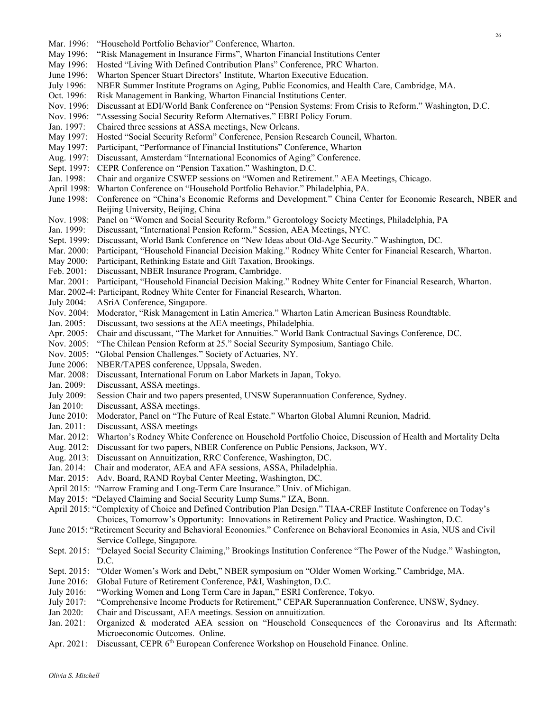- Mar. 1996: "Household Portfolio Behavior" Conference, Wharton.
- May 1996: "Risk Management in Insurance Firms", Wharton Financial Institutions Center
- May 1996: Hosted "Living With Defined Contribution Plans" Conference, PRC Wharton.
- June 1996: Wharton Spencer Stuart Directors' Institute, Wharton Executive Education.
- July 1996: NBER Summer Institute Programs on Aging, Public Economics, and Health Care, Cambridge, MA.
- Oct. 1996: Risk Management in Banking, Wharton Financial Institutions Center.
- Nov. 1996: Discussant at EDI/World Bank Conference on "Pension Systems: From Crisis to Reform." Washington, D.C.
- Nov. 1996: "Assessing Social Security Reform Alternatives." EBRI Policy Forum.
- Jan. 1997: Chaired three sessions at ASSA meetings, New Orleans.
- May 1997: Hosted "Social Security Reform" Conference, Pension Research Council, Wharton.
- May 1997: Participant, "Performance of Financial Institutions" Conference, Wharton
- Aug. 1997: Discussant, Amsterdam "International Economics of Aging" Conference.
- Sept. 1997: CEPR Conference on "Pension Taxation." Washington, D.C.
- Jan. 1998: Chair and organize CSWEP sessions on "Women and Retirement." AEA Meetings, Chicago.
- April 1998: Wharton Conference on "Household Portfolio Behavior." Philadelphia, PA.
- June 1998: Conference on "China's Economic Reforms and Development." China Center for Economic Research, NBER and Beijing University, Beijing, China
- Nov. 1998: Panel on "Women and Social Security Reform." Gerontology Society Meetings, Philadelphia, PA
- Jan. 1999: Discussant, "International Pension Reform." Session, AEA Meetings, NYC.
- Sept. 1999: Discussant, World Bank Conference on "New Ideas about Old-Age Security." Washington, DC.
- Mar. 2000: Participant, "Household Financial Decision Making." Rodney White Center for Financial Research, Wharton.
- May 2000: Participant, Rethinking Estate and Gift Taxation, Brookings.
- Feb. 2001: Discussant, NBER Insurance Program, Cambridge.
- Mar. 2001: Participant, "Household Financial Decision Making." Rodney White Center for Financial Research, Wharton.
- Mar. 2002-4: Participant, Rodney White Center for Financial Research, Wharton.
- July 2004: ASriA Conference, Singapore.
- Nov. 2004: Moderator, "Risk Management in Latin America." Wharton Latin American Business Roundtable.
- Jan. 2005: Discussant, two sessions at the AEA meetings, Philadelphia.
- Apr. 2005: Chair and discussant, "The Market for Annuities." World Bank Contractual Savings Conference, DC.
- Nov. 2005: "The Chilean Pension Reform at 25." Social Security Symposium, Santiago Chile.
- Nov. 2005: "Global Pension Challenges." Society of Actuaries, NY.
- June 2006: NBER/TAPES conference, Uppsala, Sweden.
- Mar. 2008: Discussant, International Forum on Labor Markets in Japan, Tokyo.
- Jan. 2009: Discussant, ASSA meetings.
- July 2009: Session Chair and two papers presented, UNSW Superannuation Conference, Sydney.
- Jan 2010: Discussant, ASSA meetings.
- June 2010: Moderator, Panel on "The Future of Real Estate." Wharton Global Alumni Reunion, Madrid.
- Jan. 2011: Discussant, ASSA meetings
- Mar. 2012: Wharton's Rodney White Conference on Household Portfolio Choice, Discussion of Health and Mortality Delta
- Aug. 2012: Discussant for two papers, NBER Conference on Public Pensions, Jackson, WY.
- Aug. 2013: Discussant on Annuitization, RRC Conference, Washington, DC.
- Jan. 2014: Chair and moderator, AEA and AFA sessions, ASSA, Philadelphia.
- Mar. 2015: Adv. Board, RAND Roybal Center Meeting, Washington, DC.
- April 2015: "Narrow Framing and Long-Term Care Insurance." Univ. of Michigan.
- May 2015: "Delayed Claiming and Social Security Lump Sums." IZA, Bonn.
- April 2015: "Complexity of Choice and Defined Contribution Plan Design." TIAA-CREF Institute Conference on Today's Choices, Tomorrow's Opportunity: Innovations in Retirement Policy and Practice. Washington, D.C.
- June 2015: "Retirement Security and Behavioral Economics." Conference on Behavioral Economics in Asia, NUS and Civil Service College, Singapore.
- Sept. 2015: "Delayed Social Security Claiming," Brookings Institution Conference "The Power of the Nudge." Washington, D.C.
- Sept. 2015: "Older Women's Work and Debt," NBER symposium on "Older Women Working." Cambridge, MA.
- June 2016: Global Future of Retirement Conference, P&I, Washington, D.C.
- July 2016: "Working Women and Long Term Care in Japan," ESRI Conference, Tokyo.
- July 2017: "Comprehensive Income Products for Retirement," CEPAR Superannuation Conference, UNSW, Sydney.
- Jan 2020: Chair and Discussant, AEA meetings. Session on annuitization.
- Jan. 2021: Organized & moderated AEA session on "Household Consequences of the Coronavirus and Its Aftermath: Microeconomic Outcomes. Online.
- Apr. 2021: Discussant, CEPR 6<sup>th</sup> European Conference Workshop on Household Finance. Online.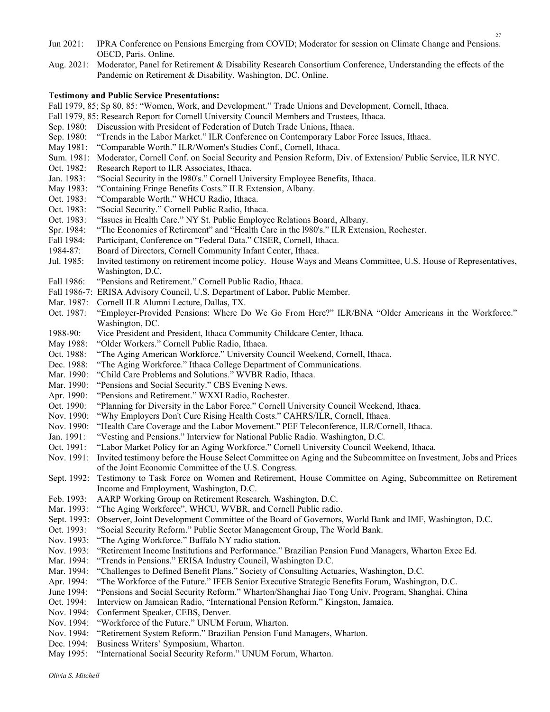- Jun 2021: IPRA Conference on Pensions Emerging from COVID; Moderator for session on Climate Change and Pensions. OECD, Paris. Online.
- Aug. 2021: Moderator, Panel for Retirement & Disability Research Consortium Conference, Understanding the effects of the Pandemic on Retirement & Disability. Washington, DC. Online.

# Testimony and Public Service Presentations:

Fall 1979, 85; Sp 80, 85: "Women, Work, and Development." Trade Unions and Development, Cornell, Ithaca.

- Fall 1979, 85: Research Report for Cornell University Council Members and Trustees, Ithaca.
- Sep. 1980: Discussion with President of Federation of Dutch Trade Unions, Ithaca.
- Sep. 1980: "Trends in the Labor Market." ILR Conference on Contemporary Labor Force Issues, Ithaca.
- May 1981: "Comparable Worth." ILR/Women's Studies Conf., Cornell, Ithaca.
- Sum. 1981: Moderator, Cornell Conf. on Social Security and Pension Reform, Div. of Extension/ Public Service, ILR NYC.
- Oct. 1982: Research Report to ILR Associates, Ithaca.
- Jan. 1983: "Social Security in the l980's." Cornell University Employee Benefits, Ithaca.
- May 1983: "Containing Fringe Benefits Costs." ILR Extension, Albany.
- Oct. 1983: "Comparable Worth." WHCU Radio, Ithaca.<br>Oct. 1983: "Social Security." Cornell Public Radio, Itha
- "Social Security." Cornell Public Radio, Ithaca.
- Oct. 1983: "Issues in Health Care." NY St. Public Employee Relations Board, Albany.
- Spr. 1984: "The Economics of Retirement" and "Health Care in the l980's." ILR Extension, Rochester.
- Fall 1984: Participant, Conference on "Federal Data." CISER, Cornell, Ithaca.
- 1984-87: Board of Directors, Cornell Community Infant Center, Ithaca.
- Jul. 1985: Invited testimony on retirement income policy. House Ways and Means Committee, U.S. House of Representatives, Washington, D.C.
- Fall 1986: "Pensions and Retirement." Cornell Public Radio, Ithaca.
- Fall 1986-7: ERISA Advisory Council, U.S. Department of Labor, Public Member.
- Mar. 1987: Cornell ILR Alumni Lecture, Dallas, TX.
- Oct. 1987: "Employer-Provided Pensions: Where Do We Go From Here?" ILR/BNA "Older Americans in the Workforce." Washington, DC.
- 1988-90: Vice President and President, Ithaca Community Childcare Center, Ithaca.
- May 1988: "Older Workers." Cornell Public Radio, Ithaca.
- Oct. 1988: "The Aging American Workforce." University Council Weekend, Cornell, Ithaca.
- Dec. 1988: "The Aging Workforce." Ithaca College Department of Communications.
- Mar. 1990: "Child Care Problems and Solutions." WVBR Radio, Ithaca.
- Mar. 1990: "Pensions and Social Security." CBS Evening News.
- Apr. 1990: "Pensions and Retirement." WXXI Radio, Rochester.
- Oct. 1990: "Planning for Diversity in the Labor Force." Cornell University Council Weekend, Ithaca.
- Nov. 1990: "Why Employers Don't Cure Rising Health Costs." CAHRS/ILR, Cornell, Ithaca.
- Nov. 1990: "Health Care Coverage and the Labor Movement." PEF Teleconference, ILR/Cornell, Ithaca.
- Jan. 1991: "Vesting and Pensions." Interview for National Public Radio. Washington, D.C.
- Oct. 1991: "Labor Market Policy for an Aging Workforce." Cornell University Council Weekend, Ithaca.
- Nov. 1991: Invited testimony before the House Select Committee on Aging and the Subcommittee on Investment, Jobs and Prices of the Joint Economic Committee of the U.S. Congress.
- Sept. 1992: Testimony to Task Force on Women and Retirement, House Committee on Aging, Subcommittee on Retirement Income and Employment, Washington, D.C.
- Feb. 1993: AARP Working Group on Retirement Research, Washington, D.C.
- Mar. 1993: "The Aging Workforce", WHCU, WVBR, and Cornell Public radio.
- Sept. 1993: Observer, Joint Development Committee of the Board of Governors, World Bank and IMF, Washington, D.C.
- Oct. 1993: "Social Security Reform." Public Sector Management Group, The World Bank.
- Nov. 1993: "The Aging Workforce." Buffalo NY radio station.
- Nov. 1993: "Retirement Income Institutions and Performance." Brazilian Pension Fund Managers, Wharton Exec Ed.
- Mar. 1994: "Trends in Pensions." ERISA Industry Council, Washington D.C.
- Mar. 1994: "Challenges to Defined Benefit Plans." Society of Consulting Actuaries, Washington, D.C.
- Apr. 1994: "The Workforce of the Future." IFEB Senior Executive Strategic Benefits Forum, Washington, D.C.
- June 1994: "Pensions and Social Security Reform." Wharton/Shanghai Jiao Tong Univ. Program, Shanghai, China
- Oct. 1994: Interview on Jamaican Radio, "International Pension Reform." Kingston, Jamaica.
- Nov. 1994: Conferment Speaker, CEBS, Denver.
- Nov. 1994: "Workforce of the Future." UNUM Forum, Wharton.
- Nov. 1994: "Retirement System Reform." Brazilian Pension Fund Managers, Wharton.
- Dec. 1994: Business Writers' Symposium, Wharton.
- May 1995: "International Social Security Reform." UNUM Forum, Wharton.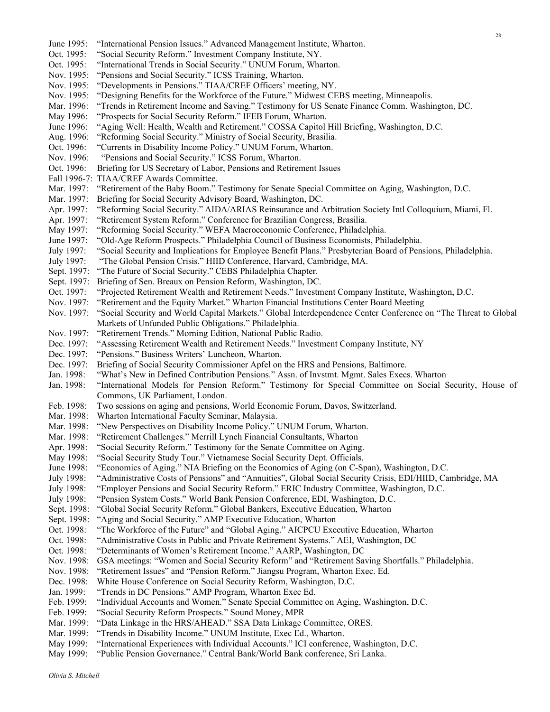Nov. 1995: "Developments in Pensions." TIAA/CREF Officers' meeting, NY. Nov. 1995: "Designing Benefits for the Workforce of the Future." Midwest CEBS meeting, Minneapolis. Mar. 1996: "Trends in Retirement Income and Saving." Testimony for US Senate Finance Comm. Washington, DC. May 1996: "Prospects for Social Security Reform." IFEB Forum, Wharton. June 1996: "Aging Well: Health, Wealth and Retirement." COSSA Capitol Hill Briefing, Washington, D.C. Aug. 1996: "Reforming Social Security." Ministry of Social Security, Brasilia. Oct. 1996: "Currents in Disability Income Policy." UNUM Forum, Wharton. Nov. 1996: "Pensions and Social Security." ICSS Forum, Wharton. Oct. 1996: Briefing for US Secretary of Labor, Pensions and Retirement Issues Fall 1996-7: TIAA/CREF Awards Committee. Mar. 1997: "Retirement of the Baby Boom." Testimony for Senate Special Committee on Aging, Washington, D.C. Mar. 1997: Briefing for Social Security Advisory Board, Washington, DC. Apr. 1997: "Reforming Social Security." AIDA/ARIAS Reinsurance and Arbitration Society Intl Colloquium, Miami, Fl. Apr. 1997: "Retirement System Reform." Conference for Brazilian Congress, Brasilia. May 1997: "Reforming Social Security." WEFA Macroeconomic Conference, Philadelphia. June 1997: "Old-Age Reform Prospects." Philadelphia Council of Business Economists, Philadelphia. July 1997: "Social Security and Implications for Employee Benefit Plans." Presbyterian Board of Pensions, Philadelphia. July 1997: "The Global Pension Crisis." HIID Conference, Harvard, Cambridge, MA. Sept. 1997: "The Future of Social Security." CEBS Philadelphia Chapter. Sept. 1997: Briefing of Sen. Breaux on Pension Reform, Washington, DC. Oct. 1997: "Projected Retirement Wealth and Retirement Needs." Investment Company Institute, Washington, D.C. Nov. 1997: "Retirement and the Equity Market." Wharton Financial Institutions Center Board Meeting Nov. 1997: "Social Security and World Capital Markets." Global Interdependence Center Conference on "The Threat to Global Markets of Unfunded Public Obligations." Philadelphia. Nov. 1997: "Retirement Trends." Morning Edition, National Public Radio. Dec. 1997: "Assessing Retirement Wealth and Retirement Needs." Investment Company Institute, NY Dec. 1997: "Pensions." Business Writers' Luncheon, Wharton. Dec. 1997: Briefing of Social Security Commissioner Apfel on the HRS and Pensions, Baltimore. Jan. 1998: "What's New in Defined Contribution Pensions." Assn. of Invstmt. Mgmt. Sales Execs. Wharton Jan. 1998: "International Models for Pension Reform." Testimony for Special Committee on Social Security, House of Commons, UK Parliament, London. Feb. 1998: Two sessions on aging and pensions, World Economic Forum, Davos, Switzerland. Mar. 1998: Wharton International Faculty Seminar, Malaysia. Mar. 1998: "New Perspectives on Disability Income Policy." UNUM Forum, Wharton. Mar. 1998: "Retirement Challenges." Merrill Lynch Financial Consultants, Wharton Apr. 1998: "Social Security Reform." Testimony for the Senate Committee on Aging. May 1998: "Social Security Study Tour." Vietnamese Social Security Dept. Officials. June 1998: "Economics of Aging." NIA Briefing on the Economics of Aging (on C-Span), Washington, D.C. July 1998: "Administrative Costs of Pensions" and "Annuities", Global Social Security Crisis, EDI/HIID, Cambridge, MA July 1998: "Employer Pensions and Social Security Reform." ERIC Industry Committee, Washington, D.C. July 1998: "Pension System Costs." World Bank Pension Conference, EDI, Washington, D.C. Sept. 1998: "Global Social Security Reform." Global Bankers, Executive Education, Wharton Sept. 1998: "Aging and Social Security." AMP Executive Education, Wharton Oct. 1998: "The Workforce of the Future" and "Global Aging." AICPCU Executive Education, Wharton Oct. 1998: "Administrative Costs in Public and Private Retirement Systems." AEI, Washington, DC Oct. 1998: "Determinants of Women's Retirement Income." AARP, Washington, DC Nov. 1998: GSA meetings: "Women and Social Security Reform" and "Retirement Saving Shortfalls." Philadelphia. Nov. 1998: "Retirement Issues" and "Pension Reform." Jiangsu Program, Wharton Exec. Ed. Dec. 1998: White House Conference on Social Security Reform, Washington, D.C. Jan. 1999: "Trends in DC Pensions." AMP Program, Wharton Exec Ed. Feb. 1999: "Individual Accounts and Women." Senate Special Committee on Aging, Washington, D.C. Feb. 1999: "Social Security Reform Prospects." Sound Money, MPR Mar. 1999: "Data Linkage in the HRS/AHEAD." SSA Data Linkage Committee, ORES. Mar. 1999: "Trends in Disability Income." UNUM Institute, Exec Ed., Wharton.

June 1995: "International Pension Issues." Advanced Management Institute, Wharton.

Oct. 1995: "Social Security Reform." Investment Company Institute, NY. Oct. 1995: "International Trends in Social Security." UNUM Forum, Wharton.

Nov. 1995: "Pensions and Social Security." ICSS Training, Wharton.

- May 1999: "International Experiences with Individual Accounts." ICI conference, Washington, D.C.
- May 1999: "Public Pension Governance." Central Bank/World Bank conference, Sri Lanka.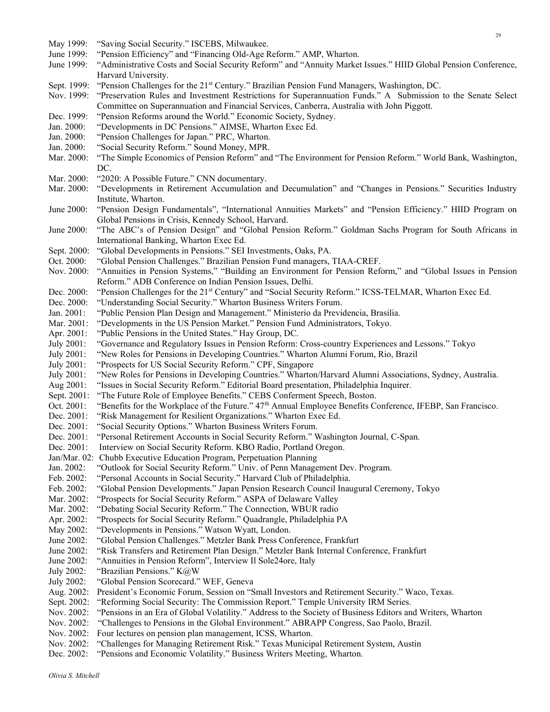- May 1999: "Saving Social Security." ISCEBS, Milwaukee. June 1999: "Pension Efficiency" and "Financing Old-Age Reform." AMP, Wharton. June 1999: "Administrative Costs and Social Security Reform" and "Annuity Market Issues." HIID Global Pension Conference, Harvard University.
	- Sept. 1999: "Pension Challenges for the 21<sup>st</sup> Century." Brazilian Pension Fund Managers, Washington, DC.

Nov. 1999: "Preservation Rules and Investment Restrictions for Superannuation Funds." A Submission to the Senate Select Committee on Superannuation and Financial Services, Canberra, Australia with John Piggott.

- Dec. 1999: "Pension Reforms around the World." Economic Society, Sydney.
- Jan. 2000: "Developments in DC Pensions." AIMSE, Wharton Exec Ed.
- Jan. 2000: "Pension Challenges for Japan." PRC, Wharton.
- Jan. 2000: "Social Security Reform." Sound Money, MPR.
- Mar. 2000: "The Simple Economics of Pension Reform" and "The Environment for Pension Reform." World Bank, Washington, DC.
- Mar. 2000: "2020: A Possible Future." CNN documentary.
- Mar. 2000: "Developments in Retirement Accumulation and Decumulation" and "Changes in Pensions." Securities Industry Institute, Wharton.
- June 2000: "Pension Design Fundamentals", "International Annuities Markets" and "Pension Efficiency." HIID Program on Global Pensions in Crisis, Kennedy School, Harvard.
- June 2000: "The ABC's of Pension Design" and "Global Pension Reform." Goldman Sachs Program for South Africans in International Banking, Wharton Exec Ed.
- Sept. 2000: "Global Developments in Pensions." SEI Investments, Oaks, PA.
- Oct. 2000: "Global Pension Challenges." Brazilian Pension Fund managers, TIAA-CREF.
- Nov. 2000: "Annuities in Pension Systems," "Building an Environment for Pension Reform," and "Global Issues in Pension Reform." ADB Conference on Indian Pension Issues, Delhi.
- Dec. 2000: "Pension Challenges for the 21<sup>st</sup> Century" and "Social Security Reform." ICSS-TELMAR, Wharton Exec Ed. Dec. 2000: "Understanding Social Security." Wharton Business Writers Forum.
- "Understanding Social Security." Wharton Business Writers Forum.
- Jan. 2001: "Public Pension Plan Design and Management." Ministerio da Previdencia, Brasilia.
- Mar. 2001: "Developments in the US Pension Market." Pension Fund Administrators, Tokyo.
- Apr. 2001: "Public Pensions in the United States." Hay Group, DC.
- July 2001: "Governance and Regulatory Issues in Pension Reform: Cross-country Experiences and Lessons." Tokyo
- July 2001: "New Roles for Pensions in Developing Countries." Wharton Alumni Forum, Rio, Brazil
- July 2001: "Prospects for US Social Security Reform." CPF, Singapore
- July 2001: "New Roles for Pensions in Developing Countries." Wharton/Harvard Alumni Associations, Sydney, Australia.
- Aug 2001: "Issues in Social Security Reform." Editorial Board presentation, Philadelphia Inquirer.
- Sept. 2001: "The Future Role of Employee Benefits." CEBS Conferment Speech, Boston.
- Oct. 2001: "Benefits for the Workplace of the Future." 47th Annual Employee Benefits Conference, IFEBP, San Francisco.
- Dec. 2001: "Risk Management for Resilient Organizations." Wharton Exec Ed.
- Dec. 2001: "Social Security Options." Wharton Business Writers Forum.
- Dec. 2001: "Personal Retirement Accounts in Social Security Reform." Washington Journal, C-Span.
- Dec. 2001: Interview on Social Security Reform. KBO Radio, Portland Oregon.
- Jan/Mar. 02: Chubb Executive Education Program, Perpetuation Planning
- Jan. 2002: "Outlook for Social Security Reform." Univ. of Penn Management Dev. Program.
- Feb. 2002: "Personal Accounts in Social Security." Harvard Club of Philadelphia.
- Feb. 2002: "Global Pension Developments." Japan Pension Research Council Inaugural Ceremony, Tokyo
- Mar. 2002: "Prospects for Social Security Reform." ASPA of Delaware Valley
- Mar. 2002: "Debating Social Security Reform." The Connection, WBUR radio
- Apr. 2002: "Prospects for Social Security Reform." Quadrangle, Philadelphia PA
- May 2002: "Developments in Pensions." Watson Wyatt, London.
- June 2002: "Global Pension Challenges." Metzler Bank Press Conference, Frankfurt
- June 2002: "Risk Transfers and Retirement Plan Design." Metzler Bank Internal Conference, Frankfurt
- June 2002: "Annuities in Pension Reform", Interview Il Sole24ore, Italy
- July 2002: "Brazilian Pensions." K@W
- July 2002: "Global Pension Scorecard." WEF, Geneva
- Aug. 2002: President's Economic Forum, Session on "Small Investors and Retirement Security." Waco, Texas.
- Sept. 2002: "Reforming Social Security: The Commission Report." Temple University IRM Series.
- Nov. 2002: "Pensions in an Era of Global Volatility." Address to the Society of Business Editors and Writers, Wharton
- Nov. 2002: "Challenges to Pensions in the Global Environment." ABRAPP Congress, Sao Paolo, Brazil.
- Nov. 2002: Four lectures on pension plan management, ICSS, Wharton.
- Nov. 2002: "Challenges for Managing Retirement Risk." Texas Municipal Retirement System, Austin
- Dec. 2002: "Pensions and Economic Volatility." Business Writers Meeting, Wharton.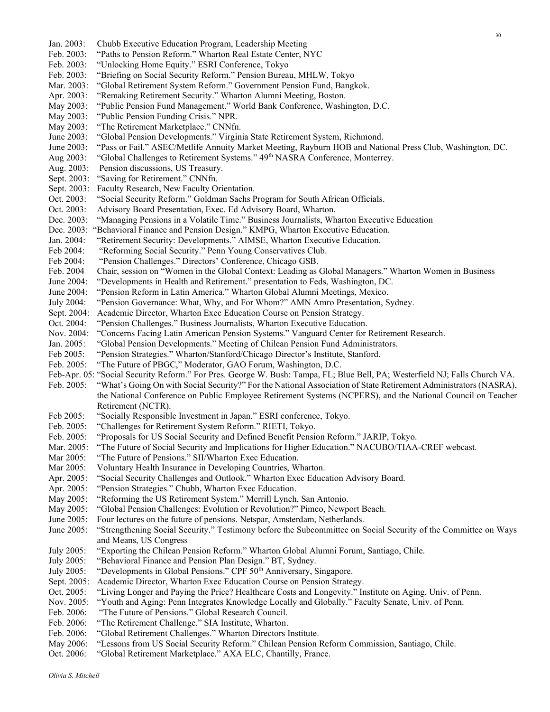Feb. 2003: "Paths to Pension Reform." Wharton Real Estate Center, NYC Feb. 2003: "Unlocking Home Equity." ESRI Conference, Tokyo Feb. 2003: "Briefing on Social Security Reform." Pension Bureau, MHLW, Tokyo Mar. 2003: "Global Retirement System Reform." Government Pension Fund, Bangkok. Apr. 2003: "Remaking Retirement Security." Wharton Alumni Meeting, Boston. May 2003: "Public Pension Fund Management." World Bank Conference, Washington, D.C. May 2003: "Public Pension Funding Crisis." NPR. May 2003: "The Retirement Marketplace." CNNfn. June 2003: "Global Pension Developments." Virginia State Retirement System, Richmond. June 2003: "Pass or Fail." ASEC/Metlife Annuity Market Meeting, Rayburn HOB and National Press Club, Washington, DC. Aug 2003: "Global Challenges to Retirement Systems." 49th NASRA Conference, Monterrey. Aug. 2003: Pension discussions, US Treasury. Sept. 2003: "Saving for Retirement." CNNfn. Sept. 2003: Faculty Research, New Faculty Orientation. Oct. 2003: "Social Security Reform." Goldman Sachs Program for South African Officials. Oct. 2003: Advisory Board Presentation, Exec. Ed Advisory Board, Wharton. Dec. 2003: "Managing Pensions in a Volatile Time." Business Journalists, Wharton Executive Education Dec. 2003: "Behavioral Finance and Pension Design." KMPG, Wharton Executive Education. Jan. 2004: "Retirement Security: Developments." AIMSE, Wharton Executive Education. Feb 2004: "Reforming Social Security." Penn Young Conservatives Club. Feb 2004: "Pension Challenges." Directors' Conference, Chicago GSB. Feb. 2004 Chair, session on "Women in the Global Context: Leading as Global Managers." Wharton Women in Business June 2004: "Developments in Health and Retirement." presentation to Feds, Washington, DC. June 2004: "Pension Reform in Latin America." Wharton Global Alumni Meetings, Mexico. July 2004: "Pension Governance: What, Why, and For Whom?" AMN Amro Presentation, Sydney. Sept. 2004: Academic Director, Wharton Exec Education Course on Pension Strategy. Oct. 2004: "Pension Challenges." Business Journalists, Wharton Executive Education. Nov. 2004: "Concerns Facing Latin American Pension Systems." Vanguard Center for Retirement Research. Jan. 2005: "Global Pension Developments." Meeting of Chilean Pension Fund Administrators. Feb 2005: "Pension Strategies." Wharton/Stanford/Chicago Director's Institute, Stanford. Feb. 2005: "The Future of PBGC," Moderator, GAO Forum, Washington, D.C. Feb-Apr. 05: "Social Security Reform." For Pres. George W. Bush: Tampa, FL; Blue Bell, PA; Westerfield NJ; Falls Church VA. Feb. 2005: "What's Going On with Social Security?" For the National Association of State Retirement Administrators (NASRA), the National Conference on Public Employee Retirement Systems (NCPERS), and the National Council on Teacher Retirement (NCTR). Feb 2005: "Socially Responsible Investment in Japan." ESRI conference, Tokyo. Feb. 2005: "Challenges for Retirement System Reform." RIETI, Tokyo. Feb. 2005: "Proposals for US Social Security and Defined Benefit Pension Reform." JARIP, Tokyo. Mar. 2005: "The Future of Social Security and Implications for Higher Education." NACUBO/TIAA-CREF webcast. Mar 2005: "The Future of Pensions." SII/Wharton Exec Education. Mar 2005: Voluntary Health Insurance in Developing Countries, Wharton. Apr. 2005: "Social Security Challenges and Outlook." Wharton Exec Education Advisory Board. Apr. 2005: "Pension Strategies." Chubb, Wharton Exec Education. May 2005: "Reforming the US Retirement System." Merrill Lynch, San Antonio. May 2005: "Global Pension Challenges: Evolution or Revolution?" Pimco, Newport Beach. June 2005: Four lectures on the future of pensions. Netspar, Amsterdam, Netherlands. June 2005: "Strengthening Social Security." Testimony before the Subcommittee on Social Security of the Committee on Ways and Means, US Congress July 2005: "Exporting the Chilean Pension Reform." Wharton Global Alumni Forum, Santiago, Chile. July 2005: "Behavioral Finance and Pension Plan Design." BT, Sydney. July 2005: "Developments in Global Pensions." CPF 50<sup>th</sup> Anniversary, Singapore. Sept. 2005: Academic Director, Wharton Exec Education Course on Pension Strategy. Oct. 2005: "Living Longer and Paying the Price? Healthcare Costs and Longevity." Institute on Aging, Univ. of Penn. Nov. 2005: "Youth and Aging: Penn Integrates Knowledge Locally and Globally." Faculty Senate, Univ. of Penn. Feb. 2006: "The Future of Pensions." Global Research Council. Feb. 2006: "The Retirement Challenge." SIA Institute, Wharton. Feb. 2006: "Global Retirement Challenges." Wharton Directors Institute. May 2006: "Lessons from US Social Security Reform." Chilean Pension Reform Commission, Santiago, Chile. Oct. 2006: "Global Retirement Marketplace." AXA ELC, Chantilly, France.

Jan. 2003: Chubb Executive Education Program, Leadership Meeting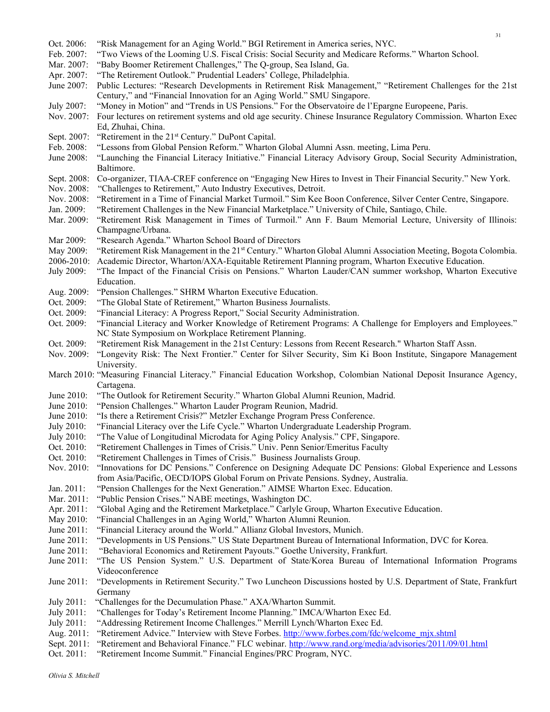| Oct. 2006:               | "Risk Management for an Aging World." BGI Retirement in America series, NYC.                                                                                                                               |
|--------------------------|------------------------------------------------------------------------------------------------------------------------------------------------------------------------------------------------------------|
| Feb. 2007:               | "Two Views of the Looming U.S. Fiscal Crisis: Social Security and Medicare Reforms." Wharton School.                                                                                                       |
| Mar. 2007:               | "Baby Boomer Retirement Challenges," The Q-group, Sea Island, Ga.                                                                                                                                          |
| Apr. 2007:               | "The Retirement Outlook." Prudential Leaders' College, Philadelphia.                                                                                                                                       |
| June 2007:               | Public Lectures: "Research Developments in Retirement Risk Management," "Retirement Challenges for the 21st                                                                                                |
|                          | Century," and "Financial Innovation for an Aging World." SMU Singapore.                                                                                                                                    |
| July 2007:               | "Money in Motion" and "Trends in US Pensions." For the Observatoire de l'Epargne Europeene, Paris.                                                                                                         |
| Nov. 2007:               | Four lectures on retirement systems and old age security. Chinese Insurance Regulatory Commission. Wharton Exec                                                                                            |
|                          | Ed, Zhuhai, China.                                                                                                                                                                                         |
| Sept. 2007:              | "Retirement in the 21 <sup>st</sup> Century." DuPont Capital.                                                                                                                                              |
| Feb. 2008:<br>June 2008: | "Lessons from Global Pension Reform." Wharton Global Alumni Assn. meeting, Lima Peru.<br>"Launching the Financial Literacy Initiative." Financial Literacy Advisory Group, Social Security Administration, |
|                          | Baltimore.                                                                                                                                                                                                 |
| Sept. 2008:              | Co-organizer, TIAA-CREF conference on "Engaging New Hires to Invest in Their Financial Security." New York.                                                                                                |
| Nov. 2008:               | "Challenges to Retirement," Auto Industry Executives, Detroit.                                                                                                                                             |
| Nov. 2008:               | "Retirement in a Time of Financial Market Turmoil." Sim Kee Boon Conference, Silver Center Centre, Singapore.                                                                                              |
| Jan. 2009:               | "Retirement Challenges in the New Financial Marketplace." University of Chile, Santiago, Chile.                                                                                                            |
| Mar. 2009:               | "Retirement Risk Management in Times of Turmoil." Ann F. Baum Memorial Lecture, University of Illinois:                                                                                                    |
|                          | Champagne/Urbana.                                                                                                                                                                                          |
| Mar 2009:                | "Research Agenda." Wharton School Board of Directors                                                                                                                                                       |
| May 2009:                | "Retirement Risk Management in the 21 <sup>st</sup> Century." Wharton Global Alumni Association Meeting, Bogota Colombia.                                                                                  |
| 2006-2010:               | Academic Director, Wharton/AXA-Equitable Retirement Planning program, Wharton Executive Education.                                                                                                         |
| July 2009:               | "The Impact of the Financial Crisis on Pensions." Wharton Lauder/CAN summer workshop, Wharton Executive                                                                                                    |
|                          | Education.                                                                                                                                                                                                 |
| Aug. 2009:               | "Pension Challenges." SHRM Wharton Executive Education.                                                                                                                                                    |
| Oct. 2009:               | "The Global State of Retirement," Wharton Business Journalists.                                                                                                                                            |
| Oct. 2009:               | "Financial Literacy: A Progress Report," Social Security Administration.                                                                                                                                   |
| Oct. 2009:               | "Financial Literacy and Worker Knowledge of Retirement Programs: A Challenge for Employers and Employees."                                                                                                 |
|                          | NC State Symposium on Workplace Retirement Planning.                                                                                                                                                       |
| Oct. 2009:               | "Retirement Risk Management in the 21st Century: Lessons from Recent Research." Wharton Staff Assn.                                                                                                        |
| Nov. 2009:               | "Longevity Risk: The Next Frontier." Center for Silver Security, Sim Ki Boon Institute, Singapore Management                                                                                               |
|                          | University.                                                                                                                                                                                                |
|                          | March 2010: "Measuring Financial Literacy." Financial Education Workshop, Colombian National Deposit Insurance Agency,<br>Cartagena.                                                                       |
| June 2010:               | "The Outlook for Retirement Security." Wharton Global Alumni Reunion, Madrid.                                                                                                                              |
| June 2010:               | "Pension Challenges." Wharton Lauder Program Reunion, Madrid.                                                                                                                                              |
| June 2010:               | "Is there a Retirement Crisis?" Metzler Exchange Program Press Conference.                                                                                                                                 |
| July 2010:               | "Financial Literacy over the Life Cycle." Wharton Undergraduate Leadership Program.                                                                                                                        |
| July 2010:               | "The Value of Longitudinal Microdata for Aging Policy Analysis." CPF, Singapore.                                                                                                                           |
| Oct. 2010:               | "Retirement Challenges in Times of Crisis." Univ. Penn Senior/Emeritus Faculty                                                                                                                             |
| Oct. 2010:               | "Retirement Challenges in Times of Crisis." Business Journalists Group.                                                                                                                                    |
| Nov. 2010:               | "Innovations for DC Pensions." Conference on Designing Adequate DC Pensions: Global Experience and Lessons                                                                                                 |
|                          | from Asia/Pacific, OECD/IOPS Global Forum on Private Pensions. Sydney, Australia.                                                                                                                          |
| Jan. 2011:               | "Pension Challenges for the Next Generation." AIMSE Wharton Exec. Education.                                                                                                                               |
| Mar. 2011:               | "Public Pension Crises." NABE meetings, Washington DC.                                                                                                                                                     |
| Apr. 2011:               | "Global Aging and the Retirement Marketplace." Carlyle Group, Wharton Executive Education.                                                                                                                 |
| May 2010:                | "Financial Challenges in an Aging World," Wharton Alumni Reunion.                                                                                                                                          |
| June 2011:               | "Financial Literacy around the World." Allianz Global Investors, Munich.                                                                                                                                   |
| June 2011:               | "Developments in US Pensions." US State Department Bureau of International Information, DVC for Korea.                                                                                                     |
| June 2011:               | "Behavioral Economics and Retirement Payouts." Goethe University, Frankfurt.                                                                                                                               |
| June 2011:               | "The US Pension System." U.S. Department of State/Korea Bureau of International Information Programs                                                                                                       |
|                          | Videoconference                                                                                                                                                                                            |
| June 2011:               | "Developments in Retirement Security." Two Luncheon Discussions hosted by U.S. Department of State, Frankfurt                                                                                              |
|                          | Germany                                                                                                                                                                                                    |
| July 2011:               | "Challenges for the Decumulation Phase." AXA/Wharton Summit.                                                                                                                                               |
| July 2011:               | "Challenges for Today's Retirement Income Planning." IMCA/Wharton Exec Ed.                                                                                                                                 |
| July 2011:<br>Aug. 2011: | "Addressing Retirement Income Challenges." Merrill Lynch/Wharton Exec Ed.<br>"Retirement Advice." Interview with Steve Forbes. http://www.forbes.com/fdc/welcome mjx.shtml                                 |
| Sept. 2011:              | "Retirement and Behavioral Finance." FLC webinar. http://www.rand.org/media/advisories/2011/09/01.html                                                                                                     |
|                          |                                                                                                                                                                                                            |

Oct. 2011: "Retirement Income Summit." Financial Engines/PRC Program, NYC.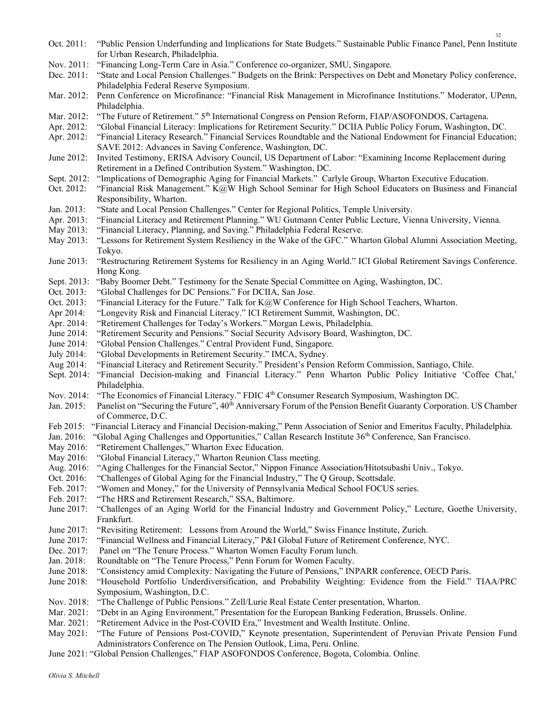- Oct. 2011: "Public Pension Underfunding and Implications for State Budgets." Sustainable Public Finance Panel, Penn Institute for Urban Research, Philadelphia.
- Nov. 2011: "Financing Long-Term Care in Asia." Conference co-organizer, SMU, Singapore.
- Dec. 2011: "State and Local Pension Challenges." Budgets on the Brink: Perspectives on Debt and Monetary Policy conference, Philadelphia Federal Reserve Symposium.
- Mar. 2012: Penn Conference on Microfinance: "Financial Risk Management in Microfinance Institutions." Moderator, UPenn, Philadelphia.
- Mar. 2012: "The Future of Retirement." 5<sup>th</sup> International Congress on Pension Reform, FIAP/ASOFONDOS, Cartagena.
- Apr. 2012: "Global Financial Literacy: Implications for Retirement Security." DCIIA Public Policy Forum, Washington, DC.
- Apr. 2012: "Financial Literacy Research." Financial Services Roundtable and the National Endowment for Financial Education; SAVE 2012: Advances in Saving Conference, Washington, DC.
- June 2012: Invited Testimony, ERISA Advisory Council, US Department of Labor: "Examining Income Replacement during Retirement in a Defined Contribution System." Washington, DC.
- Sept. 2012: "Implications of Demographic Aging for Financial Markets." Carlyle Group, Wharton Executive Education.
- Oct. 2012: "Financial Risk Management." K@W High School Seminar for High School Educators on Business and Financial Responsibility, Wharton.
- Jan. 2013: "State and Local Pension Challenges." Center for Regional Politics, Temple University.
- Apr. 2013: "Financial Literacy and Retirement Planning." WU Gutmann Center Public Lecture, Vienna University, Vienna.
- May 2013: "Financial Literacy, Planning, and Saving." Philadelphia Federal Reserve.
- May 2013: "Lessons for Retirement System Resiliency in the Wake of the GFC." Wharton Global Alumni Association Meeting, Tokyo.
- June 2013: "Restructuring Retirement Systems for Resiliency in an Aging World." ICI Global Retirement Savings Conference. Hong Kong.
- Sept. 2013: "Baby Boomer Debt." Testimony for the Senate Special Committee on Aging, Washington, DC.
- Oct. 2013: "Global Challenges for DC Pensions." For DCIIA, San Jose.
- Oct. 2013: "Financial Literacy for the Future." Talk for K@W Conference for High School Teachers, Wharton.
- Apr 2014: "Longevity Risk and Financial Literacy." ICI Retirement Summit, Washington, DC.
- Apr. 2014: "Retirement Challenges for Today's Workers." Morgan Lewis, Philadelphia.
- June 2014: "Retirement Security and Pensions." Social Security Advisory Board, Washington, DC.
- June 2014: "Global Pension Challenges." Central Provident Fund, Singapore.
- July 2014: "Global Developments in Retirement Security." IMCA, Sydney.
- Aug 2014: "Financial Literacy and Retirement Security." President's Pension Reform Commission, Santiago, Chile.
- Sept. 2014: "Financial Decision-making and Financial Literacy." Penn Wharton Public Policy Initiative 'Coffee Chat,' Philadelphia.
- Nov. 2014: "The Economics of Financial Literacy." FDIC 4th Consumer Research Symposium, Washington DC.
- Jan. 2015: Panelist on "Securing the Future", 40<sup>th</sup> Anniversary Forum of the Pension Benefit Guaranty Corporation. US Chamber of Commerce, D.C.
- Feb 2015: "Financial Literacy and Financial Decision-making," Penn Association of Senior and Emeritus Faculty, Philadelphia.
- Jan. 2016: "Global Aging Challenges and Opportunities," Callan Research Institute 36<sup>th</sup> Conference, San Francisco.
- May 2016: "Retirement Challenges," Wharton Exec Education.
- May 2016: "Global Financial Literacy," Wharton Reunion Class meeting.
- Aug. 2016: "Aging Challenges for the Financial Sector," Nippon Finance Association/Hitotsubashi Univ., Tokyo.
- Oct. 2016: "Challenges of Global Aging for the Financial Industry," The Q Group, Scottsdale.
- Feb. 2017: "Women and Money," for the University of Pennsylvania Medical School FOCUS series.
- Feb. 2017: "The HRS and Retirement Research," SSA, Baltimore.
- June 2017: "Challenges of an Aging World for the Financial Industry and Government Policy," Lecture, Goethe University, Frankfurt.
- June 2017: "Revisiting Retirement: Lessons from Around the World," Swiss Finance Institute, Zurich.
- June 2017: "Financial Wellness and Financial Literacy," P&I Global Future of Retirement Conference, NYC.
- Dec. 2017: Panel on "The Tenure Process." Wharton Women Faculty Forum lunch.
- Jan. 2018: Roundtable on "The Tenure Process," Penn Forum for Women Faculty.
- June 2018: "Consistency amid Complexity: Navigating the Future of Pensions," INPARR conference, OECD Paris.
- June 2018: "Household Portfolio Underdiversification, and Probability Weighting: Evidence from the Field." TIAA/PRC Symposium, Washington, D.C.
- Nov. 2018: "The Challenge of Public Pensions." Zell/Lurie Real Estate Center presentation, Wharton.
- Mar. 2021: "Debt in an Aging Environment," Presentation for the European Banking Federation, Brussels. Online.
- Mar. 2021: "Retirement Advice in the Post-COVID Era," Investment and Wealth Institute. Online.
- May 2021: "The Future of Pensions Post-COVID," Keynote presentation, Superintendent of Peruvian Private Pension Fund Administrators Conference on The Pension Outlook, Lima, Peru. Online.
- June 2021: "Global Pension Challenges," FIAP ASOFONDOS Conference, Bogota, Colombia. Online.